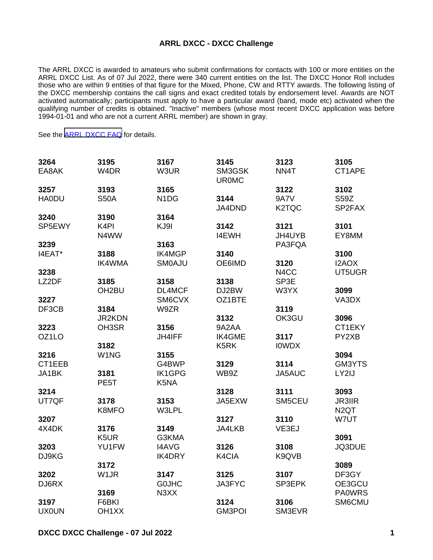## **ARRL DXCC - DXCC Challenge**

The ARRL DXCC is awarded to amateurs who submit confirmations for contacts with 100 or more entities on the ARRL DXCC List. As of 07 Jul 2022, there were 340 current entities on the list. The DXCC Honor Roll includes those who are within 9 entities of that figure for the Mixed, Phone, CW and RTTY awards. The following listing of the DXCC membership contains the call signs and exact credited totals by endorsement level. Awards are NOT activated automatically; participants must apply to have a particular award (band, mode etc) activated when the qualifying number of credits is obtained. "Inactive" members (whose most recent DXCC application was before 1994-01-01 and who are not a current ARRL member) are shown in gray.

See the [ARRL DXCC FAQ](http://www.arrl.org/dxcc-faq/) for details.

| 3264         | 3195               | 3167                          | 3145                   | 3123               | 3105              |
|--------------|--------------------|-------------------------------|------------------------|--------------------|-------------------|
| EA8AK        | W4DR               | W3UR                          | SM3GSK<br><b>UR0MC</b> | NN4T               | CT1APE            |
| 3257         | 3193               | 3165                          |                        | 3122               | 3102              |
| <b>HA0DU</b> | <b>S50A</b>        | N <sub>1</sub> D <sub>G</sub> | 3144                   | <b>9A7V</b>        | S59Z              |
|              |                    |                               | JA4DND                 | K <sub>2</sub> TQC | SP2FAX            |
| 3240         | 3190               | 3164                          |                        |                    |                   |
| SP5EWY       | K <sub>4</sub> PI  | KJ9I                          | 3142                   | 3121               | 3101              |
|              | N4WW               |                               | I4EWH                  | JH4UYB             | EY8MM             |
| 3239         |                    | 3163                          |                        | PA3FQA             |                   |
| I4EAT*       | 3188               | <b>IK4MGP</b>                 | 3140                   |                    | 3100              |
|              | <b>IK4WMA</b>      | <b>SM0AJU</b>                 | OE6IMD                 | 3120               | I2AOX             |
| 3238         |                    |                               |                        | N4CC               | UT5UGR            |
| LZ2DF        | 3185               | 3158                          | 3138                   | SP3E               |                   |
|              | OH <sub>2</sub> BU | DL4MCF                        | DJ2BW                  | W3YX               | 3099              |
| 3227         |                    | SM6CVX                        | OZ1BTE                 |                    | VA3DX             |
| DF3CB        | 3184               | W9ZR                          |                        | 3119               |                   |
|              | JR2KDN             |                               | 3132                   | OK3GU              | 3096              |
| 3223         | OH3SR              | 3156                          | 9A2AA                  |                    | CT1EKY            |
| OZ1LO        |                    | <b>JH4IFF</b>                 | <b>IK4GME</b>          | 3117               | PY2XB             |
|              | 3182               |                               | K5RK                   | <b>IOWDX</b>       |                   |
| 3216         | W1NG               | 3155                          |                        |                    | 3094              |
| CT1EEB       |                    | G4BWP                         | 3129                   | 3114               | GM3YTS            |
| JA1BK        | 3181               | <b>IK1GPG</b>                 | WB9Z                   | JA5AUC             | LY2IJ             |
|              | PE <sub>5</sub> T  | K5NA                          |                        |                    |                   |
| 3214         |                    |                               | 3128                   | 3111               | 3093              |
| UT7QF        | 3178               | 3153                          | JA5EXW                 | SM5CEU             | <b>JR3IIR</b>     |
|              |                    |                               |                        |                    |                   |
|              | K8MFO              | W3LPL                         |                        |                    | N <sub>2</sub> QT |
| 3207         |                    |                               | 3127                   | 3110               | W7UT              |
| 4X4DK        | 3176               | 3149                          | JA4LKB                 | VE3EJ              |                   |
|              | K5UR               | G3KMA                         |                        |                    | 3091              |
| 3203         | YU1FW              | <b>I4AVG</b>                  | 3126                   | 3108               | JQ3DUE            |
| DJ9KG        |                    | <b>IK4DRY</b>                 | K4CIA                  | K9QVB              |                   |
|              | 3172               |                               |                        |                    | 3089              |
| 3202         | W <sub>1</sub> JR  | 3147                          | 3125                   | 3107               | DF3GY             |
| DJ6RX        |                    | <b>GOJHC</b>                  | JA3FYC                 | SP3EPK             | OE3GCU            |
|              | 3169               | N3XX                          |                        |                    | <b>PA0WRS</b>     |
| 3197         | F6BKI              |                               | 3124                   | 3106               | SM6CMU            |
| <b>UX0UN</b> | OH <sub>1</sub> XX |                               | <b>GM3POI</b>          | SM3EVR             |                   |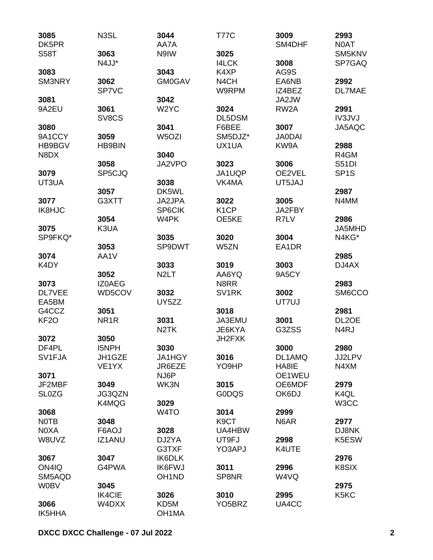| 3085              | N3SL               | 3044                           | <b>T77C</b>         | 3009              | 2993              |
|-------------------|--------------------|--------------------------------|---------------------|-------------------|-------------------|
| DK5PR             |                    | AA7A                           |                     | SM4DHF            | N0AT              |
| <b>S58T</b>       | 3063               | N9IW                           | 3025                |                   | SM5KNV            |
|                   | N4JJ*              |                                | <b>I4LCK</b>        | 3008              | SP7GAQ            |
| 3083              |                    | 3043                           | K4XP                | AG9S              |                   |
| SM3NRY            | 3062               | <b>GM0GAV</b>                  | N <sub>4</sub> CH   | EA6NB             | 2992              |
|                   | SP7VC              |                                | W9RPM               | IZ4BEZ            | <b>DL7MAE</b>     |
| 3081              |                    | 3042                           |                     | JA2JW             |                   |
| 9A2EU             | 3061               | W <sub>2</sub> YC              | 3024                | RW <sub>2</sub> A | 2991              |
|                   | SV8CS              |                                | DL5DSM              |                   | <b>IV3JVJ</b>     |
| 3080              |                    | 3041                           | F6BEE               | 3007              | JA5AQC            |
| 9A1CCY            | 3059               | W5OZI                          | SM5DJZ*             | <b>JA0DAI</b>     |                   |
| HB9BGV            | <b>HB9BIN</b>      |                                | UX1UA               | KW9A              | 2988              |
| N8DX              |                    | 3040                           |                     |                   | R4GM              |
|                   | 3058               | JA2VPO                         | 3023                | 3006              | S51DI             |
|                   | SP5CJQ             |                                |                     | OE2VEL            |                   |
| 3079              |                    |                                | JA1UQP              |                   | SP <sub>1</sub> S |
| UT3UA             |                    | 3038                           | VK4MA               | UT5JAJ            |                   |
|                   | 3057               | DK5WL                          |                     |                   | 2987              |
| 3077              | G3XTT              | JA2JPA                         | 3022                | 3005              | N4MM              |
| IK8HJC            |                    | SP6CIK                         | K <sub>1</sub> CP   | JA2FBY            |                   |
|                   | 3054               | W4PK                           | OE5KE               | R7LV              | 2986              |
| 3075              | K3UA               |                                |                     |                   | JA5MHD            |
| SP9FKQ*           |                    | 3035                           | 3020                | 3004              | N4KG*             |
|                   | 3053               | SP9DWT                         | W5ZN                | EA1DR             |                   |
| 3074              | AA1V               |                                |                     |                   | 2985              |
| K4DY              |                    | 3033                           | 3019                | 3003              | DJ4AX             |
|                   | 3052               | N <sub>2</sub> LT              | AA6YQ               | 9A5CY             |                   |
| 3073              | <b>IZ0AEG</b>      |                                | N8RR                |                   | 2983              |
| DL7VEE            | WD5COV             | 3032                           | SV <sub>1</sub> RK  | 3002              | SM6CCO            |
| EA5BM             |                    | UY5ZZ                          |                     | UT7UJ             |                   |
| G4CCZ             | 3051               |                                | 3018                |                   | 2981              |
| KF <sub>2</sub> O | NR <sub>1</sub> R  | 3031                           | JA3EMU              | 3001              | DL2OE             |
|                   |                    | N <sub>2</sub> TK              | JE6KYA              | G3ZSS             | N <sub>4</sub> RJ |
| 3072              | 3050               |                                | JH2FXK              |                   |                   |
| DF4PL             | <b>I5NPH</b>       | 3030                           |                     | 3000              | 2980              |
| SV1FJA            | JH1GZE             | JA1HGY                         | 3016                | DL1AMQ            | JJ2LPV            |
|                   | VE <sub>1</sub> YX | JR6EZE                         | YO9HP               | HA8IE             | N4XM              |
|                   |                    |                                |                     |                   |                   |
| 3071              |                    | NJ6P                           |                     | OE1WEU            |                   |
| JF2MBF            | 3049               | WK3N                           | 3015                | OE6MDF            | 2979              |
| <b>SL0ZG</b>      | JG3QZN             |                                | <b>GODQS</b>        | OK6DJ             | K4QL              |
|                   | K4MQG              | 3029                           |                     |                   | W <sub>3</sub> CC |
| 3068              |                    | W <sub>4</sub> TO              | 3014                | 2999              |                   |
| <b>NOTB</b>       | 3048               |                                | K <sub>9</sub> CT   | N6AR              | 2977              |
| N0XA              | F6AOJ              | 3028                           | UA4HBW              |                   | DJ8NK             |
| W8UVZ             | <b>IZ1ANU</b>      | DJ2YA                          | UT9FJ               | 2998              | K5ESW             |
|                   |                    | G3TXF                          | YO3APJ              | K4UTE             |                   |
| 3067              | 3047               | <b>IK6DLK</b>                  |                     |                   | 2976              |
| ON4IQ             | G4PWA              | <b>IK6FWJ</b>                  | 3011                | 2996              | K8SIX             |
| SM5AQD            |                    | OH <sub>1</sub> N <sub>D</sub> | SP8NR               | W4VQ              |                   |
| <b>W0BV</b>       | 3045               |                                |                     |                   | 2975              |
|                   | <b>IK4CIE</b>      | 3026                           | 3010                | 2995              | K5KC              |
| 3066              | W4DXX              | KD5M                           | YO <sub>5</sub> BRZ | UA4CC             |                   |
| IK5HHA            |                    | OH <sub>1</sub> MA             |                     |                   |                   |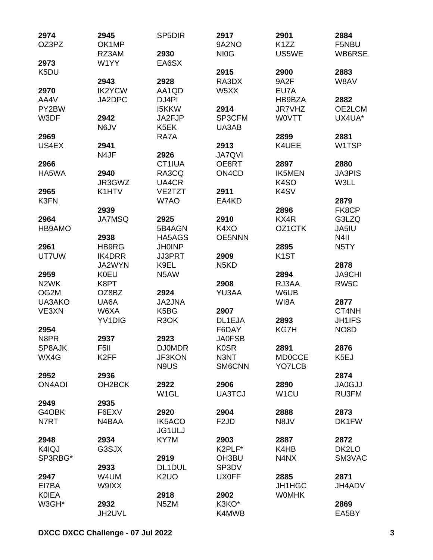| 2974              | 2945                | SP <sub>5</sub> D <sub>IR</sub> | 2917                           | 2901              | 2884              |
|-------------------|---------------------|---------------------------------|--------------------------------|-------------------|-------------------|
| OZ3PZ             | OK1MP               |                                 | 9A2NO                          | K <sub>1</sub> ZZ | F5NBU             |
|                   | RZ3AM               | 2930                            | NI <sub>0</sub> G              | US5WE             | WB6RSE            |
| 2973              | W1YY                | EA6SX                           |                                |                   |                   |
| K5DU              |                     |                                 | 2915                           | 2900              | 2883              |
|                   | 2943                | 2928                            | RA3DX                          | 9A2F              | W8AV              |
| 2970              | <b>IK2YCW</b>       | AA1QD                           | W5XX                           | EU7A              |                   |
| AA4V              | JA2DPC              | DJ4PI                           |                                | HB9BZA            | 2882              |
| PY2BW             |                     | <b>I5KKW</b>                    | 2914                           | JR7VHZ            | OE2LCM            |
| W3DF              | 2942                | JA2FJP                          | SP3CFM                         | <b>WOVTT</b>      | UX4UA*            |
|                   | N6JV                | K5EK                            | UA3AB                          |                   |                   |
| 2969              |                     | RA7A                            |                                | 2899              | 2881              |
| US4EX             | 2941                |                                 | 2913                           | K4UEE             | W1TSP             |
|                   | N4JF                | 2926                            | <b>JA7QVI</b>                  |                   |                   |
| 2966              |                     | CT1IUA                          | OE8RT                          | 2897              | 2880              |
| HA5WA             | 2940                | RA3CQ                           | ON <sub>4</sub> C <sub>D</sub> | <b>IK5MEN</b>     | <b>JA3PIS</b>     |
|                   | JR3GWZ              | UA4CR                           |                                | K <sub>4</sub> SO | W3LL              |
| 2965              | K1HTV               | VE2TZT                          | 2911                           | K <sub>4</sub> SV |                   |
|                   |                     | W7AO                            | EA4KD                          |                   | 2879              |
| K3FN              |                     |                                 |                                |                   |                   |
|                   | 2939                |                                 |                                | 2896              | FK8CP             |
| 2964              | <b>JA7MSQ</b>       | 2925                            | 2910                           | KX4R              | G3LZQ             |
| HB9AMO            |                     | 5B4AGN                          | K4XO                           | OZ1CTK            | JA5IU             |
|                   | 2938                | HA5AGS                          | <b>OE5NNN</b>                  |                   | N <sub>4</sub> II |
| 2961              | <b>HB9RG</b>        | <b>JH0INP</b>                   |                                | 2895              | N <sub>5</sub> TY |
| UT7UW             | <b>IK4DRR</b>       | <b>JJ3PRT</b>                   | 2909                           | K <sub>1</sub> ST |                   |
|                   | JA2WYN              | K9EL                            | N <sub>5</sub> K <sub>D</sub>  |                   | 2878              |
| 2959              | <b>K0EU</b>         | N5AW                            |                                | 2894              | <b>JA9CHI</b>     |
| N <sub>2</sub> WK | K8PT                |                                 | 2908                           | RJ3AA             | RW <sub>5</sub> C |
| OG2M              | OZ8BZ               | 2924                            | YU3AA                          | W6UB              |                   |
| UA3AKO            | UA6A                | <b>JA2JNA</b>                   |                                | WI8A              | 2877              |
| VE3XN             | W6XA                | K5BG                            | 2907                           |                   | CT4NH             |
|                   | YV <sub>1</sub> DIG | R <sub>3</sub> OK               | DL1EJA                         | 2893              | <b>JH1IFS</b>     |
| 2954              |                     |                                 | F6DAY                          | KG7H              | NO <sub>8</sub> D |
| N8PR              | 2937                | 2923                            | <b>JA0FSB</b>                  |                   |                   |
| SP8AJK            | F <sub>5</sub> II   | <b>DJ0MDR</b>                   | <b>K0SR</b>                    | 2891              | 2876              |
| WX4G              | K <sub>2</sub> FF   | JF3KON                          | N3NT                           | <b>MD0CCE</b>     | K <sub>5</sub> EJ |
|                   |                     | N9US                            | SM6CNN                         | YO7LCB            |                   |
| 2952              | 2936                |                                 |                                |                   | 2874              |
| <b>ON4AOI</b>     | OH <sub>2</sub> BCK | 2922                            | 2906                           | 2890              | <b>JA0GJJ</b>     |
|                   |                     | W <sub>1</sub> GL               | <b>UA3TCJ</b>                  | W <sub>1</sub> CU | RU3FM             |
| 2949              | 2935                |                                 |                                |                   |                   |
| G4OBK             | F6EXV               | 2920                            | 2904                           | 2888              | 2873              |
| N7RT              | N4BAA               | <b>IK5ACO</b>                   | F <sub>2</sub> JD              | N8JV              | DK1FW             |
|                   |                     | JG1ULJ                          |                                |                   |                   |
| 2948              | 2934                | KY7M                            | 2903                           | 2887              | 2872              |
| K4IQJ             | G3SJX               |                                 | K2PLF*                         | K4HB              | DK2LO             |
|                   |                     |                                 |                                |                   |                   |
| SP3RBG*           | 2933                | 2919<br>DL1DUL                  | OH3BU<br>SP3DV                 | N4NX              | SM3VAC            |
|                   |                     |                                 |                                |                   |                   |
| 2947              | W4UM                | K <sub>2</sub> UO               | <b>UX0FF</b>                   | 2885              | 2871              |
| EI7BA             | W9IXX               |                                 |                                | <b>JH1HGC</b>     | JH4ADV            |
| <b>KOIEA</b>      |                     | 2918                            | 2902                           | <b>WOMHK</b>      |                   |
| W3GH*             | 2932                | N <sub>5</sub> ZM               | K3KO*                          |                   | 2869              |
|                   | JH2UVL              |                                 | K4MWB                          |                   | EA5BY             |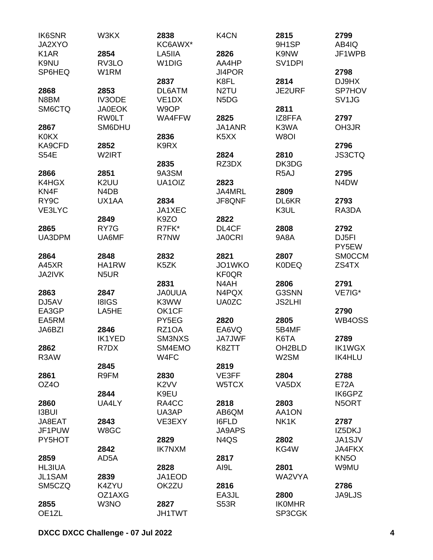| <b>IK6SNR</b><br>JA2XYO | W3KX                          | 2838<br>KC6AWX*    | K <sub>4</sub> CN             | 2815<br>9H1SP       | 2799<br>AB4IQ                  |
|-------------------------|-------------------------------|--------------------|-------------------------------|---------------------|--------------------------------|
| K <sub>1</sub> AR       | 2854                          | LA5IIA             | 2826                          | K9NW                | JF1WPB                         |
| K9NU                    | RV3LO                         | W <sub>1</sub> DIG | AA4HP                         | SV <sub>1</sub> DPI |                                |
| SP6HEQ                  | W1RM                          |                    | JI4POR                        |                     | 2798                           |
|                         |                               |                    |                               |                     |                                |
|                         |                               | 2837               | K8FL                          | 2814                | DJ9HX                          |
| 2868                    | 2853                          | DL6ATM             | N <sub>2</sub> TU             | <b>JE2URF</b>       | SP7HOV                         |
| N8BM                    | IV3ODE                        | VE <sub>1</sub> DX | N <sub>5</sub> D <sub>G</sub> |                     | SV <sub>1</sub> J <sub>G</sub> |
| SM6CTQ                  | <b>JA0EOK</b>                 | W9OP               |                               | 2811                |                                |
|                         | <b>RWOLT</b>                  | WA4FFW             | 2825                          | IZ8FFA              | 2797                           |
| 2867                    | SM6DHU                        |                    | JA1ANR                        | K3WA                | OH3JR                          |
| <b>K0KX</b>             |                               | 2836               | K <sub>5</sub> X <sub>X</sub> | W8OI                |                                |
| KA9CFD                  | 2852                          | K9RX               |                               |                     | 2796                           |
| <b>S54E</b>             | W2IRT                         |                    | 2824                          | 2810                | <b>JS3CTQ</b>                  |
|                         |                               | 2835               | RZ3DX                         | DK3DG               |                                |
| 2866                    | 2851                          | 9A3SM              |                               | R <sub>5</sub> AJ   | 2795                           |
| K4HGX                   | K2UU                          | UA1OIZ             | 2823                          |                     | N4DW                           |
| KN4F                    | N <sub>4</sub> D <sub>B</sub> |                    | JA4MRL                        | 2809                |                                |
| RY <sub>9</sub> C       | UX1AA                         | 2834               | JF8QNF                        | DL6KR               | 2793                           |
| VE3LYC                  |                               | JA1XEC             |                               | K3UL                | RA3DA                          |
|                         | 2849                          | K9ZO               | 2822                          |                     |                                |
| 2865                    | RY7G                          | R7FK*              | DL4CF                         | 2808                | 2792                           |
| UA3DPM                  | UA6MF                         | R7NW               | <b>JA0CRI</b>                 | <b>9A8A</b>         | DJ <sub>5FI</sub>              |
|                         |                               |                    |                               |                     | PY5EW                          |
| 2864                    | 2848                          | 2832               | 2821                          | 2807                | <b>SMOCCM</b>                  |
| A45XR                   | HA1RW                         | K5ZK               | JO1WKO                        | <b>K0DEQ</b>        | ZS4TX                          |
| JA2IVK                  | N <sub>5</sub> UR             |                    | <b>KF0QR</b>                  |                     |                                |
|                         |                               | 2831               | N4AH                          | 2806                | 2791                           |
| 2863                    | 2847                          | <b>JA0UUA</b>      | N4PQX                         | G3SNN               | VE7IG*                         |
| DJ5AV                   | <b>I8IGS</b>                  | K3WW               | <b>UA0ZC</b>                  | <b>JS2LHI</b>       |                                |
| EA3GP                   | LA5HE                         | OK1CF              |                               |                     | 2790                           |
| EA5RM                   |                               | PY5EG              | 2820                          | 2805                | WB4OSS                         |
| JA6BZI                  | 2846                          | RZ1OA              | EA6VQ                         | 5B4MF               |                                |
|                         | <b>IK1YED</b>                 | SM3NXS             | <b>JA7JWF</b>                 | K6TA                | 2789                           |
| 2862                    | R7DX                          | SM4EMO             | K8ZTT                         | OH <sub>2</sub> BLD | <b>IK1WGX</b>                  |
| R3AW                    |                               | W4FC               |                               | W <sub>2</sub> SM   | <b>IK4HLU</b>                  |
|                         | 2845                          |                    | 2819                          |                     |                                |
| 2861                    | R9FM                          | 2830               | VE3FF                         | 2804                | 2788                           |
| OZ4O                    |                               | K <sub>2</sub> VV  | W5TCX                         | VA <sub>5</sub> DX  | <b>E72A</b>                    |
|                         | 2844                          | K9EU               |                               |                     | IK6GPZ                         |
| 2860                    | UA4LY                         | RA4CC              | 2818                          | 2803                | N5ORT                          |
| <b>I3BUI</b>            |                               | UA3AP              | AB6QM                         | AA1ON               |                                |
| JA8EAT                  | 2843                          | VE3EXY             | <b>I6FLD</b>                  | NK1K                | 2787                           |
| JF1PUW                  | W8GC                          |                    | <b>JA9APS</b>                 |                     | IZ5DKJ                         |
| PY5HOT                  |                               | 2829               | N <sub>4</sub> Q <sub>S</sub> | 2802                | JA1SJV                         |
|                         | 2842                          | <b>IK7NXM</b>      |                               | KG4W                |                                |
|                         |                               |                    |                               |                     | <b>JA4FKX</b>                  |
| 2859                    | AD5A                          |                    | 2817                          |                     | KN <sub>50</sub>               |
| <b>HL3IUA</b>           |                               | 2828               | AI9L                          | 2801                | W9MU                           |
| JL1SAM                  | 2839                          | JA1EOD             |                               | WA2VYA              |                                |
| SM5CZQ                  | K4ZYU                         | OK2ZU              | 2816                          |                     | 2786                           |
|                         | OZ1AXG                        |                    | EA3JL                         | 2800                | <b>JA9LJS</b>                  |
| 2855                    | W3NO                          | 2827               | <b>S53R</b>                   | <b>IKOMHR</b>       |                                |
| OE <sub>1ZL</sub>       |                               | <b>JH1TWT</b>      |                               | SP3CGK              |                                |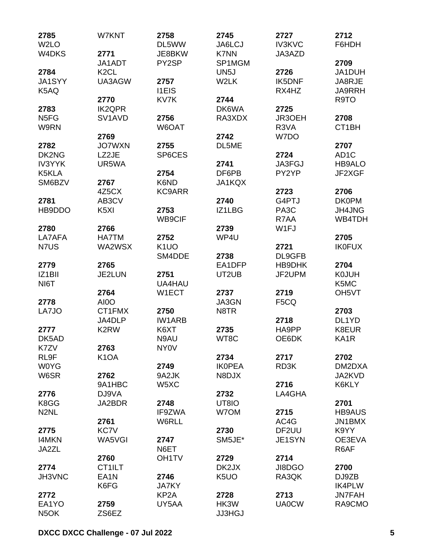| 2785               | W7KNT                           | 2758               | 2745              | 2727              | 2712               |
|--------------------|---------------------------------|--------------------|-------------------|-------------------|--------------------|
| W <sub>2</sub> LO  |                                 | DL5WW              | JA6LCJ            | <b>IV3KVC</b>     | F6HDH              |
| W <sub>4</sub> DKS | 2771                            | JE8BKW             | <b>K7NN</b>       | JA3AZD            |                    |
|                    | JA1ADT                          | PY2SP              | SP1MGM            |                   | 2709               |
| 2784               | K <sub>2</sub> CL               |                    | UN <sub>5</sub> J | 2726              | JA1DUH             |
| JA1SYY             | UA3AGW                          | 2757               | W2LK              | IK5DNF            | JA8RJE             |
| K5AQ               |                                 | <b>I1EIS</b>       |                   | RX4HZ             | <b>JA9RRH</b>      |
|                    | 2770                            | KV7K               | 2744              |                   | R9TO               |
| 2783               | <b>IK2QPR</b>                   |                    | DK6WA             | 2725              |                    |
| N <sub>5F</sub> G  | SV <sub>1</sub> AV <sub>D</sub> | 2756               | RA3XDX            | JR3OEH            | 2708               |
| W9RN               |                                 | W6OAT              |                   | R <sub>3</sub> VA | CT1BH              |
|                    | 2769                            |                    | 2742              | W7DO              |                    |
| 2782               | <b>JO7WXN</b>                   | 2755               | DL5ME             |                   | 2707               |
| DK2NG              | LZ2JE                           | SP6CES             |                   | 2724              | AD <sub>1</sub> C  |
| <b>IV3YYK</b>      | UR5WA                           |                    | 2741              | JA3FGJ            | HB9ALO             |
| K5KLA              |                                 | 2754               | DF6PB             | PY2YP             | JF2XGF             |
| SM6BZV             | 2767                            | K6ND               | <b>JA1KQX</b>     |                   |                    |
|                    | 4Z5CX                           | <b>KC9ARR</b>      |                   | 2723              | 2706               |
| 2781               | AB3CV                           |                    | 2740              | G4PTJ             | <b>DK0PM</b>       |
| HB9DDO             | K <sub>5</sub> XI               | 2753               | IZ1LBG            | PA <sub>3</sub> C | <b>JH4JNG</b>      |
|                    |                                 | <b>WB9CIF</b>      |                   | R7AA              | WB4TDH             |
| 2780               | 2766                            |                    | 2739              | W1FJ              |                    |
| LA7AFA             | <b>HA7TM</b>                    | 2752               | WP4U              |                   | 2705               |
| N7US               | WA2WSX                          | K <sub>1</sub> UO  |                   | 2721              | <b>IK0FUX</b>      |
|                    |                                 | SM4DDE             | 2738              | DL9GFB            |                    |
| 2779               | 2765                            |                    | EA1DFP            | HB9DHK            | 2704               |
| IZ1BII             | JE2LUN                          | 2751               | UT2UB             | JF2UPM            | <b>K0JUH</b>       |
|                    |                                 | UA4HAU             |                   |                   | K5MC               |
| NI6T               |                                 |                    |                   |                   |                    |
|                    | 2764                            | W1ECT              | 2737              | 2719              | OH <sub>5</sub> VT |
| 2778               | AI0O                            |                    | JA3GN             | F5CQ              |                    |
| LA7JO              | CT1FMX                          | 2750               | N8TR              |                   | 2703               |
|                    | JA4DLP                          | <b>IW1ARB</b>      |                   | 2718              | DL1YD              |
| 2777               | K <sub>2</sub> RW               | K6XT               | 2735              | HA9PP             | K8EUR              |
| DK5AD              |                                 | N9AU               | WT8C              | OE6DK             | KA1R               |
| K7ZV               | 2763                            | <b>NY0V</b>        |                   |                   |                    |
| RL9F               | K <sub>1</sub> OA               |                    | 2734              | 2717              | 2702               |
| <b>W0YG</b>        |                                 | 2749               | <b>IKOPEA</b>     | RD3K              | DM2DXA             |
| W6SR               | 2762                            | 9A2JK              | N8DJX             |                   | JA2KVD             |
|                    | 9A1HBC                          | W5XC               |                   | 2716              | K6KLY              |
| 2776               | DJ9VA                           |                    | 2732              | LA4GHA            |                    |
| K8GG               | JA2BDR                          | 2748               | UT8IO             |                   | 2701               |
| N <sub>2</sub> NL  |                                 | IF9ZWA             | W7OM              | 2715              | <b>HB9AUS</b>      |
|                    | 2761                            | W6RLL              |                   | AC4G              | JN1BMX             |
| 2775               | KC7V                            |                    | 2730              | DF2UU             | K9YY               |
| <b>I4MKN</b>       | WA5VGI                          | 2747               | SM5JE*            | JE1SYN            | OE3EVA             |
| JA2ZL              |                                 | N6ET               |                   |                   | R6AF               |
|                    | 2760                            | OH <sub>1</sub> TV | 2729              | 2714              |                    |
| 2774               | CT1ILT                          |                    | DK2JX             | JI8DGO            | 2700               |
| JH3VNC             | EA <sub>1</sub> N               | 2746               | K <sub>5</sub> UO | RA3QK             | DJ9ZB              |
|                    | K6FG                            | <b>JA7KY</b>       |                   |                   | <b>IK4PLW</b>      |
| 2772               |                                 | KP <sub>2</sub> A  | 2728              | 2713              | <b>JN7FAH</b>      |
| EA1YO              | 2759                            | UY5AA              | HK3W              | <b>UA0CW</b>      | RA9CMO             |
| N <sub>5</sub> OK  | ZS6EZ                           |                    | <b>JJ3HGJ</b>     |                   |                    |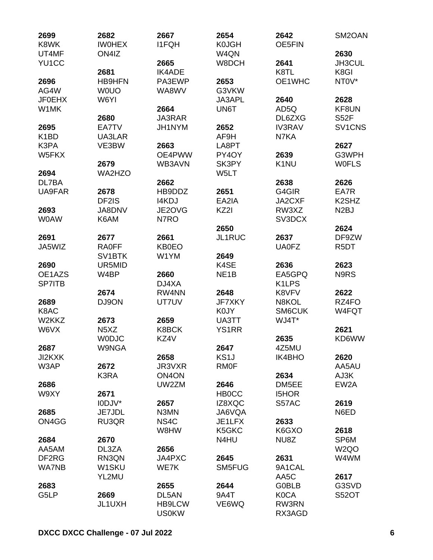| 2699<br>K8WK      | 2682<br><b>IWOHEX</b>         | 2667<br><b>I1FQH</b> | 2654<br><b>K0JGH</b> | 2642<br>OE5FIN     | SM2OAN                         |
|-------------------|-------------------------------|----------------------|----------------------|--------------------|--------------------------------|
| UT4MF             | ON4IZ                         |                      | W4QN                 |                    | 2630                           |
| YU1CC             |                               | 2665                 | W8DCH                | 2641               | JH3CUL                         |
|                   | 2681                          | <b>IK4ADE</b>        |                      | K8TL               | K8GI                           |
| 2696              | <b>HB9HFN</b>                 | PA3EWP               | 2653                 | OE1WHC             | NT0V*                          |
| AG4W              | <b>WOUO</b>                   | WA8WV                | G3VKW                |                    |                                |
|                   | W6YI                          |                      | JA3APL               |                    | 2628                           |
| <b>JF0EHX</b>     |                               |                      |                      | 2640               |                                |
| W1MK              |                               | 2664                 | UN6T                 | AD5Q               | KF8UN                          |
|                   | 2680                          | JA3RAR               |                      | DL6ZXG             | <b>S52F</b>                    |
| 2695              | EA7TV                         | JH1NYM               | 2652                 | <b>IV3RAV</b>      | SV1CNS                         |
| K <sub>1</sub> BD | UA3LAR                        |                      | AF9H                 | N7KA               |                                |
| K3PA              | VE3BW                         | 2663                 | LA8PT                |                    | 2627                           |
| W5FKX             |                               | OE4PWW               | PY4OY                | 2639               | G3WPH                          |
|                   | 2679                          | WB3AVN               | SK3PY                | K <sub>1</sub> NU  | <b>WOFLS</b>                   |
| 2694              | <b>WA2HZO</b>                 |                      | W5LT                 |                    |                                |
| DL7BA             |                               | 2662                 |                      | 2638               | 2626                           |
| <b>UA9FAR</b>     | 2678                          | HB9DDZ               | 2651                 | G4GIR              | EA7R                           |
|                   | DF2IS                         | <b>I4KDJ</b>         | EA2IA                | JA2CXF             | K <sub>2</sub> SH <sub>Z</sub> |
| 2693              | JA8DNV                        | JE2OVG               | KZ2I                 | RW3XZ              | N <sub>2</sub> BJ              |
| <b>WOAW</b>       | K6AM                          | N7RO                 |                      | SV3DCX             |                                |
|                   |                               |                      | 2650                 |                    | 2624                           |
| 2691              | 2677                          | 2661                 | JL1RUC               | 2637               | DF9ZW                          |
|                   |                               |                      |                      | <b>UA0FZ</b>       |                                |
| JA5WIZ            | <b>RA0FF</b>                  | <b>KB0EO</b>         |                      |                    | R <sub>5</sub> DT              |
|                   | SV <sub>1</sub> BTK           | W1YM                 | 2649                 |                    |                                |
| 2690              | UR5MID                        |                      | K4SE                 | 2636               | 2623                           |
| OE1AZS            | W4BP                          | 2660                 | NE <sub>1</sub> B    | EA5GPQ             | N9RS                           |
| <b>SP7ITB</b>     |                               | DJ4XA                |                      | K <sub>1</sub> LPS |                                |
|                   | 2674                          | RW4NN                | 2648                 | K8VFV              | 2622                           |
| 2689              | DJ9ON                         | UT7UV                | JF7XKY               | N8KOL              | RZ4FO                          |
| K8AC              |                               |                      | K0JY                 | SM6CUK             | W4FQT                          |
| W2KKZ             | 2673                          | 2659                 | UA3TT                | WJ4T*              |                                |
| W6VX              | N <sub>5</sub> X <sub>Z</sub> | <b>K8BCK</b>         | <b>YS1RR</b>         |                    | 2621                           |
|                   | <b>WODJC</b>                  | KZ4V                 |                      | 2635               | KD6WW                          |
| 2687              | <b>W9NGA</b>                  |                      | 2647                 | 4Z5MU              |                                |
| <b>JI2KXK</b>     |                               | 2658                 | KS <sub>1</sub> J    | <b>IK4BHO</b>      | 2620                           |
| W3AP              | 2672                          | JR3VXR               | <b>RM0F</b>          |                    | AA5AU                          |
|                   | K3RA                          | ON <sub>4</sub> ON   |                      | 2634               | AJ3K                           |
| 2686              |                               | UW2ZM                | 2646                 | DM5EE              | EW <sub>2</sub> A              |
|                   |                               |                      |                      |                    |                                |
| W9XY              | 2671                          |                      | <b>HBOCC</b>         | <b>I5HOR</b>       |                                |
|                   | I0DJV*                        | 2657                 | IZ8XQC               | S57AC              | 2619                           |
| 2685              | JE7JDL                        | N3MN                 | JA6VQA               |                    | N6ED                           |
| ON4GG             | RU3QR                         | NS <sub>4</sub> C    | JE1LFX               | 2633               |                                |
|                   |                               | W8HW                 | K5GKC                | K6GXO              | 2618                           |
| 2684              | 2670                          |                      | N4HU                 | NU8Z               | SP6M                           |
| AA5AM             | DL3ZA                         | 2656                 |                      |                    | W <sub>2</sub> QO              |
| DF2RG             | RN3QN                         | JA4PXC               | 2645                 | 2631               | W4WM                           |
| <b>WA7NB</b>      | W1SKU                         | WE7K                 | SM5FUG               | 9A1CAL             |                                |
|                   | YL2MU                         |                      |                      | AA5C               | 2617                           |
| 2683              |                               | 2655                 | 2644                 | <b>G0BLB</b>       | G3SVD                          |
| G5LP              | 2669                          | DL5AN                | 9A4T                 | <b>K0CA</b>        | <b>S52OT</b>                   |
|                   | JL1UXH                        | <b>HB9LCW</b>        | VE6WQ                | RW3RN              |                                |
|                   |                               | <b>US0KW</b>         |                      | RX3AGD             |                                |
|                   |                               |                      |                      |                    |                                |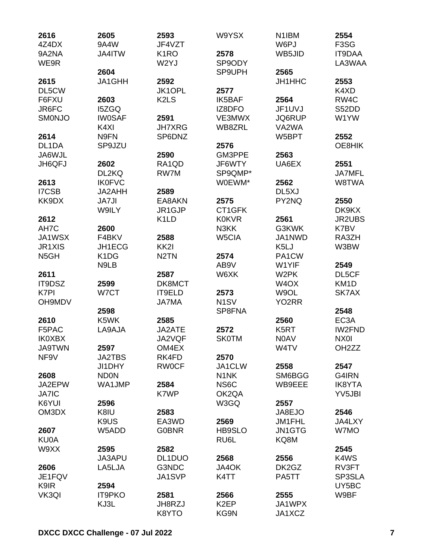| 2616              | 2605                          | 2593                          | W9YSX                         | N <sub>1</sub> IBM | 2554               |
|-------------------|-------------------------------|-------------------------------|-------------------------------|--------------------|--------------------|
| 4Z4DX             | 9A4W                          | JF4VZT                        |                               | W6PJ               | F3SG               |
| 9A2NA             | JA4ITW                        | K <sub>1</sub> RO             | 2578                          | WB5JID             | <b>IT9DAA</b>      |
| WE9R              |                               | W2YJ                          | SP9ODY                        |                    | LA3WAA             |
|                   | 2604                          |                               | SP9UPH                        | 2565               |                    |
| 2615              | JA1GHH                        | 2592                          |                               | JH1HHC             | 2553               |
| DL5CW             |                               | JK1OPL                        | 2577                          |                    | K4XD               |
| F6FXU             | 2603                          | K <sub>2</sub> L <sub>S</sub> | <b>IK5BAF</b>                 | 2564               | RW <sub>4</sub> C  |
| JR6FC             | <b>I5ZGQ</b>                  |                               | IZ8DFO                        | JF1UVJ             | S52DD              |
| <b>SMONJO</b>     | <b>IW0SAF</b>                 | 2591                          | VE3MWX                        | JQ6RUP             | W1YW               |
|                   | K4XI                          | <b>JH7XRG</b>                 | WB8ZRL                        | VA2WA              |                    |
| 2614              | N9FN                          | SP6DNZ                        |                               | W5BPT              | 2552               |
| DL1DA             | SP9JZU                        |                               | 2576                          |                    | OE8HIK             |
| JA6WJL            |                               | 2590                          | GM3PPE                        | 2563               |                    |
| JH6QFJ            | 2602                          | RA1QD                         | JF6WTY                        | UA6EX              | 2551               |
|                   | DL2KQ                         | RW7M                          | SP9QMP*                       |                    | <b>JA7MFL</b>      |
| 2613              | <b>IK0FVC</b>                 |                               | W0EWM*                        | 2562               | W8TWA              |
| I7CSB             | JA2AHH                        | 2589                          |                               | DL <sub>5</sub> XJ |                    |
| KK9DX             | <b>JA7JI</b>                  | EA8AKN                        | 2575                          | PY2NQ              | 2550               |
|                   | W9ILY                         | JR1GJP                        | CT1GFK                        |                    | DK9KX              |
| 2612              |                               | K <sub>1</sub> LD             | <b>K0KVR</b>                  | 2561               | <b>JR2UBS</b>      |
| AH7C              | 2600                          |                               | N3KK                          | G3KWK              | K7BV               |
| JA1WSX            | F4BKV                         | 2588                          | W5CIA                         | JA1NWD             | RA3ZH              |
| <b>JR1XIS</b>     | JH1ECG                        | KK <sub>2</sub>               |                               | K <sub>5</sub> LJ  | W3BW               |
|                   |                               | N <sub>2</sub> TN             | 2574                          | PA1CW              |                    |
| N <sub>5</sub> GH | K <sub>1</sub> D <sub>G</sub> |                               |                               |                    |                    |
|                   | N9LB                          |                               | AB9V                          | W1YIF              | 2549               |
| 2611              |                               | 2587                          | W6XK                          | W <sub>2</sub> PK  | DL5CF              |
| IT9DSZ            | 2599                          | DK8MCT                        |                               | W <sub>4</sub> OX  | KM <sub>1</sub> D  |
| K7PI              | W7CT                          | IT9ELD                        | 2573                          | W9OL               | SK7AX              |
| <b>OH9MDV</b>     |                               | <b>JA7MA</b>                  | N <sub>1</sub> SV             | YO2RR              |                    |
|                   | 2598                          |                               | SP8FNA                        |                    | 2548               |
| 2610              | K5WK                          | 2585                          |                               | 2560               | EC <sub>3</sub> A  |
| F5PAC             | LA9AJA                        | JA2ATE                        | 2572                          | K <sub>5</sub> RT  | IW2FND             |
| <b>IK0XBX</b>     |                               | JA2VQF                        | <b>SK0TM</b>                  | N0AV               | NX0I               |
| <b>JA9TWN</b>     | 2597                          | OM4EX                         |                               | W4TV               | OH <sub>2</sub> ZZ |
| NF <sub>9V</sub>  | <b>JA2TBS</b>                 | RK4FD                         | 2570                          |                    |                    |
|                   | <b>JI1DHY</b>                 | <b>RWOCF</b>                  | JA1CLW                        | 2558               | 2547               |
| 2608              | <b>ND0N</b>                   |                               | N <sub>1</sub> N <sub>K</sub> | SM6BGG             | G4IRN              |
| JA2EPW            | WA1JMP                        | 2584                          | NS6C                          | WB9EEE             | <b>IK8YTA</b>      |
| <b>JA7IC</b>      |                               | K7WP                          | OK2QA                         |                    | YV5JBI             |
| K6YUI             | 2596                          |                               | W3GQ                          | 2557               |                    |
| OM3DX             | K8IU                          | 2583                          |                               | JA8EJO             | 2546               |
|                   | K9US                          | EA3WD                         | 2569                          | JM1FHL             | JA4LXY             |
| 2607              | W5ADD                         | <b>G0BNR</b>                  | HB9SLO                        | JN1GTG             | W7MO               |
| KU0A              |                               |                               | RU6L                          | KQ8M               |                    |
| W9XX              | 2595                          | 2582                          |                               |                    | 2545               |
|                   | JA3APU                        | DL1DUO                        | 2568                          | 2556               | K4WS               |
| 2606              | LA5LJA                        | G3NDC                         | JA4OK                         | DK2GZ              | RV3FT              |
| JE1FQV            |                               | JA1SVP                        | K4TT                          | PA5TT              | SP3SLA             |
| K9IR              | 2594                          |                               |                               |                    | UY5BC              |
| VK3QI             | <b>IT9PKO</b>                 | 2581                          | 2566                          | 2555               | W9BF               |
|                   | KJ3L                          | JH8RZJ                        | K <sub>2</sub> EP             | JA1WPX             |                    |
|                   |                               | K8YTO                         | KG9N                          | JA1XCZ             |                    |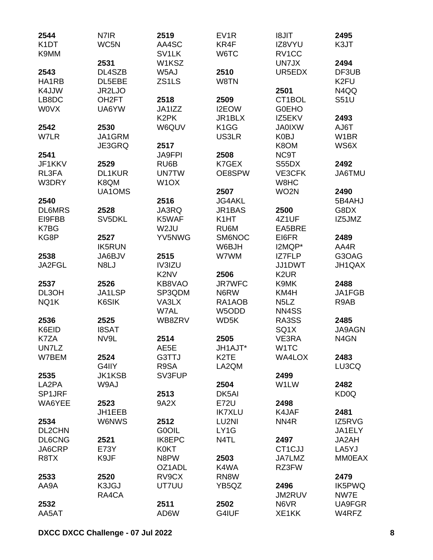| 2544                      | N7IR               | 2519                          | EV <sub>1</sub> R             | <b>TIL8I</b>                  | 2495              |
|---------------------------|--------------------|-------------------------------|-------------------------------|-------------------------------|-------------------|
| K <sub>1</sub> DT<br>K9MM | WC5N               | AA4SC<br>SV <sub>1</sub> LK   | KR4F<br>W6TC                  | IZ8VYU<br>RV <sub>1</sub> CC  | K3JT              |
|                           | 2531               | W1KSZ                         |                               | UN7JX                         | 2494              |
| 2543                      | DL4SZB             | W5AJ                          | 2510                          | UR5EDX                        | DF3UB             |
| HA1RB                     | DL5EBE             | ZS1LS                         | W8TN                          |                               | K <sub>2FU</sub>  |
| K4JJW                     | JR2LJO             |                               |                               | 2501                          | N4QQ              |
| LB8DC                     | OH <sub>2</sub> FT | 2518                          | 2509                          | CT1BOL                        | <b>S51U</b>       |
| <b>WOVX</b>               | UA6YW              | JA1IZZ                        | I2EOW                         | <b>GOEHO</b>                  |                   |
|                           |                    | K <sub>2</sub> PK             | JR1BLX                        | IZ5EKV                        | 2493              |
| 2542                      | 2530               | W6QUV                         | K <sub>1</sub> GG             | <b>JA0IXW</b>                 | AJ6T              |
| W7LR                      | JA1GRM             |                               | US3LR                         | K0BJ                          | W <sub>1</sub> BR |
|                           | JE3GRQ             | 2517                          |                               | K8OM                          | WS6X              |
| 2541                      |                    | <b>JA9FPI</b>                 | 2508                          | NC9T                          |                   |
| JF1KKV                    | 2529               | RU6B                          | K7GEX                         | S55DX                         | 2492              |
| RL3FA                     | <b>DL1KUR</b>      | <b>UN7TW</b>                  | OE8SPW                        | VE3CFK                        | JA6TMU            |
| W3DRY                     | K8QM               | W <sub>1</sub> OX             |                               | W8HC                          |                   |
|                           | UA1OMS             |                               | 2507                          | WO <sub>2N</sub>              | 2490              |
| 2540                      |                    | 2516                          | <b>JG4AKL</b>                 |                               | 5B4AHJ            |
| <b>DL6MRS</b>             | 2528               | JA3RQ                         | JR1BAS                        | 2500                          | G8DX              |
| EI9FBB                    | SV5DKL             | K5WAF                         | K <sub>1</sub> HT             | 4Z1UF                         | IZ5JMZ            |
| K7BG                      |                    | W2JU                          | RU6M                          | EA5BRE                        |                   |
| KG8P                      | 2527               | YV5NWG                        | SM6NOC                        | EI6FR                         | 2489              |
|                           | <b>IK5RUN</b>      |                               | W6BJH                         | I2MQP*                        | AA4R              |
| 2538                      | JA6BJV             | 2515                          | W7WM                          | IZ7FLP                        | G3OAG             |
| JA2FGL                    | N8LJ               | IV3IZU                        |                               | JJ1DWT                        | JH1QAX            |
|                           |                    | K <sub>2</sub> N <sub>V</sub> | 2506                          | K <sub>2</sub> UR             |                   |
| 2537                      | 2526               | KB8VAO                        | <b>JR7WFC</b>                 | K9MK                          | 2488              |
| DL3OH                     | JA1LSP             | SP3QDM                        | N6RW                          | KM4H                          | JA1FGB            |
| NQ1K                      | K6SIK              | VA3LX                         | RA1AOB                        | N <sub>5</sub> L <sub>Z</sub> | R9AB              |
|                           |                    | W7AL                          | W5ODD                         | NN4SS                         |                   |
| 2536                      | 2525               | WB8ZRV                        | WD5K                          | RA3SS                         | 2485              |
| K6EID                     | <b>I8SAT</b>       |                               |                               | SQ <sub>1</sub> X             | <b>JA9AGN</b>     |
| K7ZA                      | NV9L               | 2514                          | 2505                          | VE3RA                         | N <sub>4</sub> GN |
| UN7LZ                     |                    | AE5E                          | JH1AJT*                       | W <sub>1</sub> TC             |                   |
| W7BEM                     | 2524               | G3TTJ                         | K <sub>2</sub> T <sub>E</sub> | <b>WA4LOX</b>                 | 2483              |
|                           | G4IIY              | R9SA                          | LA2QM                         |                               | LU3CQ             |
| 2535                      | <b>JK1KSB</b>      | SV3FUP                        |                               | 2499                          |                   |
| LA2PA                     | W9AJ               |                               | 2504                          | W1LW                          | 2482              |
| SP1JRF                    |                    | 2513                          | DK5AI                         |                               | KD0Q              |
| WA6YEE                    | 2523               | 9A2X                          | E72U                          | 2498                          |                   |
|                           | JH1EEB             |                               | <b>IK7XLU</b>                 | K4JAF                         | 2481              |
| 2534                      | <b>W6NWS</b>       | 2512                          | LU2NI                         | NN <sub>4</sub> R             | IZ5RVG            |
| DL2CHN                    |                    | <b>G0OIL</b>                  | LY1G                          |                               | JA1ELY            |
| DL6CNG                    | 2521               | <b>IK8EPC</b>                 | N4TL                          | 2497                          | JA2AH             |
| JA6CRP                    | E73Y               | K0KT                          |                               | CT <sub>1</sub> CJJ           | LA5YJ             |
| R8TX                      | K9JF               | N8PW                          | 2503                          | JA7LMZ                        | <b>MM0EAX</b>     |
|                           |                    | OZ1ADL                        | K4WA                          | RZ3FW                         |                   |
| 2533                      | 2520               | RV9CX                         | RN8W                          |                               | 2479              |
| AA9A                      | K3JGJ              | UT7UU                         | YB5QZ                         | 2496                          | <b>IK5PWQ</b>     |
|                           | RA4CA              |                               |                               | JM2RUV                        | NW7E              |
| 2532                      |                    | 2511                          | 2502                          | N6VR                          | UA9FGR            |
| AA5AT                     |                    | AD6W                          | G4IUF                         | XE1KK                         | W4RFZ             |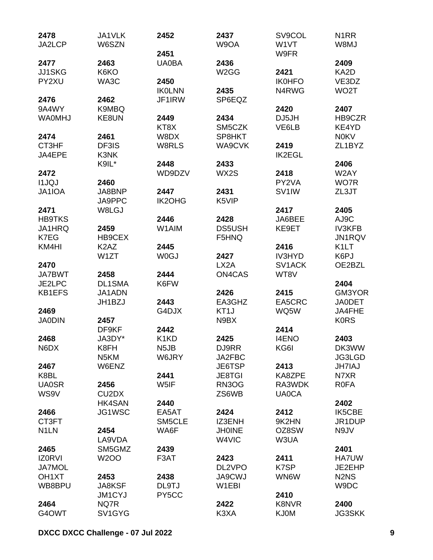| 2478               | JA1VLK                         | 2452              | 2437              | SV9COL              | N <sub>1</sub> RR             |
|--------------------|--------------------------------|-------------------|-------------------|---------------------|-------------------------------|
| JA2LCP             | W6SZN                          |                   | W9OA              | W1VT                | W8MJ                          |
|                    |                                | 2451              |                   | W9FR                |                               |
| 2477               | 2463                           | <b>UA0BA</b>      | 2436              |                     | 2409                          |
| <b>JJ1SKG</b>      | K6KO                           |                   | W <sub>2</sub> GG | 2421                | KA2D                          |
| PY2XU              | WA3C                           | 2450              |                   | <b>IK0HFO</b>       | VE3DZ                         |
|                    |                                | <b>IKOLNN</b>     | 2435              | N4RWG               | WO <sub>2</sub> T             |
| 2476               | 2462                           | JF1IRW            | SP6EQZ            |                     |                               |
| 9A4WY              | K9MBQ                          |                   |                   | 2420                | 2407                          |
| <b>WA0MHJ</b>      | KE8UN                          | 2449              | 2434              | DJ5JH               | HB9CZR                        |
|                    |                                | KT8X              | SM5CZK            | VE6LB               | KE4YD                         |
| 2474               | 2461                           | W8DX              | SP8HKT            |                     | <b>NOKV</b>                   |
| CT3HF              | DF3IS                          | W8RLS             | WA9CVK            | 2419                | ZL1BYZ                        |
| JA4EPE             | K3NK                           |                   |                   | <b>IK2EGL</b>       |                               |
|                    | K9IL*                          | 2448              | 2433              |                     | 2406                          |
| 2472               |                                | WD9DZV            | WX2S              | 2418                | W2AY                          |
| <b>I1JQJ</b>       | 2460                           |                   |                   | PY2VA               | WO7R                          |
| JA1IOA             | JA8BNP                         | 2447              | 2431              | SV <sub>1</sub> IW  | ZL3JT                         |
|                    | JA9PPC                         | <b>IK2OHG</b>     | K5VIP             |                     |                               |
| 2471               | W8LGJ                          |                   |                   | 2417                | 2405                          |
| <b>HB9TKS</b>      |                                | 2446              | 2428              | JA6BEE              | AJ9C                          |
| JA1HRQ             | 2459                           | W1AIM             | <b>DS5USH</b>     | KE9ET               | <b>IV3KFB</b>                 |
| K7EG               | HB9CEX                         |                   | F5HNQ             |                     | JN1RQV                        |
| KM4HI              | K <sub>2</sub> A <sub>Z</sub>  | 2445              |                   | 2416                | K <sub>1</sub> LT             |
|                    | W1ZT                           | <b>WOGJ</b>       | 2427              | <b>IV3HYD</b>       | K6PJ                          |
| 2470               |                                |                   | LX <sub>2</sub> A | SV <sub>1</sub> ACK | OE2BZL                        |
| <b>JA7BWT</b>      | 2458                           | 2444              | <b>ON4CAS</b>     | WT8V                |                               |
| JE2LPC             | <b>DL1SMA</b>                  | K6FW              |                   |                     | 2404                          |
| <b>KB1EFS</b>      | JA1ADN                         |                   | 2426              | 2415                | GM3YOR                        |
|                    | JH1BZJ                         | 2443              | EA3GHZ            | EA5CRC              | <b>JA0DET</b>                 |
| 2469               |                                | G4DJX             | KT <sub>1</sub> J | WQ5W                | JA4FHE                        |
| <b>JA0DIN</b>      | 2457<br>DF9KF                  | 2442              | N9BX              | 2414                | <b>KORS</b>                   |
| 2468               | JA3DY*                         | K1KD              | 2425              | <b>I4ENO</b>        | 2403                          |
| N6DX               | K8FH                           | N <sub>5</sub> JB | DJ9RR             | KG6I                | DK3WW                         |
|                    | N <sub>5</sub> KM              | W6JRY             | JA2FBC            |                     | JG3LGD                        |
| 2467               | W6ENZ                          |                   | JE6TSP            | 2413                | <b>JH7IAJ</b>                 |
| K8BL               |                                | 2441              | <b>JE8TGI</b>     | KA8ZPE              | N7XR                          |
| <b>UA0SR</b>       | 2456                           | W5IF              | RN3OG             | RA3WDK              | <b>ROFA</b>                   |
| WS9V               | CU <sub>2</sub> D <sub>X</sub> |                   | ZS6WB             | <b>UA0CA</b>        |                               |
|                    | HK4SAN                         | 2440              |                   |                     | 2402                          |
| 2466               | JG1WSC                         | EA5AT             | 2424              | 2412                | <b>IK5CBE</b>                 |
| CT3FT              |                                | SM5CLE            | IZ3ENH            | 9K2HN               | JR1DUP                        |
| N <sub>1</sub> LN  | 2454                           | WA6F              | <b>JH0INE</b>     | OZ8SW               | N9JV                          |
|                    | LA9VDA                         |                   | W4VIC             | W3UA                |                               |
| 2465               | SM5GMZ                         | 2439              |                   |                     | 2401                          |
| <b>IZORVI</b>      | <b>W2OO</b>                    | F3AT              | 2423              | 2411                | <b>HA7UW</b>                  |
| <b>JA7MOL</b>      |                                |                   | DL2VPO            | K7SP                | JE2EHP                        |
| OH <sub>1</sub> XT | 2453                           | 2438              | <b>JA9CWJ</b>     | WN6W                | N <sub>2</sub> N <sub>S</sub> |
| WB8BPU             | JA8KSF                         | DL9TJ             | W1EBI             |                     | W9DC                          |
|                    | JM1CYJ                         | PY5CC             |                   | 2410                |                               |
| 2464               | NQ7R                           |                   | 2422              | <b>K8NVR</b>        | 2400                          |
| G4OWT              | SV1GYG                         |                   | K3XA              | <b>KJ0M</b>         | <b>JG3SKK</b>                 |
|                    |                                |                   |                   |                     |                               |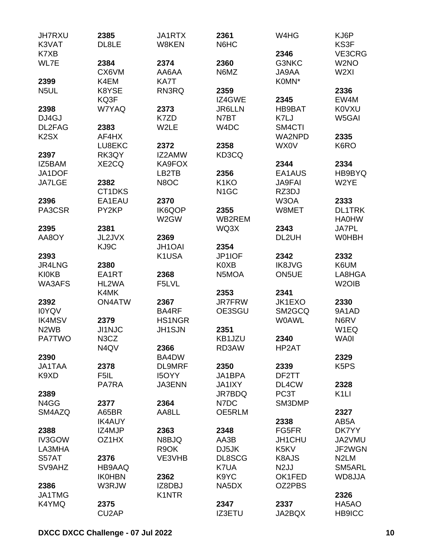| <b>JH7RXU</b>                 | 2385               | JA1RTX        | 2361              | W4HG              | KJ6P                          |
|-------------------------------|--------------------|---------------|-------------------|-------------------|-------------------------------|
| K3VAT                         | DL8LE              | W8KEN         | N6HC              |                   | KS3F                          |
| K7XB                          |                    |               |                   | 2346              | VE3CRG                        |
| WL7E                          | 2384               | 2374          | 2360              | G3NKC             | W <sub>2</sub> NO             |
|                               | CX6VM              | AA6AA         | N6MZ              | JA9AA             | W <sub>2XI</sub>              |
| 2399                          | K4EM               | KA7T          |                   | K0MN*             |                               |
| N <sub>5</sub> UL             | K8YSE              | RN3RQ         | 2359              |                   | 2336                          |
|                               | KQ3F               |               | IZ4GWE            | 2345              | EW4M                          |
| 2398                          | W7YAQ              | 2373          | <b>JR6LLN</b>     | <b>HB9BAT</b>     | <b>KOVXU</b>                  |
| DJ4GJ                         |                    | K7ZD          | N7BT              | K7LJ              | W5GAI                         |
| DL2FAG                        | 2383               | W2LE          | W4DC              | SM4CTI            |                               |
| K <sub>2</sub> S <sub>X</sub> | AF4HX              |               |                   | <b>WA2NPD</b>     | 2335                          |
|                               | LU8EKC             | 2372          | 2358              | WX0V              | K6RO                          |
| 2397                          | RK3QY              | IZ2AMW        | KD3CQ             |                   |                               |
| IZ5BAM                        | XE2CQ              | KA9FOX        |                   | 2344              | 2334                          |
| JA1DOF                        |                    | LB2TB         | 2356              | EA1AUS            | HB9BYQ                        |
| <b>JA7LGE</b>                 | 2382               | N8OC          | K <sub>1</sub> KO | <b>JA9FAI</b>     | W2YE                          |
|                               | CT1DKS             |               | N <sub>1</sub> GC | RZ3DJ             |                               |
| 2396                          | EA1EAU             | 2370          |                   | W3OA              | 2333                          |
| PA3CSR                        | PY2KP              | IK6QOP        | 2355              | W8MET             | <b>DL1TRK</b>                 |
|                               |                    | W2GW          | WB2REM            |                   | <b>HA0HW</b>                  |
| 2395                          | 2381               |               | WQ3X              | 2343              | <b>JA7PL</b>                  |
| AA8OY                         | JL2JVX             | 2369          |                   | DL2UH             | <b>WOHBH</b>                  |
|                               | KJ9C               | <b>JH1OAI</b> | 2354              |                   |                               |
| 2393                          |                    | K1USA         | JP1IOF            | 2342              | 2332                          |
| JR4LNG                        | 2380               |               | K0XB              | <b>IK8JVG</b>     | K6UM                          |
| <b>KI0KB</b>                  | EA1RT              | 2368          | N5MOA             | ON5UE             | LA8HGA                        |
| <b>WA3AFS</b>                 | HL2WA              | F5LVL         |                   |                   | W <sub>2</sub> OIB            |
|                               | K4MK               |               | 2353              | 2341              |                               |
| 2392                          | <b>ON4ATW</b>      | 2367          | <b>JR7FRW</b>     | JK1EXO            | 2330                          |
| <b>IOYQV</b>                  |                    | BA4RF         | OE3SGU            | SM2GCQ            | 9A1AD                         |
| <b>IK4MSV</b>                 | 2379               | <b>HS1NGR</b> |                   | <b>W0AWL</b>      | N6RV                          |
| N <sub>2</sub> W <sub>B</sub> | <b>JI1NJC</b>      | <b>JH1SJN</b> | 2351              |                   | W1EQ                          |
| <b>PA7TWO</b>                 | N3CZ               |               | KB1JZU            | 2340              | <b>WA0I</b>                   |
|                               | N4QV               | 2366          | RD3AW             | HP2AT             |                               |
| 2390                          |                    | BA4DW         |                   |                   | 2329                          |
| <b>JA1TAA</b>                 | 2378               | <b>DL9MRF</b> | 2350              | 2339              | K <sub>5</sub> P <sub>S</sub> |
| K9XD                          | F5IL               | <b>I5OYY</b>  | JA1BPA            | DF2TT             |                               |
|                               | PA7RA              | JA3ENN        | JA1IXY            | DL4CW             | 2328                          |
| 2389                          |                    |               | JR7BDQ            | PC <sub>3</sub> T | K <sub>1</sub> LI             |
| N4GG                          | 2377               | 2364          | N7DC              | SM3DMP            |                               |
| SM4AZQ                        | A65BR              | AA8LL         | OE5RLM            |                   | 2327                          |
|                               | <b>IK4AUY</b>      |               |                   | 2338              | AB5A                          |
| 2388                          | IZ4MJP             | 2363          | 2348              | FG5FR             | DK7YY                         |
| <b>IV3GOW</b>                 | OZ1HX              | N8BJQ         | AA3B              | JH1CHU            | JA2VMU                        |
| LA3MHA                        |                    | R9OK          | DJ5JK             | K5KV              | JF2WGN                        |
| S57AT                         | 2376               | VE3VHB        | DL8SCG            | K8AJS             | N <sub>2</sub> LM             |
| SV9AHZ                        | HB9AAQ             |               | K7UA              | N <sub>2</sub> JJ | SM5ARL                        |
|                               | <b>IK0HBN</b>      | 2362          | K9YC              | OK1FED            | WD8JJA                        |
| 2386                          | W3RJW              | IZ8DBJ        | NA5DX             | OZ2PBS            |                               |
| JA1TMG                        |                    | K1NTR         |                   |                   | 2326                          |
| K4YMQ                         | 2375               |               | 2347              | 2337              | HA5AO                         |
|                               | CU <sub>2</sub> AP |               | <b>IZ3ETU</b>     | JA2BQX            | HB9ICC                        |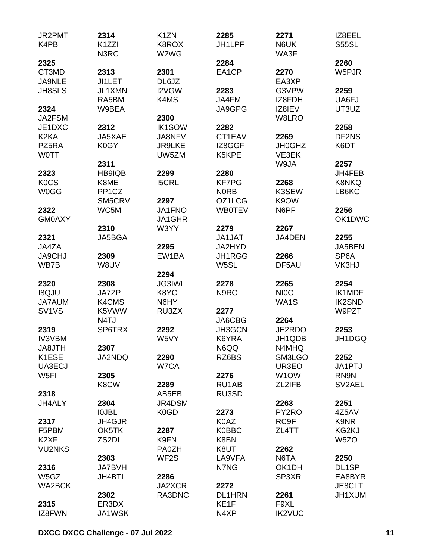| JR2PMT                         | 2314               | K <sub>1</sub> ZN | 2285          | 2271              | IZ8EEL            |
|--------------------------------|--------------------|-------------------|---------------|-------------------|-------------------|
| K4PB                           | K1ZZI<br>N3RC      | K8ROX<br>W2WG     | JH1LPF        | N6UK<br>WA3F      | <b>S55SL</b>      |
| 2325                           |                    |                   | 2284          |                   | 2260              |
| CT3MD                          | 2313               | 2301              | EA1CP         | 2270              | W5PJR             |
| <b>JA9NLE</b>                  | JI1LET             | DL6JZ             |               | EA3XP             |                   |
| <b>JH8SLS</b>                  | JL1XMN             | I2VGW             | 2283          | G3VPW             | 2259              |
|                                | RA5BM              | K4MS              | JA4FM         | IZ8FDH            | UA6FJ             |
| 2324                           | W9BEA              |                   | JA9GPG        | IZ8IEV            | UT3UZ             |
| JA2FSM                         |                    | 2300              |               | W8LRO             |                   |
| JE1DXC                         | 2312               | <b>IK1SOW</b>     | 2282          |                   | 2258              |
| K <sub>2</sub> KA              | JA5XAE             | JA8NFV            | CT1EAV        | 2269              | DF2NS             |
| PZ5RA                          | K0GY               | <b>JR9LKE</b>     | IZ8GGF        | <b>JH0GHZ</b>     | K6DT              |
| <b>WOTT</b>                    |                    | UW5ZM             | K5KPE         | VE3EK             |                   |
|                                | 2311               |                   |               | W9JA              | 2257              |
| 2323                           | HB9IQB             | 2299              | 2280          |                   | JH4FEB            |
| <b>KOCS</b>                    | K8ME               | <b>I5CRL</b>      | <b>KF7PG</b>  | 2268              | <b>K8NKQ</b>      |
| <b>W0GG</b>                    | PP <sub>1</sub> CZ |                   | <b>NORB</b>   | K3SEW             | LB6KC             |
|                                | SM5CRV             | 2297              | OZ1LCG        | K9OW              |                   |
| 2322                           | WC5M               | JA1FNO            | <b>WB0TEV</b> | N6PF              | 2256              |
| <b>GM0AXY</b>                  |                    | JA1GHR            |               |                   | OK1DWC            |
|                                | 2310               | W3YY              | 2279          | 2267              |                   |
| 2321                           | JA5BGA             |                   | <b>JA1JAT</b> | JA4DEN            | 2255              |
| JA4ZA                          |                    | 2295              | JA2HYD        |                   | JA5BEN            |
| <b>JA9CHJ</b>                  | 2309               | EW1BA             | JH1RGG        | 2266              | SP <sub>6</sub> A |
| WB7B                           | W8UV               |                   | W5SL          | DF5AU             | VK3HJ             |
|                                |                    | 2294              |               |                   |                   |
| 2320                           | 2308               | <b>JG3IWL</b>     | 2278          | 2265              | 2254              |
| <b>IBQJU</b>                   | JA7ZP              | K8YC              | N9RC          | <b>NIOC</b>       | IK1MDF            |
| JA7AUM                         | K4CMS              | N6HY              |               | WA1S              | <b>IK2SND</b>     |
| SV <sub>1</sub> V <sub>S</sub> | K5VWW              | RU3ZX             | 2277          |                   | W9PZT             |
|                                | N <sub>4</sub> TJ  |                   |               | 2264              |                   |
|                                | SP6TRX             |                   | JA6CBG        |                   | 2253              |
| 2319                           |                    | 2292              | JH3GCN        | JE2RDO            |                   |
| <b>IV3VBM</b>                  |                    | W5VY              | K6YRA         | JH1QDB            | JH1DGQ            |
| JA8JTH                         | 2307               |                   | N6QQ          | N4MHQ             |                   |
| K1ESE                          | JA2NDQ             | 2290              | RZ6BS         | SM3LGO            | 2252              |
| UA3ECJ                         |                    | W7CA              |               | UR3EO             | JA1PTJ            |
| W <sub>5FI</sub>               | 2305               |                   | 2276          | W <sub>1</sub> OW | RN9N              |
|                                | K8CW               | 2289              | RU1AB         | ZL2IFB            | SV2AEL            |
| 2318                           |                    | AB5EB             | RU3SD         |                   |                   |
| JH4ALY                         | 2304               | JR4DSM            |               | 2263              | 2251              |
|                                | <b>IOJBL</b>       | K0GD              | 2273          | PY2RO             | 4Z5AV             |
| 2317                           | JH4GJR             |                   | K0AZ          | RC9F              | K9NR              |
| F5PBM                          | OK5TK              | 2287              | <b>K0BBC</b>  | ZL4TT             | KG2KJ             |
| K <sub>2</sub> XF              | ZS2DL              | K9FN              | K8BN          |                   | W <sub>5</sub> ZO |
| <b>VU2NKS</b>                  |                    | <b>PA0ZH</b>      | K8UT          | 2262              |                   |
|                                | 2303               | WF <sub>2</sub> S | LA9VFA        | N6TA              | 2250              |
| 2316                           | <b>JA7BVH</b>      |                   | N7NG          | OK1DH             | DL1SP             |
| W5GZ                           | <b>JH4BTI</b>      | 2286              |               | SP3XR             | EA8BYR            |
| WA2BCK                         |                    | JA2XCR            | 2272          |                   | JE8CLT            |
|                                | 2302               | RA3DNC            | <b>DL1HRN</b> | 2261              | JH1XUM            |
| 2315                           | ER3DX              |                   | KE1F          | F9XL              |                   |
| IZ8FWN                         | JA1WSK             |                   | N4XP          | <b>IK2VUC</b>     |                   |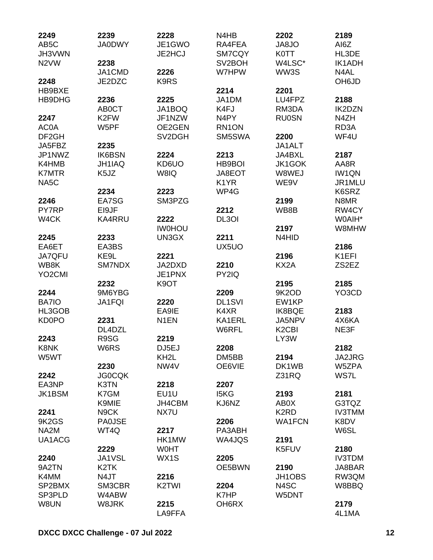| 2249                | 2239                  | 2228                          | N <sub>4</sub> H <sub>B</sub> | 2202                           | 2189              |
|---------------------|-----------------------|-------------------------------|-------------------------------|--------------------------------|-------------------|
| AB <sub>5</sub> C   | <b>JA0DWY</b>         | JE1GWO                        | RA4FEA                        | <b>OL8AL</b>                   | AI6Z              |
| JH3VWN              |                       | JE2HCJ                        | SM7CQY                        | <b>K0TT</b>                    | HL3DE             |
| N <sub>2</sub> VW   | 2238                  |                               | SV <sub>2</sub> BOH           | W4LSC*                         | <b>IK1ADH</b>     |
|                     | JA1CMD                | 2226                          | W7HPW                         | WW3S                           | N4AL              |
| 2248                | JE2DZC                | K9RS                          |                               |                                | OH6JD             |
| HB9BXE              |                       |                               | 2214                          | 2201                           |                   |
| HB9DHG              | 2236                  | 2225                          | JA1DM                         | LU4FPZ                         | 2188              |
|                     | <b>AB0CT</b>          | JA1BOQ                        | K4FJ                          | RM3DA                          | <b>IK2DZN</b>     |
| 2247                | K <sub>2</sub> FW     | JF1NZW                        | N <sub>4</sub> PY             | <b>RU0SN</b>                   | N4ZH              |
| AC0A                | W5PF                  | OE2GEN                        | RN1ON                         |                                | RD <sub>3</sub> A |
| DF <sub>2GH</sub>   |                       | SV2DGH                        | SM5SWA                        | 2200                           | WF4U              |
| JA5FBZ              | 2235                  |                               |                               | JA1ALT                         |                   |
| JP1NWZ              | <b>IK6BSN</b>         | 2224                          | 2213                          | JA4BXL                         | 2187              |
| K4HMB               | <b>JH1IAQ</b>         | KD6UO                         | HB9BOI                        | JK1GOK                         | AA8R              |
| <b>K7MTR</b>        | K <sub>5</sub> JZ     | W8IQ                          | JA8EOT                        | W8WEJ                          | <b>IW1QN</b>      |
| NA <sub>5</sub> C   |                       |                               | K <sub>1</sub> YR             | WE9V                           | JR1MLU            |
|                     | 2234                  | 2223                          | WP4G                          |                                | K6SRZ             |
| 2246                | EA7SG                 | SM3PZG                        |                               | 2199                           | N8MR              |
| PY7RP               | EI9JF                 |                               | 2212                          | WB8B                           | RW4CY             |
| W4CK                | KA4RRU                | 2222                          | DL3OI                         |                                | W0AIH*            |
|                     |                       | <b>IWOHOU</b>                 |                               | 2197                           | W8MHW             |
| 2245                | 2233                  | UN3GX                         | 2211                          | N4HID                          |                   |
| EA6ET               | EA3BS                 |                               | UX5UO                         |                                | 2186              |
| <b>JA7QFU</b>       | KE9L                  | 2221                          |                               | 2196                           | K1EFI             |
| WB8K                | SM7NDX                | JA2DXD                        | 2210                          | KX2A                           | ZS2EZ             |
| YO <sub>2</sub> CMI |                       | JE1PNX                        | PY2IQ                         |                                |                   |
|                     | 2232                  | K <sub>9</sub> OT             |                               | 2195                           | 2185              |
| 2244                | 9M6YBG                |                               | 2209                          | 9K2OD                          | YO3CD             |
| BA7IO               | <b>JA1FQI</b>         | 2220                          | <b>DL1SVI</b>                 | EW1KP                          |                   |
| HL3GOB              |                       | EA9IE                         | K4XR                          | <b>IK8BQE</b>                  | 2183              |
| <b>KD0PO</b>        | 2231                  | N <sub>1</sub> EN             | KA1ERL                        | JA5NPV                         | 4X6KA             |
|                     | DL4DZL                |                               | W6RFL                         | K <sub>2</sub> C <sub>BI</sub> | NE3F              |
| 2243                | R9SG                  | 2219                          |                               | LY3W                           |                   |
| K8NK                | W6RS                  | DJ5EJ                         | 2208                          |                                | 2182              |
| W5WT                |                       | KH <sub>2</sub> L             | DM5BB                         | 2194                           | JA2JRG            |
|                     |                       | NW4V                          | OE6VIE                        | DK1WB                          | W5ZPA             |
|                     | 2230<br><b>JG0CQK</b> |                               |                               |                                | WS7L              |
| 2242<br>EA3NP       |                       |                               | 2207                          | Z31RQ                          |                   |
|                     | K3TN                  | 2218                          |                               |                                |                   |
| JK1BSM              | K7GM                  | EU1U                          | I5KG                          | 2193                           | 2181              |
|                     | K9MIE                 | JH4CBM                        | KJ6NZ                         | AB0X                           | G3TQZ             |
| 2241                | N <sub>9</sub> CK     | NX7U                          |                               | K <sub>2</sub> R <sub>D</sub>  | <b>IV3TMM</b>     |
| 9K2GS               | <b>PA0JSE</b>         |                               | 2206                          | <b>WA1FCN</b>                  | K8DV              |
| NA <sub>2</sub> M   | WT4Q                  | 2217                          | PA3ABH                        |                                | W6SL              |
| UA1ACG              |                       | HK1MW                         | WA4JQS                        | 2191                           |                   |
|                     | 2229                  | <b>WOHT</b>                   |                               | K5FUV                          | 2180              |
| 2240                | <b>JA1VSL</b>         | WX1S                          | 2205                          |                                | <b>IV3TDM</b>     |
| 9A2TN               | K <sub>2</sub> TK     |                               | OE5BWN                        | 2190                           | JA8BAR            |
| K4MM                | N4JT                  | 2216                          |                               | JH1OBS                         | RW3QM             |
| SP2BMX              | SM3CBR                | K <sub>2</sub> T <sub>W</sub> | 2204                          | N4SC                           | W8BBQ             |
| SP3PLD              | W4ABW                 |                               | K7HP                          | W5DNT                          |                   |
| W8UN                | W8JRK                 | 2215                          | OH6RX                         |                                | 2179              |
|                     |                       | LA9FFA                        |                               |                                | 4L1MA             |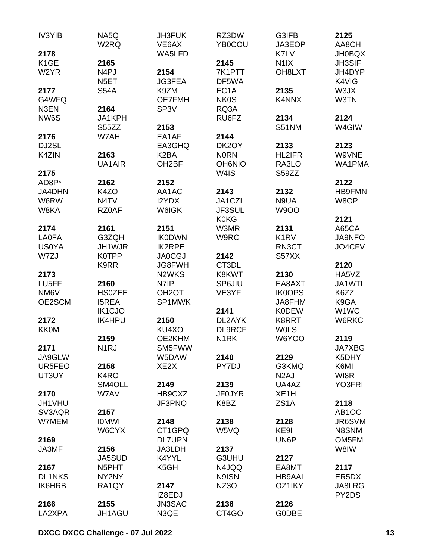| IV3YIB            | NA5Q<br>W2RQ      | <b>JH3FUK</b><br>VE6AX | RZ3DW<br><b>YB0COU</b> | G3IFB<br>JA3EOP               | 2125<br>AA8CH      |
|-------------------|-------------------|------------------------|------------------------|-------------------------------|--------------------|
| 2178              |                   | WA5LFD                 |                        | K7LV                          | <b>JH0BQX</b>      |
| K <sub>1</sub> GE | 2165              |                        | 2145                   | N <sub>1</sub> IX             | JH3SIF             |
| W2YR              | N <sub>4</sub> PJ | 2154                   | 7K1PTT                 | OH8LXT                        | JH4DYP             |
|                   | N <sub>5</sub> ET | <b>JG3FEA</b>          | DF5WA                  |                               | K4VIG              |
| 2177              | <b>S54A</b>       | K9ZM                   | EC <sub>1</sub> A      | 2135                          | W3JX               |
| G4WFQ             |                   | <b>OE7FMH</b>          | <b>NK0S</b>            | K4NNX                         | W3TN               |
| N3EN              | 2164              | SP <sub>3</sub> V      | RQ3A                   |                               |                    |
| NW6S              | JA1KPH            |                        | RU6FZ                  | 2134                          | 2124               |
|                   |                   |                        |                        |                               |                    |
|                   | S55ZZ             | 2153                   |                        | <b>S51NM</b>                  | W4GIW              |
| 2176              | W7AH              | EA1AF                  | 2144                   |                               |                    |
| DJ2SL             |                   | EA3GHQ                 | DK2OY                  | 2133                          | 2123               |
| K4ZIN             | 2163              | K <sub>2</sub> BA      | <b>NORN</b>            | <b>HL2IFR</b>                 | W9VNE              |
|                   | UA1AIR            | OH <sub>2</sub> BF     | <b>OH6NIO</b>          | RA3LO                         | WA1PMA             |
| 2175              |                   |                        | W <sub>4</sub> IS      | S59ZZ                         |                    |
| AD8P*             | 2162              | 2152                   |                        |                               | 2122               |
| JA4DHN            | K4ZO              | AA1AC                  | 2143                   | 2132                          | <b>HB9FMN</b>      |
| W6RW              | N <sub>4</sub> TV | I2YDX                  | JA1CZI                 | N9UA                          | W8OP               |
| W8KA              | RZ0AF             | <b>W6IGK</b>           | JF3SUL                 | <b>W9OO</b>                   |                    |
|                   |                   |                        |                        |                               |                    |
|                   |                   |                        | <b>K0KG</b>            |                               | 2121               |
| 2174              | 2161              | 2151                   | W3MR                   | 2131                          | A65CA              |
| <b>LA0FA</b>      | G3ZQH             | <b>IK0DWN</b>          | W9RC                   | K <sub>1</sub> R <sub>V</sub> | JA9NFO             |
| <b>US0YA</b>      | JH1WJR            | <b>IK2RPE</b>          |                        | RN3CT                         | JO4CFV             |
| W7ZJ              | <b>K0TPP</b>      | <b>JA0CGJ</b>          | 2142                   | S57XX                         |                    |
|                   | K9RR              | JG8FWH                 | CT3DL                  |                               | 2120               |
| 2173              |                   | N <sub>2</sub> WKS     | K8KWT                  | 2130                          | HA5VZ              |
| LU5FF             | 2160              | N7IP                   | SP6JIU                 | EA8AXT                        | JA1WTI             |
| NM6V              | <b>HS0ZEE</b>     | OH <sub>2</sub> OT     | VE3YF                  | <b>IK0OPS</b>                 | K6ZZ               |
| OE2SCM            | <b>I5REA</b>      | SP1MWK                 |                        | JA8FHM                        | K9GA               |
|                   |                   |                        |                        |                               |                    |
|                   | IK1CJO            |                        | 2141                   | <b>K0DEW</b>                  | W1WC               |
| 2172              | <b>IK4HPU</b>     | 2150                   | DL2AYK                 | K8RRT                         | W6RKC              |
| <b>KK0M</b>       |                   | KU4XO                  | <b>DL9RCF</b>          | <b>WOLS</b>                   |                    |
|                   | 2159              | OE2KHM                 | N <sub>1</sub> RK      | W6YOO                         | 2119               |
| 2171              | N <sub>1</sub> RJ | SM5FWW                 |                        |                               | <b>JA7XBG</b>      |
| JA9GLW            |                   | W5DAW                  | 2140                   | 2129                          | K5DHY              |
| UR5FEO            | 2158              | XE <sub>2</sub> X      | PY7DJ                  | G3KMQ                         | K6MI               |
| UT3UY             | K4RO              |                        |                        | N <sub>2</sub> AJ             | WI8R               |
|                   | SM4OLL            | 2149                   | 2139                   | UA4AZ                         | YO3FRI             |
| 2170              | W7AV              | HB9CXZ                 | <b>JF0JYR</b>          | XE <sub>1</sub> H             |                    |
| JH1VHU            |                   | JF3PNQ                 | K8BZ                   | ZS <sub>1</sub> A             | 2118               |
|                   |                   |                        |                        |                               |                    |
| SV3AQR            | 2157              |                        |                        |                               | AB <sub>1</sub> OC |
| W7MEM             | <b>IOMWI</b>      | 2148                   | 2138                   | 2128                          | JR6SVM             |
|                   | W6CYX             | CT1GPQ                 | W5VQ                   | KE9I                          | N8SNM              |
| 2169              |                   | <b>DL7UPN</b>          |                        | UN6P                          | OM5FM              |
| JA3MF             | 2156              | JA3LDH                 | 2137                   |                               | W8IW               |
|                   | <b>JA5SUD</b>     | K4YYL                  | G3UHU                  | 2127                          |                    |
| 2167              | N5PHT             | K5GH                   | N4JQQ                  | EA8MT                         | 2117               |
| <b>DL1NKS</b>     | NY2NY             |                        | N9ISN                  | <b>HB9AAL</b>                 | ER5DX              |
| <b>IK6HRB</b>     | RA1QY             | 2147                   | NZ3O                   | OZ1IKY                        | JA8LRG             |
|                   |                   | IZ8EDJ                 |                        |                               | PY2DS              |
| 2166              | 2155              | JN3SAC                 | 2136                   | 2126                          |                    |
| LA2XPA            | JH1AGU            | N3QE                   | CT4GO                  | <b>GODBE</b>                  |                    |
|                   |                   |                        |                        |                               |                    |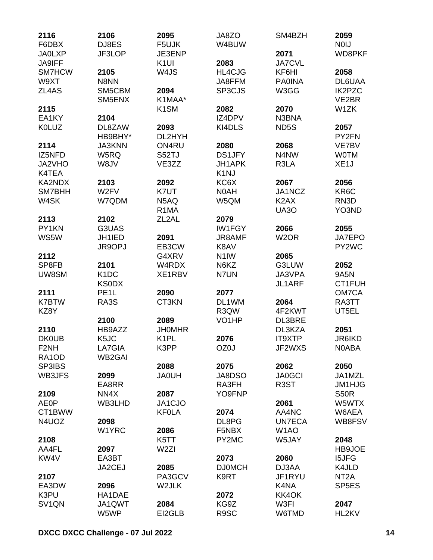| 2116                 | 2106              | 2095               | JA8ZO              | SM4BZH            | 2059               |
|----------------------|-------------------|--------------------|--------------------|-------------------|--------------------|
| F6DBX                | DJ8ES             | F5UJK              | W4BUW              |                   | <b>NOIJ</b>        |
| <b>JA0LXP</b>        | JF3LOP            | JE3ENP             |                    | 2071              | WD8PKF             |
| <b>JA9IFF</b>        |                   | K <sub>1UI</sub>   | 2083               | <b>JA7CVL</b>     |                    |
| SM7HCW               | 2105              | W4JS               | HL4CJG             | KF6HI             | 2058               |
| W9XT                 | N8NN              |                    | JA8FFM             | <b>PA0INA</b>     | DL6UAA             |
| ZL4AS                | SM5CBM            | 2094               | SP3CJS             | W3GG              | <b>IK2PZC</b>      |
|                      | SM5ENX            | K1MAA*             |                    |                   | VE2BR              |
| 2115                 |                   | K <sub>1</sub> SM  | 2082               | 2070              | W1ZK               |
| EA1KY                | 2104              |                    | IZ4DPV             | N3BNA             |                    |
| <b>K0LUZ</b>         | DL8ZAW            | 2093               | KI4DLS             | ND <sub>5</sub> S | 2057               |
|                      | HB9BHY*           | DL2HYH             |                    |                   | PY2FN              |
| 2114                 | <b>JA3KNN</b>     | ON4RU              | 2080               | 2068              | VE7BV              |
| IZ5NFD               | W5RQ              | S52TJ              | <b>DS1JFY</b>      | N4NW              | <b>WOTM</b>        |
| JA2VHO               | W8JV              | VE3ZZ              | JH1APK             | R3LA              | XE <sub>1</sub> J  |
| K4TEA                |                   |                    | K <sub>1</sub> NJ  |                   |                    |
| KA2NDX               | 2103              | 2092               | KC6X               | 2067              | 2056               |
| SM7BHH               | W2FV              | K7UT               | N0AH               | JA1NCZ            | KR <sub>6</sub> C  |
| W4SK                 | W7QDM             | N5AQ               | W5QM               | K <sub>2</sub> AX | RN <sub>3</sub> D  |
|                      |                   | R <sub>1</sub> MA  |                    | <b>UA30</b>       | YO3ND              |
| 2113                 | 2102              | ZL <sub>2</sub> AL | 2079               |                   |                    |
| PY1KN                | G3UAS             |                    | <b>IW1FGY</b>      | 2066              | 2055               |
| WS5W                 | JH1IED            | 2091               | JR8AMF             | W <sub>2</sub> OR | JA7EPO             |
|                      | JR9OPJ            | EB3CW              | K8AV               |                   | PY2WC              |
| 2112                 |                   | G4XRV              | N <sub>1</sub> IW  | 2065              |                    |
| SP8FB                | 2101              | W4RDX              | N6KZ               | G3LUW             | 2052               |
| UW8SM                | K <sub>1</sub> DC | XE1RBV             | N7UN               | JA3VPA            | 9A5N               |
|                      | <b>KSODX</b>      |                    |                    | JL1ARF            | CT1FUH             |
|                      | PE <sub>1</sub> L |                    |                    |                   | OM7CA              |
| 2111<br><b>K7BTW</b> |                   | 2090<br>CT3KN      | 2077<br>DL1WM      |                   |                    |
|                      | RA3S              |                    |                    | 2064              | RA3TT              |
| KZ8Y                 |                   |                    | R3QW               | 4F2KWT            | UT5EL              |
|                      | 2100              | 2089               | VO <sub>1</sub> HP | DL3BRE            |                    |
| 2110                 | HB9AZZ            | <b>JHOMHR</b>      |                    | DL3KZA            | 2051               |
| <b>DK0UB</b>         | K <sub>5</sub> JC | K <sub>1</sub> PL  | 2076               | <b>IT9XTP</b>     | <b>JR6IKD</b>      |
| F <sub>2</sub> NH    | LA7GIA            | K3PP               | OZ0J               | JF2WXS            | N0ABA              |
| RA1OD                | <b>WB2GAI</b>     |                    |                    |                   |                    |
| SP3IBS               |                   | 2088               | 2075               | 2062              | 2050               |
| WB3JFS               | 2099              | <b>HU0AL</b>       | JA8DSO             | <b>JA0GCI</b>     | JA1MZL             |
|                      | EA8RR             |                    | RA3FH              | R <sub>3</sub> ST | <b>JM1HJG</b>      |
| 2109                 | NN4X              | 2087               | YO9FNP             |                   | <b>S50R</b>        |
| <b>AE0P</b>          | WB3LHD            | JA1CJO             |                    | 2061              | W5WTX              |
| CT1BWW               |                   | <b>KF0LA</b>       | 2074               | AA4NC             | W6AEA              |
| N4UOZ                | 2098              |                    | DL8PG              | <b>UN7ECA</b>     | WB8FSV             |
|                      | W1YRC             | 2086               | F5NBX              | W <sub>1</sub> AO |                    |
| 2108                 |                   | K5TT               | PY2MC              | W5JAY             | 2048               |
| AA4FL                | 2097              | W <sub>2ZI</sub>   |                    |                   | HB9JOE             |
| KW4V                 | EA3BT             |                    | 2073               | 2060              | <b>I5JFG</b>       |
|                      | JA2CEJ            | 2085               | <b>DJ0MCH</b>      | DJ3AA             | K4JLD              |
| 2107                 |                   | PA3GCV             | K9RT               | JF1RYU            | NT <sub>2</sub> A  |
| EA3DW                | 2096              | W2JLK              |                    | K4NA              | SP <sub>5</sub> ES |
| K3PU                 | HA1DAE            |                    | 2072               | KK4OK             |                    |
| SV <sub>1</sub> QN   | JA1QWT            | 2084               | KG9Z               | W3FI              | 2047               |
|                      | W5WP              | EI2GLB             | R9SC               | W6TMD             | HL2KV              |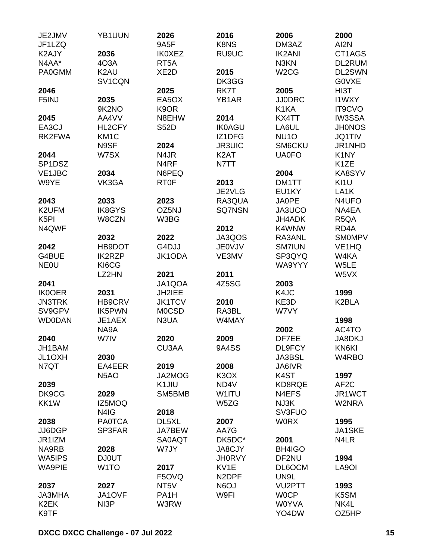| 2036<br>CT1AGS<br>K2AJY<br><b>IK0XEZ</b><br>RU9UC<br><b>IK2ANI</b><br>N4AA*<br>4O3A<br>N3KN<br>DL2RUM<br>RT <sub>5</sub> A<br>DL2SWN<br>K <sub>2</sub> AU<br>XE <sub>2</sub> D<br>2015<br>W <sub>2</sub> CG<br><b>PA0GMM</b><br>SV <sub>1</sub> CQN<br>DK3GG<br>G0VXE<br>2025<br>RK7T<br>2005<br>HI3T<br>2046<br>F5INJ<br>2035<br>EA5OX<br><b>JJ0DRC</b><br><b>I1WXY</b><br>YB1AR<br>9K2NO<br>K9OR<br>K1KA<br><b>IT9CVO</b><br>2045<br>2014<br><b>IW3SSA</b><br>AA4VV<br>N8EHW<br>KX4TT<br>EA3CJ<br><b>IK0AGU</b><br>LA6UL<br><b>JH0NOS</b><br>HL2CFY<br><b>S52D</b><br>RK2FWA<br>KM <sub>1</sub> C<br>NU <sub>10</sub><br><b>JQ1TIV</b><br>IZ1DFG<br>N9SF<br>SM6CKU<br>2024<br><b>JR3UIC</b><br>JR1NHD<br>N4JR<br>K <sub>2</sub> AT<br><b>UA0FO</b><br>K <sub>1</sub> NY<br>2044<br>W7SX<br>SP1DSZ<br>N <sub>4</sub> RF<br>N7TT<br>K <sub>1</sub> ZE<br>VE1JBC<br>2034<br>KA8SYV<br>N6PEQ<br>2004<br>W9YE<br>VK3GA<br><b>RT0F</b><br>2013<br>KI <sub>1U</sub><br>DM1TT<br>JE2VLG<br>EU1KY<br>LA <sub>1</sub> K<br>2023<br>RA3QUA<br>2043<br>2033<br><b>JA0PE</b><br>N4UFO<br>K2UFM<br><b>IK8GYS</b><br>OZ5NJ<br>JA3UCO<br><b>SQ7NSN</b><br>NA4EA<br>K <sub>5</sub> PI<br>W8CZN<br>W3BG<br>JH4ADK<br>R <sub>5</sub> QA<br>N4QWF<br>2012<br>K4WNW<br>RD <sub>4</sub> A<br>2022<br>JA3QOS<br>RA3ANL<br><b>SMOMPV</b><br>2032<br>HB9DOT<br>G4DJJ<br>VE <sub>1</sub> HQ<br>2042<br><b>JE0VJV</b><br><b>SM7IUN</b><br>G4BUE<br><b>IK2RZP</b><br>JK1ODA<br>VE3MV<br>SP3QYQ<br>W4KA<br><b>NEOU</b><br>KI6CG<br>W5LE<br>WA9YYY<br>LZ2HN<br>2021<br>2011<br>W5VX<br>4Z5SG<br>2041<br>JA1QOA<br>2003<br><b>IK0OER</b><br>2031<br>JH2IEE<br>K4JC<br>1999<br>HB9CRV<br><b>JK1TCV</b><br>2010<br>K2BLA<br><b>JN3TRK</b><br>KE3D<br>SV9GPV<br><b>IK5PWN</b><br>RA3BL<br><b>MOCSD</b><br>W7VY<br><b>WD0DAN</b><br>JE1AEX<br>N3UA<br>W4MAY<br>1998<br>NA9A<br>2002<br>AC4TO<br>2009<br>2040<br>W7IV<br>2020<br>DF7EE<br>JA8DKJ<br><b>9A4SS</b><br>JH1BAM<br>CU3AA<br>DL9FCY<br>KN6KI<br>JL1OXH<br>2030<br>JA3BSL<br>W4RBO<br>N7QT<br>2008<br>EA4EER<br>2019<br>JA6IVR<br>K <sub>3</sub> O <sub>X</sub><br>K4ST<br>N <sub>5</sub> AO<br>JA2MOG<br>1997<br>2039<br>K <sub>1</sub> JIU<br>AF <sub>2</sub> C<br>ND4V<br>KD8RQE<br>DK9CG<br>SM5BMB<br>W1ITU<br>2029<br>N4EFS<br>JR1WCT<br>KK1W<br>NJ3K<br>W2NRA<br>IZ5MOQ<br>W5ZG<br>SV3FUO<br>N <sub>4</sub> I <sub>G</sub><br>2018<br>2038<br><b>PA0TCA</b><br>DL5XL<br>2007<br><b>WORX</b><br>1995<br>JJ6DGP<br>AA7G<br>JA1SKE<br>SP3FAR<br>JA7BEW<br>JR1IZM<br><b>SA0AQT</b><br>DK5DC*<br>2001<br>N4LR<br>W7JY<br>NA9RB<br>2028<br><b>JA8CJY</b><br>BH4IGO<br><b>JH0RVY</b><br>WA5IPS<br><b>DJ0UT</b><br>DF2NU<br>1994<br>W <sub>1</sub> TO<br>KV1E<br><b>WA9PIE</b><br>2017<br>DL6OCM<br>LA9OI<br>N <sub>2</sub> DPF<br>F5OVQ<br>UN9L<br>N6OJ<br>VU <sub>2</sub> PTT<br>2037<br>2027<br>NT <sub>5</sub> V<br>1993<br>W9FI<br><b>JA3MHA</b><br>JA1OVF<br>PA <sub>1</sub> H<br><b>WOCP</b><br>K5SM<br>W3RW<br><b>W0YVA</b><br>K <sub>2</sub> EK<br>NI3P<br>NK4L<br>K9TF<br>YO4DW<br>OZ5HP | JE2JMV<br>JF1LZQ | YB1UUN | 2026<br>9A5F | 2016<br>K8NS | 2006<br>DM3AZ | 2000<br>AI2N |
|-------------------------------------------------------------------------------------------------------------------------------------------------------------------------------------------------------------------------------------------------------------------------------------------------------------------------------------------------------------------------------------------------------------------------------------------------------------------------------------------------------------------------------------------------------------------------------------------------------------------------------------------------------------------------------------------------------------------------------------------------------------------------------------------------------------------------------------------------------------------------------------------------------------------------------------------------------------------------------------------------------------------------------------------------------------------------------------------------------------------------------------------------------------------------------------------------------------------------------------------------------------------------------------------------------------------------------------------------------------------------------------------------------------------------------------------------------------------------------------------------------------------------------------------------------------------------------------------------------------------------------------------------------------------------------------------------------------------------------------------------------------------------------------------------------------------------------------------------------------------------------------------------------------------------------------------------------------------------------------------------------------------------------------------------------------------------------------------------------------------------------------------------------------------------------------------------------------------------------------------------------------------------------------------------------------------------------------------------------------------------------------------------------------------------------------------------------------------------------------------------------------------------------------------------------------------------------------------------------------------------------------------------------------------------------------------------------------------------------------------------------------------------------------------------------------------------------------------------------------------------------------------------------------------------------------------------------------------------------------------------------------------------|------------------|--------|--------------|--------------|---------------|--------------|
|                                                                                                                                                                                                                                                                                                                                                                                                                                                                                                                                                                                                                                                                                                                                                                                                                                                                                                                                                                                                                                                                                                                                                                                                                                                                                                                                                                                                                                                                                                                                                                                                                                                                                                                                                                                                                                                                                                                                                                                                                                                                                                                                                                                                                                                                                                                                                                                                                                                                                                                                                                                                                                                                                                                                                                                                                                                                                                                                                                                                                         |                  |        |              |              |               |              |
|                                                                                                                                                                                                                                                                                                                                                                                                                                                                                                                                                                                                                                                                                                                                                                                                                                                                                                                                                                                                                                                                                                                                                                                                                                                                                                                                                                                                                                                                                                                                                                                                                                                                                                                                                                                                                                                                                                                                                                                                                                                                                                                                                                                                                                                                                                                                                                                                                                                                                                                                                                                                                                                                                                                                                                                                                                                                                                                                                                                                                         |                  |        |              |              |               |              |
|                                                                                                                                                                                                                                                                                                                                                                                                                                                                                                                                                                                                                                                                                                                                                                                                                                                                                                                                                                                                                                                                                                                                                                                                                                                                                                                                                                                                                                                                                                                                                                                                                                                                                                                                                                                                                                                                                                                                                                                                                                                                                                                                                                                                                                                                                                                                                                                                                                                                                                                                                                                                                                                                                                                                                                                                                                                                                                                                                                                                                         |                  |        |              |              |               |              |
|                                                                                                                                                                                                                                                                                                                                                                                                                                                                                                                                                                                                                                                                                                                                                                                                                                                                                                                                                                                                                                                                                                                                                                                                                                                                                                                                                                                                                                                                                                                                                                                                                                                                                                                                                                                                                                                                                                                                                                                                                                                                                                                                                                                                                                                                                                                                                                                                                                                                                                                                                                                                                                                                                                                                                                                                                                                                                                                                                                                                                         |                  |        |              |              |               |              |
|                                                                                                                                                                                                                                                                                                                                                                                                                                                                                                                                                                                                                                                                                                                                                                                                                                                                                                                                                                                                                                                                                                                                                                                                                                                                                                                                                                                                                                                                                                                                                                                                                                                                                                                                                                                                                                                                                                                                                                                                                                                                                                                                                                                                                                                                                                                                                                                                                                                                                                                                                                                                                                                                                                                                                                                                                                                                                                                                                                                                                         |                  |        |              |              |               |              |
|                                                                                                                                                                                                                                                                                                                                                                                                                                                                                                                                                                                                                                                                                                                                                                                                                                                                                                                                                                                                                                                                                                                                                                                                                                                                                                                                                                                                                                                                                                                                                                                                                                                                                                                                                                                                                                                                                                                                                                                                                                                                                                                                                                                                                                                                                                                                                                                                                                                                                                                                                                                                                                                                                                                                                                                                                                                                                                                                                                                                                         |                  |        |              |              |               |              |
|                                                                                                                                                                                                                                                                                                                                                                                                                                                                                                                                                                                                                                                                                                                                                                                                                                                                                                                                                                                                                                                                                                                                                                                                                                                                                                                                                                                                                                                                                                                                                                                                                                                                                                                                                                                                                                                                                                                                                                                                                                                                                                                                                                                                                                                                                                                                                                                                                                                                                                                                                                                                                                                                                                                                                                                                                                                                                                                                                                                                                         |                  |        |              |              |               |              |
|                                                                                                                                                                                                                                                                                                                                                                                                                                                                                                                                                                                                                                                                                                                                                                                                                                                                                                                                                                                                                                                                                                                                                                                                                                                                                                                                                                                                                                                                                                                                                                                                                                                                                                                                                                                                                                                                                                                                                                                                                                                                                                                                                                                                                                                                                                                                                                                                                                                                                                                                                                                                                                                                                                                                                                                                                                                                                                                                                                                                                         |                  |        |              |              |               |              |
|                                                                                                                                                                                                                                                                                                                                                                                                                                                                                                                                                                                                                                                                                                                                                                                                                                                                                                                                                                                                                                                                                                                                                                                                                                                                                                                                                                                                                                                                                                                                                                                                                                                                                                                                                                                                                                                                                                                                                                                                                                                                                                                                                                                                                                                                                                                                                                                                                                                                                                                                                                                                                                                                                                                                                                                                                                                                                                                                                                                                                         |                  |        |              |              |               |              |
|                                                                                                                                                                                                                                                                                                                                                                                                                                                                                                                                                                                                                                                                                                                                                                                                                                                                                                                                                                                                                                                                                                                                                                                                                                                                                                                                                                                                                                                                                                                                                                                                                                                                                                                                                                                                                                                                                                                                                                                                                                                                                                                                                                                                                                                                                                                                                                                                                                                                                                                                                                                                                                                                                                                                                                                                                                                                                                                                                                                                                         |                  |        |              |              |               |              |
|                                                                                                                                                                                                                                                                                                                                                                                                                                                                                                                                                                                                                                                                                                                                                                                                                                                                                                                                                                                                                                                                                                                                                                                                                                                                                                                                                                                                                                                                                                                                                                                                                                                                                                                                                                                                                                                                                                                                                                                                                                                                                                                                                                                                                                                                                                                                                                                                                                                                                                                                                                                                                                                                                                                                                                                                                                                                                                                                                                                                                         |                  |        |              |              |               |              |
|                                                                                                                                                                                                                                                                                                                                                                                                                                                                                                                                                                                                                                                                                                                                                                                                                                                                                                                                                                                                                                                                                                                                                                                                                                                                                                                                                                                                                                                                                                                                                                                                                                                                                                                                                                                                                                                                                                                                                                                                                                                                                                                                                                                                                                                                                                                                                                                                                                                                                                                                                                                                                                                                                                                                                                                                                                                                                                                                                                                                                         |                  |        |              |              |               |              |
|                                                                                                                                                                                                                                                                                                                                                                                                                                                                                                                                                                                                                                                                                                                                                                                                                                                                                                                                                                                                                                                                                                                                                                                                                                                                                                                                                                                                                                                                                                                                                                                                                                                                                                                                                                                                                                                                                                                                                                                                                                                                                                                                                                                                                                                                                                                                                                                                                                                                                                                                                                                                                                                                                                                                                                                                                                                                                                                                                                                                                         |                  |        |              |              |               |              |
|                                                                                                                                                                                                                                                                                                                                                                                                                                                                                                                                                                                                                                                                                                                                                                                                                                                                                                                                                                                                                                                                                                                                                                                                                                                                                                                                                                                                                                                                                                                                                                                                                                                                                                                                                                                                                                                                                                                                                                                                                                                                                                                                                                                                                                                                                                                                                                                                                                                                                                                                                                                                                                                                                                                                                                                                                                                                                                                                                                                                                         |                  |        |              |              |               |              |
|                                                                                                                                                                                                                                                                                                                                                                                                                                                                                                                                                                                                                                                                                                                                                                                                                                                                                                                                                                                                                                                                                                                                                                                                                                                                                                                                                                                                                                                                                                                                                                                                                                                                                                                                                                                                                                                                                                                                                                                                                                                                                                                                                                                                                                                                                                                                                                                                                                                                                                                                                                                                                                                                                                                                                                                                                                                                                                                                                                                                                         |                  |        |              |              |               |              |
|                                                                                                                                                                                                                                                                                                                                                                                                                                                                                                                                                                                                                                                                                                                                                                                                                                                                                                                                                                                                                                                                                                                                                                                                                                                                                                                                                                                                                                                                                                                                                                                                                                                                                                                                                                                                                                                                                                                                                                                                                                                                                                                                                                                                                                                                                                                                                                                                                                                                                                                                                                                                                                                                                                                                                                                                                                                                                                                                                                                                                         |                  |        |              |              |               |              |
|                                                                                                                                                                                                                                                                                                                                                                                                                                                                                                                                                                                                                                                                                                                                                                                                                                                                                                                                                                                                                                                                                                                                                                                                                                                                                                                                                                                                                                                                                                                                                                                                                                                                                                                                                                                                                                                                                                                                                                                                                                                                                                                                                                                                                                                                                                                                                                                                                                                                                                                                                                                                                                                                                                                                                                                                                                                                                                                                                                                                                         |                  |        |              |              |               |              |
|                                                                                                                                                                                                                                                                                                                                                                                                                                                                                                                                                                                                                                                                                                                                                                                                                                                                                                                                                                                                                                                                                                                                                                                                                                                                                                                                                                                                                                                                                                                                                                                                                                                                                                                                                                                                                                                                                                                                                                                                                                                                                                                                                                                                                                                                                                                                                                                                                                                                                                                                                                                                                                                                                                                                                                                                                                                                                                                                                                                                                         |                  |        |              |              |               |              |
|                                                                                                                                                                                                                                                                                                                                                                                                                                                                                                                                                                                                                                                                                                                                                                                                                                                                                                                                                                                                                                                                                                                                                                                                                                                                                                                                                                                                                                                                                                                                                                                                                                                                                                                                                                                                                                                                                                                                                                                                                                                                                                                                                                                                                                                                                                                                                                                                                                                                                                                                                                                                                                                                                                                                                                                                                                                                                                                                                                                                                         |                  |        |              |              |               |              |
|                                                                                                                                                                                                                                                                                                                                                                                                                                                                                                                                                                                                                                                                                                                                                                                                                                                                                                                                                                                                                                                                                                                                                                                                                                                                                                                                                                                                                                                                                                                                                                                                                                                                                                                                                                                                                                                                                                                                                                                                                                                                                                                                                                                                                                                                                                                                                                                                                                                                                                                                                                                                                                                                                                                                                                                                                                                                                                                                                                                                                         |                  |        |              |              |               |              |
|                                                                                                                                                                                                                                                                                                                                                                                                                                                                                                                                                                                                                                                                                                                                                                                                                                                                                                                                                                                                                                                                                                                                                                                                                                                                                                                                                                                                                                                                                                                                                                                                                                                                                                                                                                                                                                                                                                                                                                                                                                                                                                                                                                                                                                                                                                                                                                                                                                                                                                                                                                                                                                                                                                                                                                                                                                                                                                                                                                                                                         |                  |        |              |              |               |              |
|                                                                                                                                                                                                                                                                                                                                                                                                                                                                                                                                                                                                                                                                                                                                                                                                                                                                                                                                                                                                                                                                                                                                                                                                                                                                                                                                                                                                                                                                                                                                                                                                                                                                                                                                                                                                                                                                                                                                                                                                                                                                                                                                                                                                                                                                                                                                                                                                                                                                                                                                                                                                                                                                                                                                                                                                                                                                                                                                                                                                                         |                  |        |              |              |               |              |
|                                                                                                                                                                                                                                                                                                                                                                                                                                                                                                                                                                                                                                                                                                                                                                                                                                                                                                                                                                                                                                                                                                                                                                                                                                                                                                                                                                                                                                                                                                                                                                                                                                                                                                                                                                                                                                                                                                                                                                                                                                                                                                                                                                                                                                                                                                                                                                                                                                                                                                                                                                                                                                                                                                                                                                                                                                                                                                                                                                                                                         |                  |        |              |              |               |              |
|                                                                                                                                                                                                                                                                                                                                                                                                                                                                                                                                                                                                                                                                                                                                                                                                                                                                                                                                                                                                                                                                                                                                                                                                                                                                                                                                                                                                                                                                                                                                                                                                                                                                                                                                                                                                                                                                                                                                                                                                                                                                                                                                                                                                                                                                                                                                                                                                                                                                                                                                                                                                                                                                                                                                                                                                                                                                                                                                                                                                                         |                  |        |              |              |               |              |
|                                                                                                                                                                                                                                                                                                                                                                                                                                                                                                                                                                                                                                                                                                                                                                                                                                                                                                                                                                                                                                                                                                                                                                                                                                                                                                                                                                                                                                                                                                                                                                                                                                                                                                                                                                                                                                                                                                                                                                                                                                                                                                                                                                                                                                                                                                                                                                                                                                                                                                                                                                                                                                                                                                                                                                                                                                                                                                                                                                                                                         |                  |        |              |              |               |              |
|                                                                                                                                                                                                                                                                                                                                                                                                                                                                                                                                                                                                                                                                                                                                                                                                                                                                                                                                                                                                                                                                                                                                                                                                                                                                                                                                                                                                                                                                                                                                                                                                                                                                                                                                                                                                                                                                                                                                                                                                                                                                                                                                                                                                                                                                                                                                                                                                                                                                                                                                                                                                                                                                                                                                                                                                                                                                                                                                                                                                                         |                  |        |              |              |               |              |
|                                                                                                                                                                                                                                                                                                                                                                                                                                                                                                                                                                                                                                                                                                                                                                                                                                                                                                                                                                                                                                                                                                                                                                                                                                                                                                                                                                                                                                                                                                                                                                                                                                                                                                                                                                                                                                                                                                                                                                                                                                                                                                                                                                                                                                                                                                                                                                                                                                                                                                                                                                                                                                                                                                                                                                                                                                                                                                                                                                                                                         |                  |        |              |              |               |              |
|                                                                                                                                                                                                                                                                                                                                                                                                                                                                                                                                                                                                                                                                                                                                                                                                                                                                                                                                                                                                                                                                                                                                                                                                                                                                                                                                                                                                                                                                                                                                                                                                                                                                                                                                                                                                                                                                                                                                                                                                                                                                                                                                                                                                                                                                                                                                                                                                                                                                                                                                                                                                                                                                                                                                                                                                                                                                                                                                                                                                                         |                  |        |              |              |               |              |
|                                                                                                                                                                                                                                                                                                                                                                                                                                                                                                                                                                                                                                                                                                                                                                                                                                                                                                                                                                                                                                                                                                                                                                                                                                                                                                                                                                                                                                                                                                                                                                                                                                                                                                                                                                                                                                                                                                                                                                                                                                                                                                                                                                                                                                                                                                                                                                                                                                                                                                                                                                                                                                                                                                                                                                                                                                                                                                                                                                                                                         |                  |        |              |              |               |              |
|                                                                                                                                                                                                                                                                                                                                                                                                                                                                                                                                                                                                                                                                                                                                                                                                                                                                                                                                                                                                                                                                                                                                                                                                                                                                                                                                                                                                                                                                                                                                                                                                                                                                                                                                                                                                                                                                                                                                                                                                                                                                                                                                                                                                                                                                                                                                                                                                                                                                                                                                                                                                                                                                                                                                                                                                                                                                                                                                                                                                                         |                  |        |              |              |               |              |
|                                                                                                                                                                                                                                                                                                                                                                                                                                                                                                                                                                                                                                                                                                                                                                                                                                                                                                                                                                                                                                                                                                                                                                                                                                                                                                                                                                                                                                                                                                                                                                                                                                                                                                                                                                                                                                                                                                                                                                                                                                                                                                                                                                                                                                                                                                                                                                                                                                                                                                                                                                                                                                                                                                                                                                                                                                                                                                                                                                                                                         |                  |        |              |              |               |              |
|                                                                                                                                                                                                                                                                                                                                                                                                                                                                                                                                                                                                                                                                                                                                                                                                                                                                                                                                                                                                                                                                                                                                                                                                                                                                                                                                                                                                                                                                                                                                                                                                                                                                                                                                                                                                                                                                                                                                                                                                                                                                                                                                                                                                                                                                                                                                                                                                                                                                                                                                                                                                                                                                                                                                                                                                                                                                                                                                                                                                                         |                  |        |              |              |               |              |
|                                                                                                                                                                                                                                                                                                                                                                                                                                                                                                                                                                                                                                                                                                                                                                                                                                                                                                                                                                                                                                                                                                                                                                                                                                                                                                                                                                                                                                                                                                                                                                                                                                                                                                                                                                                                                                                                                                                                                                                                                                                                                                                                                                                                                                                                                                                                                                                                                                                                                                                                                                                                                                                                                                                                                                                                                                                                                                                                                                                                                         |                  |        |              |              |               |              |
|                                                                                                                                                                                                                                                                                                                                                                                                                                                                                                                                                                                                                                                                                                                                                                                                                                                                                                                                                                                                                                                                                                                                                                                                                                                                                                                                                                                                                                                                                                                                                                                                                                                                                                                                                                                                                                                                                                                                                                                                                                                                                                                                                                                                                                                                                                                                                                                                                                                                                                                                                                                                                                                                                                                                                                                                                                                                                                                                                                                                                         |                  |        |              |              |               |              |
|                                                                                                                                                                                                                                                                                                                                                                                                                                                                                                                                                                                                                                                                                                                                                                                                                                                                                                                                                                                                                                                                                                                                                                                                                                                                                                                                                                                                                                                                                                                                                                                                                                                                                                                                                                                                                                                                                                                                                                                                                                                                                                                                                                                                                                                                                                                                                                                                                                                                                                                                                                                                                                                                                                                                                                                                                                                                                                                                                                                                                         |                  |        |              |              |               |              |
|                                                                                                                                                                                                                                                                                                                                                                                                                                                                                                                                                                                                                                                                                                                                                                                                                                                                                                                                                                                                                                                                                                                                                                                                                                                                                                                                                                                                                                                                                                                                                                                                                                                                                                                                                                                                                                                                                                                                                                                                                                                                                                                                                                                                                                                                                                                                                                                                                                                                                                                                                                                                                                                                                                                                                                                                                                                                                                                                                                                                                         |                  |        |              |              |               |              |
|                                                                                                                                                                                                                                                                                                                                                                                                                                                                                                                                                                                                                                                                                                                                                                                                                                                                                                                                                                                                                                                                                                                                                                                                                                                                                                                                                                                                                                                                                                                                                                                                                                                                                                                                                                                                                                                                                                                                                                                                                                                                                                                                                                                                                                                                                                                                                                                                                                                                                                                                                                                                                                                                                                                                                                                                                                                                                                                                                                                                                         |                  |        |              |              |               |              |
|                                                                                                                                                                                                                                                                                                                                                                                                                                                                                                                                                                                                                                                                                                                                                                                                                                                                                                                                                                                                                                                                                                                                                                                                                                                                                                                                                                                                                                                                                                                                                                                                                                                                                                                                                                                                                                                                                                                                                                                                                                                                                                                                                                                                                                                                                                                                                                                                                                                                                                                                                                                                                                                                                                                                                                                                                                                                                                                                                                                                                         |                  |        |              |              |               |              |
|                                                                                                                                                                                                                                                                                                                                                                                                                                                                                                                                                                                                                                                                                                                                                                                                                                                                                                                                                                                                                                                                                                                                                                                                                                                                                                                                                                                                                                                                                                                                                                                                                                                                                                                                                                                                                                                                                                                                                                                                                                                                                                                                                                                                                                                                                                                                                                                                                                                                                                                                                                                                                                                                                                                                                                                                                                                                                                                                                                                                                         |                  |        |              |              |               |              |
|                                                                                                                                                                                                                                                                                                                                                                                                                                                                                                                                                                                                                                                                                                                                                                                                                                                                                                                                                                                                                                                                                                                                                                                                                                                                                                                                                                                                                                                                                                                                                                                                                                                                                                                                                                                                                                                                                                                                                                                                                                                                                                                                                                                                                                                                                                                                                                                                                                                                                                                                                                                                                                                                                                                                                                                                                                                                                                                                                                                                                         |                  |        |              |              |               |              |
|                                                                                                                                                                                                                                                                                                                                                                                                                                                                                                                                                                                                                                                                                                                                                                                                                                                                                                                                                                                                                                                                                                                                                                                                                                                                                                                                                                                                                                                                                                                                                                                                                                                                                                                                                                                                                                                                                                                                                                                                                                                                                                                                                                                                                                                                                                                                                                                                                                                                                                                                                                                                                                                                                                                                                                                                                                                                                                                                                                                                                         |                  |        |              |              |               |              |
|                                                                                                                                                                                                                                                                                                                                                                                                                                                                                                                                                                                                                                                                                                                                                                                                                                                                                                                                                                                                                                                                                                                                                                                                                                                                                                                                                                                                                                                                                                                                                                                                                                                                                                                                                                                                                                                                                                                                                                                                                                                                                                                                                                                                                                                                                                                                                                                                                                                                                                                                                                                                                                                                                                                                                                                                                                                                                                                                                                                                                         |                  |        |              |              |               |              |
|                                                                                                                                                                                                                                                                                                                                                                                                                                                                                                                                                                                                                                                                                                                                                                                                                                                                                                                                                                                                                                                                                                                                                                                                                                                                                                                                                                                                                                                                                                                                                                                                                                                                                                                                                                                                                                                                                                                                                                                                                                                                                                                                                                                                                                                                                                                                                                                                                                                                                                                                                                                                                                                                                                                                                                                                                                                                                                                                                                                                                         |                  |        |              |              |               |              |
|                                                                                                                                                                                                                                                                                                                                                                                                                                                                                                                                                                                                                                                                                                                                                                                                                                                                                                                                                                                                                                                                                                                                                                                                                                                                                                                                                                                                                                                                                                                                                                                                                                                                                                                                                                                                                                                                                                                                                                                                                                                                                                                                                                                                                                                                                                                                                                                                                                                                                                                                                                                                                                                                                                                                                                                                                                                                                                                                                                                                                         |                  |        |              |              |               |              |
|                                                                                                                                                                                                                                                                                                                                                                                                                                                                                                                                                                                                                                                                                                                                                                                                                                                                                                                                                                                                                                                                                                                                                                                                                                                                                                                                                                                                                                                                                                                                                                                                                                                                                                                                                                                                                                                                                                                                                                                                                                                                                                                                                                                                                                                                                                                                                                                                                                                                                                                                                                                                                                                                                                                                                                                                                                                                                                                                                                                                                         |                  |        |              |              |               |              |
|                                                                                                                                                                                                                                                                                                                                                                                                                                                                                                                                                                                                                                                                                                                                                                                                                                                                                                                                                                                                                                                                                                                                                                                                                                                                                                                                                                                                                                                                                                                                                                                                                                                                                                                                                                                                                                                                                                                                                                                                                                                                                                                                                                                                                                                                                                                                                                                                                                                                                                                                                                                                                                                                                                                                                                                                                                                                                                                                                                                                                         |                  |        |              |              |               |              |
|                                                                                                                                                                                                                                                                                                                                                                                                                                                                                                                                                                                                                                                                                                                                                                                                                                                                                                                                                                                                                                                                                                                                                                                                                                                                                                                                                                                                                                                                                                                                                                                                                                                                                                                                                                                                                                                                                                                                                                                                                                                                                                                                                                                                                                                                                                                                                                                                                                                                                                                                                                                                                                                                                                                                                                                                                                                                                                                                                                                                                         |                  |        |              |              |               |              |
|                                                                                                                                                                                                                                                                                                                                                                                                                                                                                                                                                                                                                                                                                                                                                                                                                                                                                                                                                                                                                                                                                                                                                                                                                                                                                                                                                                                                                                                                                                                                                                                                                                                                                                                                                                                                                                                                                                                                                                                                                                                                                                                                                                                                                                                                                                                                                                                                                                                                                                                                                                                                                                                                                                                                                                                                                                                                                                                                                                                                                         |                  |        |              |              |               |              |
|                                                                                                                                                                                                                                                                                                                                                                                                                                                                                                                                                                                                                                                                                                                                                                                                                                                                                                                                                                                                                                                                                                                                                                                                                                                                                                                                                                                                                                                                                                                                                                                                                                                                                                                                                                                                                                                                                                                                                                                                                                                                                                                                                                                                                                                                                                                                                                                                                                                                                                                                                                                                                                                                                                                                                                                                                                                                                                                                                                                                                         |                  |        |              |              |               |              |
|                                                                                                                                                                                                                                                                                                                                                                                                                                                                                                                                                                                                                                                                                                                                                                                                                                                                                                                                                                                                                                                                                                                                                                                                                                                                                                                                                                                                                                                                                                                                                                                                                                                                                                                                                                                                                                                                                                                                                                                                                                                                                                                                                                                                                                                                                                                                                                                                                                                                                                                                                                                                                                                                                                                                                                                                                                                                                                                                                                                                                         |                  |        |              |              |               |              |
|                                                                                                                                                                                                                                                                                                                                                                                                                                                                                                                                                                                                                                                                                                                                                                                                                                                                                                                                                                                                                                                                                                                                                                                                                                                                                                                                                                                                                                                                                                                                                                                                                                                                                                                                                                                                                                                                                                                                                                                                                                                                                                                                                                                                                                                                                                                                                                                                                                                                                                                                                                                                                                                                                                                                                                                                                                                                                                                                                                                                                         |                  |        |              |              |               |              |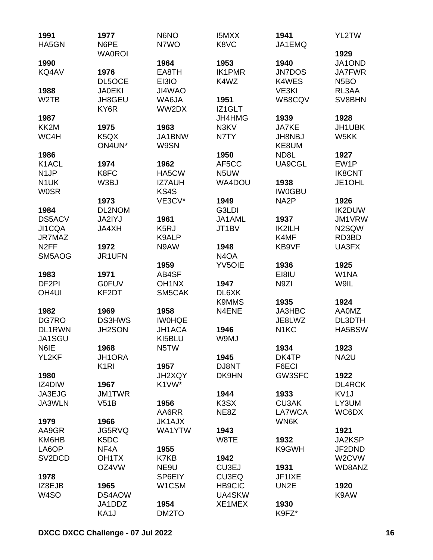| 1991                        | 1977               | N6NO                   | <b>I5MXX</b>                  | 1941                  | YL2TW                   |
|-----------------------------|--------------------|------------------------|-------------------------------|-----------------------|-------------------------|
| HA5GN                       | N6PE               | N7WO                   | K8VC                          | JA1EMQ                |                         |
|                             | <b>WA0ROI</b>      |                        |                               |                       | 1929                    |
| 1990                        |                    | 1964<br>EA8TH          | 1953<br><b>IK1PMR</b>         | 1940<br><b>JN7DOS</b> | JA1OND<br><b>JA7FWR</b> |
| KQ4AV                       | 1976<br>DL5OCE     | EI3IO                  | K4WZ                          | K4WES                 | N <sub>5</sub> BO       |
| 1988                        | <b>JA0EKI</b>      | JI4WAO                 |                               | VE3KI                 | RL3AA                   |
| W <sub>2</sub> TB           | JH8GEU             | WA6JA                  | 1951                          | WB8CQV                | SV8BHN                  |
|                             | KY6R               | WW2DX                  | IZ1GLT                        |                       |                         |
| 1987                        |                    |                        | JH4HMG                        | 1939                  | 1928                    |
| KK2M                        | 1975               | 1963                   | N3KV                          | JA7KE                 | JH1UBK                  |
| WC4H                        | K5QX               | JA1BNW                 | N7TY                          | JH8NBJ                | W5KK                    |
|                             | ON4UN*             | W9SN                   |                               | KE8UM                 |                         |
| 1986                        |                    |                        | 1950                          | ND8L                  | 1927                    |
| K <sub>1</sub> ACL          | 1974               | 1962                   | AF5CC                         | UA9CGL                | EW1P                    |
| N <sub>1</sub> JP           | K8FC               | HA5CW                  | N <sub>5</sub> UW             |                       | <b>IK8CNT</b>           |
| N <sub>1</sub> UK           | W3BJ               | <b>IZ7AUH</b>          | WA4DOU                        | 1938                  | JE1OHL                  |
| <b>WOSR</b>                 |                    | KS4S                   |                               | <b>IW0GBU</b>         |                         |
|                             | 1973               | VE3CV*                 | 1949                          | NA <sub>2</sub> P     | 1926                    |
| 1984                        | DL2NOM             |                        | G3LDI                         |                       | <b>IK2DUW</b>           |
| <b>DS5ACV</b>               | <b>JA2IYJ</b>      | 1961                   | JA1AML                        | 1937                  | JM1VRW                  |
| JI1CQA                      | JA4XH              | K <sub>5</sub> RJ      | JT1BV                         | IK2ILH                | N2SQW                   |
| JR7MAZ<br>N <sub>2</sub> FF | 1972               | K9ALP<br>N9AW          | 1948                          | K4MF<br>KB9VF         | RD3BD<br>UA3FX          |
| SM5AOG                      | JR1UFN             |                        | N <sub>4</sub> O <sub>A</sub> |                       |                         |
|                             |                    | 1959                   | <b>YV5OIE</b>                 | 1936                  | 1925                    |
| 1983                        | 1971               | AB4SF                  |                               | EI8IU                 | W1NA                    |
| DF <sub>2PI</sub>           | <b>G0FUV</b>       | OH <sub>1</sub> NX     | 1947                          | N <sub>9</sub> ZI     | W9IL                    |
| OH <sub>4UI</sub>           | KF2DT              | SM5CAK                 | DL6XK                         |                       |                         |
|                             |                    |                        | <b>K9MMS</b>                  | 1935                  | 1924                    |
| 1982                        | 1969               | 1958                   | N4ENE                         | JA3HBC                | <b>AA0MZ</b>            |
| DG7RO                       | <b>DS3HWS</b>      | <b>IWOHQE</b>          |                               | JE8LWZ                | DL3DTH                  |
| DL1RWN                      | JH2SON             | <b>JH1ACA</b>          | 1946                          | N <sub>1</sub> KC     | HA5BSW                  |
| JA1SGU                      |                    | KI5BLU                 | W9MJ                          |                       |                         |
| N6IE                        | 1968               | N5TW                   |                               | 1934                  | 1923                    |
| YL2KF                       | <b>JH1ORA</b>      |                        | 1945                          | DK4TP                 | NA <sub>2U</sub>        |
|                             | K <sub>1</sub> RI  | 1957                   | DJ8NT                         | F6ECI                 |                         |
| 1980                        |                    | <b>JH2XQY</b>          | DK9HN                         | GW3SFC                | 1922                    |
| IZ4DIW                      | 1967               | K1VW*                  |                               |                       | <b>DL4RCK</b>           |
| JA3EJG                      | <b>JM1TWR</b>      |                        | 1944                          | 1933                  | KV <sub>1</sub> J       |
| JA3WLN                      | V51B               | 1956                   | K3SX                          | <b>CU3AK</b>          | LY3UM                   |
| 1979                        | 1966               | AA6RR<br><b>JK1AJX</b> | NE8Z                          | LA7WCA<br>WN6K        | WC6DX                   |
| AA9GR                       | JG5RVQ             | WA1YTW                 | 1943                          |                       | 1921                    |
| KM6HB                       | K <sub>5</sub> DC  |                        | W8TE                          | 1932                  | JA2KSP                  |
| LA6OP                       | NF4A               | 1955                   |                               | K9GWH                 | JF2DND                  |
| SV <sub>2</sub> DCD         | OH <sub>1</sub> TX | K7KB                   | 1942                          |                       | W2CVW                   |
|                             | OZ4VW              | NE9U                   | CU3EJ                         | 1931                  | WD8ANZ                  |
| 1978                        |                    | SP6EIY                 | CU3EQ                         | JF1IXE                |                         |
| IZ8EJB                      | 1965               | W1CSM                  | <b>HB9CIC</b>                 | UN <sub>2</sub> E     | 1920                    |
| W <sub>4</sub> SO           | DS4AOW             |                        | UA4SKW                        |                       | K9AW                    |
|                             | JA1DDZ             | 1954                   | XE1MEX                        | 1930                  |                         |
|                             | KA1J               | DM2TO                  |                               | K9FZ*                 |                         |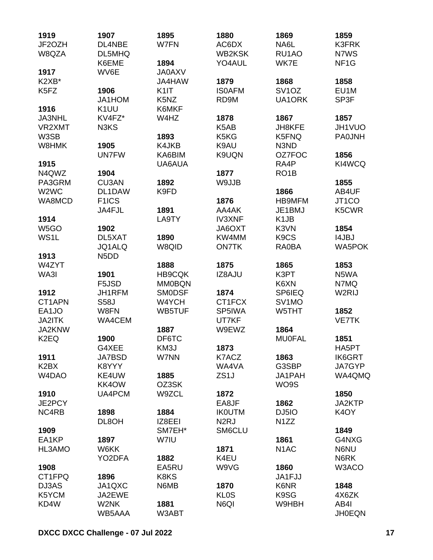| 1919<br>JF2OZH<br>W8QZA         | 1907<br>DL4NBE<br>DL5MHQ      | 1895<br>W7FN                  | 1880<br>AC6DX<br>WB2KSK       | 1869<br>NA6L<br>RU1AO         | 1859<br><b>K3FRK</b><br>N7WS |
|---------------------------------|-------------------------------|-------------------------------|-------------------------------|-------------------------------|------------------------------|
|                                 | K6EME                         | 1894                          | YO4AUL                        | WK7E                          | NF <sub>1</sub> G            |
| 1917                            | WV6E                          | <b>JA0AXV</b>                 |                               |                               |                              |
| K <sub>2</sub> X <sub>B</sub> * |                               | JA4HAW                        | 1879                          | 1868                          | 1858                         |
| K5FZ                            | 1906                          | K <sub>1</sub>                | <b>ISOAFM</b>                 | SV <sub>1</sub> OZ            | EU1M                         |
|                                 | JA1HOM                        | K <sub>5</sub> N <sub>Z</sub> | RD9M                          | UA1ORK                        | SP3F                         |
| 1916                            | K <sub>1</sub> UU             | K6MKF                         |                               |                               |                              |
| <b>JA3NHL</b>                   | KV4FZ*                        | W4HZ                          | 1878                          | 1867                          | 1857                         |
| VR2XMT                          | N3KS                          |                               | K <sub>5</sub> A <sub>B</sub> | JH8KFE                        | JH1VUO                       |
| W3SB                            |                               | 1893                          | K5KG                          | K5FNQ                         | <b>PA0JNH</b>                |
| W8HMK                           | 1905                          | K4JKB                         | K9AU                          | N3ND                          |                              |
| 1915                            | <b>UN7FW</b>                  | KA6BIM<br>UA6AUA              | K9UQN                         | OZ7FOC<br>RA4P                | 1856<br>KI4WCQ               |
| N4QWZ                           | 1904                          |                               | 1877                          | RO <sub>1</sub> B             |                              |
| PA3GRM                          | <b>CU3AN</b>                  | 1892                          | W9JJB                         |                               | 1855                         |
| W <sub>2</sub> W <sub>C</sub>   | DL1DAW                        | K9FD                          |                               | 1866                          | AB4UF                        |
| WA8MCD                          | F <sub>1</sub> ICS            |                               | 1876                          | <b>HB9MFM</b>                 | JT1CO                        |
|                                 | JA4FJL                        | 1891                          | AA4AK                         | JE1BMJ                        | K5CWR                        |
| 1914                            |                               | LA9TY                         | <b>IV3XNF</b>                 | K <sub>1</sub> JB             |                              |
| W <sub>5</sub> GO               | 1902                          |                               | JA6OXT                        | K3VN                          | 1854                         |
| WS1L                            | DL5XAT                        | 1890                          | KW4MM                         | K <sub>9</sub> C <sub>S</sub> | <b>I4JBJ</b>                 |
|                                 | JQ1ALQ                        | W8QID                         | <b>ON7TK</b>                  | RA0BA                         | <b>WA5POK</b>                |
| 1913                            | N <sub>5</sub> D <sub>D</sub> |                               |                               |                               |                              |
| W4ZYT                           |                               | 1888                          | 1875                          | 1865                          | 1853                         |
| WA3I                            | 1901                          | <b>HB9CQK</b>                 | IZ8AJU                        | K3PT                          | N5WA                         |
|                                 | F5JSD                         | <b>MM0BQN</b>                 |                               | K6XN                          | N7MQ                         |
| 1912                            | JH1RFM                        | <b>SMODSF</b>                 | 1874                          | SP6IEQ                        | W2RIJ                        |
| CT1APN                          | <b>S58J</b>                   | W4YCH                         | CT1FCX                        | SV1MO                         |                              |
| EA1JO                           | W8FN                          | WB5TUF                        | SP5IWA                        | W5THT                         | 1852                         |
| <b>JA2ITK</b>                   | WA4CEM                        |                               | UT7KF                         |                               | <b>VE7TK</b>                 |
| JA2KNW                          |                               | 1887                          | W9EWZ                         | 1864                          |                              |
| K <sub>2</sub> EQ               | 1900                          | DF6TC                         |                               | <b>MU0FAL</b>                 | 1851                         |
| 1911                            | G4XEE<br><b>JA7BSD</b>        | KM3J<br>W7NN                  | 1873<br>K7ACZ                 | 1863                          | HA5PT<br><b>IK6GRT</b>       |
| K <sub>2</sub> B <sub>X</sub>   | K8YYY                         |                               | WA4VA                         | G3SBP                         | JA7GYP                       |
| W4DAO                           | KE4UW                         | 1885                          | ZS <sub>1</sub> J             | JA1PAH                        | WA4QMQ                       |
|                                 | KK4OW                         | OZ3SK                         |                               | WO9S                          |                              |
| 1910                            | UA4PCM                        | W9ZCL                         | 1872                          |                               | 1850                         |
| JE2PCY                          |                               |                               | EA8JF                         | 1862                          | JA2KTP                       |
| NC4RB                           | 1898                          | 1884                          | <b>IKOUTM</b>                 | DJ5IO                         | K <sub>4</sub> OY            |
|                                 | DL8OH                         | IZ8EEI                        | N <sub>2</sub> RJ             | N <sub>1</sub> ZZ             |                              |
| 1909                            |                               | SM7EH*                        | SM6CLU                        |                               | 1849                         |
| EA1KP                           | 1897                          | W7IU                          |                               | 1861                          | G4NXG                        |
| HL3AMO                          | W6KK                          |                               | 1871                          | N <sub>1</sub> AC             | N6NU                         |
|                                 | YO2DFA                        | 1882                          | K4EU                          |                               | N6RK                         |
| 1908                            |                               | EA5RU                         | W9VG                          | 1860                          | W3ACO                        |
| CT1FPQ                          | 1896                          | K8KS                          |                               | JA1FJJ                        |                              |
| DJ3AS                           | JA1QXC                        | N6MB                          | 1870                          | K6NR                          | 1848                         |
| K5YCM                           | JA2EWE                        |                               | <b>KLOS</b>                   | K9SG                          | 4X6ZK                        |
| KD4W                            | W2NK                          | 1881                          | N6QI                          | W9HBH                         | AB4I                         |
|                                 | WB5AAA                        | W3ABT                         |                               |                               | <b>JH0EQN</b>                |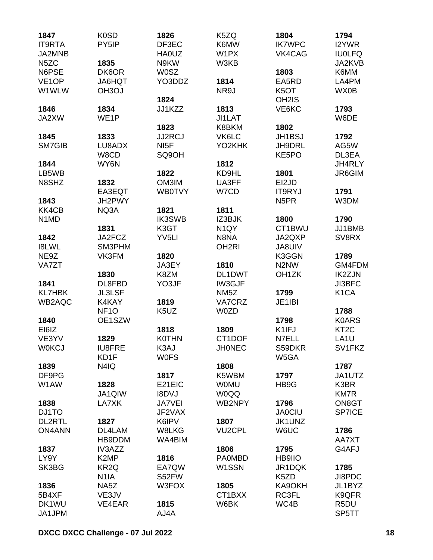| DF3EC<br>PY5IP<br>K6MW<br><b>IK7WPC</b><br>I2YWR<br><b>HA0UZ</b><br>W1PX<br>VK4CAG<br><b>IU0LFQ</b><br>JA2KVB<br>1835<br>N9KW<br>W3KB<br>DK6OR<br><b>W0SZ</b><br>K6MM<br>1803<br>YO3DDZ<br>1814<br>LA4PM<br>JA6HQT<br>EA5RD<br>WX0B<br>OH <sub>3</sub> OJ<br>NR9J<br>K <sub>5</sub> OT<br>1824<br>OH <sub>2</sub> IS<br>1813<br>1846<br>1834<br>JJ1KZZ<br>VE6KC<br>1793<br>JI1LAT<br>WE <sub>1</sub> P<br>W6DE<br>1823<br>K8BKM<br>1802<br><b>JJ2RCJ</b><br>VK6LC<br>1845<br>1833<br><b>JH1BSJ</b><br>1792<br>SM7GIB<br>NI <sub>5</sub> F<br>YO2KHK<br>LU8ADX<br>JH9DRL<br>AG5W<br>W8CD<br>SQ9OH<br>DL3EA<br>KE5PO<br>1812<br>1844<br>WY6N<br>JH4RLY<br>1822<br>KD9HL<br>1801<br>JR6GIM<br>N8SHZ<br>UA3FF<br>1832<br>OM3IM<br>EI2JD<br>EA3EQT<br><b>WB0TVY</b><br>W7CD<br><b>IT9RYJ</b><br>1791<br>1843<br>JH2PWY<br>N <sub>5</sub> PR<br>W3DM<br>KK4CB<br>1821<br>1811<br>NQ3A<br><b>IK3SWB</b><br>1790<br>N <sub>1</sub> M <sub>D</sub><br>IZ3BJK<br>1800<br>K3GT<br>N <sub>1</sub> QY<br>CT1BWU<br>JJ1BMB<br>1831<br>YV <sub>5LI</sub><br>N8NA<br>1842<br>JA2FCZ<br>JA2QXP<br>SV8RX<br><b>I8LWL</b><br>OH <sub>2RI</sub><br>SM3PHM<br><b>JA8UIV</b><br>NE9Z<br>VK3FM<br>1789<br>1820<br>K3GGN<br>JA3EY<br>1810<br>N2NW<br>GM4FDM<br><b>VA7ZT</b><br>1830<br>K8ZM<br>DL1DWT<br>OH <sub>1</sub> ZK<br><b>IK2ZJN</b><br>1841<br>DL8FBD<br>YO3JF<br>IW3GJF<br><b>JI3BFC</b><br>K <sub>1</sub> CA<br><b>KL7HBK</b><br><b>JL3LSF</b><br>NM <sub>5</sub> Z<br>1799<br>K4KAY<br>VA7CRZ<br>WB2AQC<br>1819<br>JE1IBI<br>NF <sub>10</sub><br>K <sub>5</sub> UZ<br>W0ZD<br>1788<br><b>K0ARS</b><br>1840<br>OE1SZW<br>1798<br>EI6IZ<br>1818<br>1809<br>K1IFJ<br>KT <sub>2</sub> C<br>CT1DOF<br>VE3YV<br>1829<br><b>K0THN</b><br>N7ELL<br>LA <sub>1</sub> U<br><b>W0KCJ</b><br><b>IU8FRE</b><br>K3AJ<br><b>JHONEC</b><br>S59DKR<br>SV1FKZ<br>W5GA<br>KD1F<br><b>WOFS</b><br>N4IQ<br>1839<br>1808<br>1787<br>DF9PG<br>1817<br>K5WBM<br>1797<br>JA1UTZ<br>E21EIC<br>W1AW<br>1828<br><b>WOMU</b><br>HB9G<br>K3BR<br><b>I8DVJ</b><br>JA1QIW<br><b>WOQQ</b><br><b>KM7R</b><br>WB2NPY<br>1838<br>LA7XK<br><b>JA7VEI</b><br>1796<br>ON8GT<br><b>SP7ICE</b><br>DJ1TO<br>JF2VAX<br><b>JA0CIU</b><br>K6IPV<br><b>DL2RTL</b><br>1827<br>1807<br>JK1UNZ<br><b>ON4ANN</b><br>W8LKG<br><b>VU2CPL</b><br>W6UC<br>DL4LAM<br>1786<br>HB9DDM<br>WA4BIM<br>AA7XT<br>G4AFJ<br>1837<br>IV3AZZ<br>1806<br>1795<br>LY9Y<br>K <sub>2</sub> MP<br>1816<br><b>PA0MBD</b><br><b>HB9IIO</b><br>W1SSN<br>SK3BG<br>KR <sub>2Q</sub><br>EA7QW<br>JR1DQK<br>1785<br>S52FW<br>JI8PDC<br>N <sub>1</sub> IA<br>K5ZD<br>1836<br>W3FOX<br>1805<br>NA5Z<br>KA9OKH<br>JL1BYZ<br>CT1BXX<br>RC3FL<br>5B4XF<br>K9QFR<br>VE3JV<br>DK1WU<br>WC4B<br>VE4EAR<br>1815<br>W6BK<br>R <sub>5</sub> DU | 1847               | K <sub>0</sub> SD | 1826 | K5ZQ | 1804 | 1794  |
|------------------------------------------------------------------------------------------------------------------------------------------------------------------------------------------------------------------------------------------------------------------------------------------------------------------------------------------------------------------------------------------------------------------------------------------------------------------------------------------------------------------------------------------------------------------------------------------------------------------------------------------------------------------------------------------------------------------------------------------------------------------------------------------------------------------------------------------------------------------------------------------------------------------------------------------------------------------------------------------------------------------------------------------------------------------------------------------------------------------------------------------------------------------------------------------------------------------------------------------------------------------------------------------------------------------------------------------------------------------------------------------------------------------------------------------------------------------------------------------------------------------------------------------------------------------------------------------------------------------------------------------------------------------------------------------------------------------------------------------------------------------------------------------------------------------------------------------------------------------------------------------------------------------------------------------------------------------------------------------------------------------------------------------------------------------------------------------------------------------------------------------------------------------------------------------------------------------------------------------------------------------------------------------------------------------------------------------------------------------------------------------------------------------------------------------------------------------------------------------------------------------------------------------------------------------------------------------------------------------------------------------------------------------------------------------------------------------------------------------|--------------------|-------------------|------|------|------|-------|
|                                                                                                                                                                                                                                                                                                                                                                                                                                                                                                                                                                                                                                                                                                                                                                                                                                                                                                                                                                                                                                                                                                                                                                                                                                                                                                                                                                                                                                                                                                                                                                                                                                                                                                                                                                                                                                                                                                                                                                                                                                                                                                                                                                                                                                                                                                                                                                                                                                                                                                                                                                                                                                                                                                                                          | <b>IT9RTA</b>      |                   |      |      |      |       |
|                                                                                                                                                                                                                                                                                                                                                                                                                                                                                                                                                                                                                                                                                                                                                                                                                                                                                                                                                                                                                                                                                                                                                                                                                                                                                                                                                                                                                                                                                                                                                                                                                                                                                                                                                                                                                                                                                                                                                                                                                                                                                                                                                                                                                                                                                                                                                                                                                                                                                                                                                                                                                                                                                                                                          | JA2MNB             |                   |      |      |      |       |
|                                                                                                                                                                                                                                                                                                                                                                                                                                                                                                                                                                                                                                                                                                                                                                                                                                                                                                                                                                                                                                                                                                                                                                                                                                                                                                                                                                                                                                                                                                                                                                                                                                                                                                                                                                                                                                                                                                                                                                                                                                                                                                                                                                                                                                                                                                                                                                                                                                                                                                                                                                                                                                                                                                                                          | N <sub>5</sub> ZC  |                   |      |      |      |       |
|                                                                                                                                                                                                                                                                                                                                                                                                                                                                                                                                                                                                                                                                                                                                                                                                                                                                                                                                                                                                                                                                                                                                                                                                                                                                                                                                                                                                                                                                                                                                                                                                                                                                                                                                                                                                                                                                                                                                                                                                                                                                                                                                                                                                                                                                                                                                                                                                                                                                                                                                                                                                                                                                                                                                          | N6PSE              |                   |      |      |      |       |
|                                                                                                                                                                                                                                                                                                                                                                                                                                                                                                                                                                                                                                                                                                                                                                                                                                                                                                                                                                                                                                                                                                                                                                                                                                                                                                                                                                                                                                                                                                                                                                                                                                                                                                                                                                                                                                                                                                                                                                                                                                                                                                                                                                                                                                                                                                                                                                                                                                                                                                                                                                                                                                                                                                                                          | VE <sub>1</sub> OP |                   |      |      |      |       |
|                                                                                                                                                                                                                                                                                                                                                                                                                                                                                                                                                                                                                                                                                                                                                                                                                                                                                                                                                                                                                                                                                                                                                                                                                                                                                                                                                                                                                                                                                                                                                                                                                                                                                                                                                                                                                                                                                                                                                                                                                                                                                                                                                                                                                                                                                                                                                                                                                                                                                                                                                                                                                                                                                                                                          | W1WLW              |                   |      |      |      |       |
|                                                                                                                                                                                                                                                                                                                                                                                                                                                                                                                                                                                                                                                                                                                                                                                                                                                                                                                                                                                                                                                                                                                                                                                                                                                                                                                                                                                                                                                                                                                                                                                                                                                                                                                                                                                                                                                                                                                                                                                                                                                                                                                                                                                                                                                                                                                                                                                                                                                                                                                                                                                                                                                                                                                                          |                    |                   |      |      |      |       |
|                                                                                                                                                                                                                                                                                                                                                                                                                                                                                                                                                                                                                                                                                                                                                                                                                                                                                                                                                                                                                                                                                                                                                                                                                                                                                                                                                                                                                                                                                                                                                                                                                                                                                                                                                                                                                                                                                                                                                                                                                                                                                                                                                                                                                                                                                                                                                                                                                                                                                                                                                                                                                                                                                                                                          |                    |                   |      |      |      |       |
|                                                                                                                                                                                                                                                                                                                                                                                                                                                                                                                                                                                                                                                                                                                                                                                                                                                                                                                                                                                                                                                                                                                                                                                                                                                                                                                                                                                                                                                                                                                                                                                                                                                                                                                                                                                                                                                                                                                                                                                                                                                                                                                                                                                                                                                                                                                                                                                                                                                                                                                                                                                                                                                                                                                                          | JA2XW              |                   |      |      |      |       |
|                                                                                                                                                                                                                                                                                                                                                                                                                                                                                                                                                                                                                                                                                                                                                                                                                                                                                                                                                                                                                                                                                                                                                                                                                                                                                                                                                                                                                                                                                                                                                                                                                                                                                                                                                                                                                                                                                                                                                                                                                                                                                                                                                                                                                                                                                                                                                                                                                                                                                                                                                                                                                                                                                                                                          |                    |                   |      |      |      |       |
|                                                                                                                                                                                                                                                                                                                                                                                                                                                                                                                                                                                                                                                                                                                                                                                                                                                                                                                                                                                                                                                                                                                                                                                                                                                                                                                                                                                                                                                                                                                                                                                                                                                                                                                                                                                                                                                                                                                                                                                                                                                                                                                                                                                                                                                                                                                                                                                                                                                                                                                                                                                                                                                                                                                                          |                    |                   |      |      |      |       |
|                                                                                                                                                                                                                                                                                                                                                                                                                                                                                                                                                                                                                                                                                                                                                                                                                                                                                                                                                                                                                                                                                                                                                                                                                                                                                                                                                                                                                                                                                                                                                                                                                                                                                                                                                                                                                                                                                                                                                                                                                                                                                                                                                                                                                                                                                                                                                                                                                                                                                                                                                                                                                                                                                                                                          |                    |                   |      |      |      |       |
|                                                                                                                                                                                                                                                                                                                                                                                                                                                                                                                                                                                                                                                                                                                                                                                                                                                                                                                                                                                                                                                                                                                                                                                                                                                                                                                                                                                                                                                                                                                                                                                                                                                                                                                                                                                                                                                                                                                                                                                                                                                                                                                                                                                                                                                                                                                                                                                                                                                                                                                                                                                                                                                                                                                                          |                    |                   |      |      |      |       |
|                                                                                                                                                                                                                                                                                                                                                                                                                                                                                                                                                                                                                                                                                                                                                                                                                                                                                                                                                                                                                                                                                                                                                                                                                                                                                                                                                                                                                                                                                                                                                                                                                                                                                                                                                                                                                                                                                                                                                                                                                                                                                                                                                                                                                                                                                                                                                                                                                                                                                                                                                                                                                                                                                                                                          |                    |                   |      |      |      |       |
|                                                                                                                                                                                                                                                                                                                                                                                                                                                                                                                                                                                                                                                                                                                                                                                                                                                                                                                                                                                                                                                                                                                                                                                                                                                                                                                                                                                                                                                                                                                                                                                                                                                                                                                                                                                                                                                                                                                                                                                                                                                                                                                                                                                                                                                                                                                                                                                                                                                                                                                                                                                                                                                                                                                                          | LB5WB              |                   |      |      |      |       |
|                                                                                                                                                                                                                                                                                                                                                                                                                                                                                                                                                                                                                                                                                                                                                                                                                                                                                                                                                                                                                                                                                                                                                                                                                                                                                                                                                                                                                                                                                                                                                                                                                                                                                                                                                                                                                                                                                                                                                                                                                                                                                                                                                                                                                                                                                                                                                                                                                                                                                                                                                                                                                                                                                                                                          |                    |                   |      |      |      |       |
|                                                                                                                                                                                                                                                                                                                                                                                                                                                                                                                                                                                                                                                                                                                                                                                                                                                                                                                                                                                                                                                                                                                                                                                                                                                                                                                                                                                                                                                                                                                                                                                                                                                                                                                                                                                                                                                                                                                                                                                                                                                                                                                                                                                                                                                                                                                                                                                                                                                                                                                                                                                                                                                                                                                                          |                    |                   |      |      |      |       |
|                                                                                                                                                                                                                                                                                                                                                                                                                                                                                                                                                                                                                                                                                                                                                                                                                                                                                                                                                                                                                                                                                                                                                                                                                                                                                                                                                                                                                                                                                                                                                                                                                                                                                                                                                                                                                                                                                                                                                                                                                                                                                                                                                                                                                                                                                                                                                                                                                                                                                                                                                                                                                                                                                                                                          |                    |                   |      |      |      |       |
|                                                                                                                                                                                                                                                                                                                                                                                                                                                                                                                                                                                                                                                                                                                                                                                                                                                                                                                                                                                                                                                                                                                                                                                                                                                                                                                                                                                                                                                                                                                                                                                                                                                                                                                                                                                                                                                                                                                                                                                                                                                                                                                                                                                                                                                                                                                                                                                                                                                                                                                                                                                                                                                                                                                                          |                    |                   |      |      |      |       |
|                                                                                                                                                                                                                                                                                                                                                                                                                                                                                                                                                                                                                                                                                                                                                                                                                                                                                                                                                                                                                                                                                                                                                                                                                                                                                                                                                                                                                                                                                                                                                                                                                                                                                                                                                                                                                                                                                                                                                                                                                                                                                                                                                                                                                                                                                                                                                                                                                                                                                                                                                                                                                                                                                                                                          |                    |                   |      |      |      |       |
|                                                                                                                                                                                                                                                                                                                                                                                                                                                                                                                                                                                                                                                                                                                                                                                                                                                                                                                                                                                                                                                                                                                                                                                                                                                                                                                                                                                                                                                                                                                                                                                                                                                                                                                                                                                                                                                                                                                                                                                                                                                                                                                                                                                                                                                                                                                                                                                                                                                                                                                                                                                                                                                                                                                                          |                    |                   |      |      |      |       |
|                                                                                                                                                                                                                                                                                                                                                                                                                                                                                                                                                                                                                                                                                                                                                                                                                                                                                                                                                                                                                                                                                                                                                                                                                                                                                                                                                                                                                                                                                                                                                                                                                                                                                                                                                                                                                                                                                                                                                                                                                                                                                                                                                                                                                                                                                                                                                                                                                                                                                                                                                                                                                                                                                                                                          |                    |                   |      |      |      |       |
|                                                                                                                                                                                                                                                                                                                                                                                                                                                                                                                                                                                                                                                                                                                                                                                                                                                                                                                                                                                                                                                                                                                                                                                                                                                                                                                                                                                                                                                                                                                                                                                                                                                                                                                                                                                                                                                                                                                                                                                                                                                                                                                                                                                                                                                                                                                                                                                                                                                                                                                                                                                                                                                                                                                                          |                    |                   |      |      |      |       |
|                                                                                                                                                                                                                                                                                                                                                                                                                                                                                                                                                                                                                                                                                                                                                                                                                                                                                                                                                                                                                                                                                                                                                                                                                                                                                                                                                                                                                                                                                                                                                                                                                                                                                                                                                                                                                                                                                                                                                                                                                                                                                                                                                                                                                                                                                                                                                                                                                                                                                                                                                                                                                                                                                                                                          |                    |                   |      |      |      |       |
|                                                                                                                                                                                                                                                                                                                                                                                                                                                                                                                                                                                                                                                                                                                                                                                                                                                                                                                                                                                                                                                                                                                                                                                                                                                                                                                                                                                                                                                                                                                                                                                                                                                                                                                                                                                                                                                                                                                                                                                                                                                                                                                                                                                                                                                                                                                                                                                                                                                                                                                                                                                                                                                                                                                                          |                    |                   |      |      |      |       |
|                                                                                                                                                                                                                                                                                                                                                                                                                                                                                                                                                                                                                                                                                                                                                                                                                                                                                                                                                                                                                                                                                                                                                                                                                                                                                                                                                                                                                                                                                                                                                                                                                                                                                                                                                                                                                                                                                                                                                                                                                                                                                                                                                                                                                                                                                                                                                                                                                                                                                                                                                                                                                                                                                                                                          |                    |                   |      |      |      |       |
|                                                                                                                                                                                                                                                                                                                                                                                                                                                                                                                                                                                                                                                                                                                                                                                                                                                                                                                                                                                                                                                                                                                                                                                                                                                                                                                                                                                                                                                                                                                                                                                                                                                                                                                                                                                                                                                                                                                                                                                                                                                                                                                                                                                                                                                                                                                                                                                                                                                                                                                                                                                                                                                                                                                                          |                    |                   |      |      |      |       |
|                                                                                                                                                                                                                                                                                                                                                                                                                                                                                                                                                                                                                                                                                                                                                                                                                                                                                                                                                                                                                                                                                                                                                                                                                                                                                                                                                                                                                                                                                                                                                                                                                                                                                                                                                                                                                                                                                                                                                                                                                                                                                                                                                                                                                                                                                                                                                                                                                                                                                                                                                                                                                                                                                                                                          |                    |                   |      |      |      |       |
|                                                                                                                                                                                                                                                                                                                                                                                                                                                                                                                                                                                                                                                                                                                                                                                                                                                                                                                                                                                                                                                                                                                                                                                                                                                                                                                                                                                                                                                                                                                                                                                                                                                                                                                                                                                                                                                                                                                                                                                                                                                                                                                                                                                                                                                                                                                                                                                                                                                                                                                                                                                                                                                                                                                                          |                    |                   |      |      |      |       |
|                                                                                                                                                                                                                                                                                                                                                                                                                                                                                                                                                                                                                                                                                                                                                                                                                                                                                                                                                                                                                                                                                                                                                                                                                                                                                                                                                                                                                                                                                                                                                                                                                                                                                                                                                                                                                                                                                                                                                                                                                                                                                                                                                                                                                                                                                                                                                                                                                                                                                                                                                                                                                                                                                                                                          |                    |                   |      |      |      |       |
|                                                                                                                                                                                                                                                                                                                                                                                                                                                                                                                                                                                                                                                                                                                                                                                                                                                                                                                                                                                                                                                                                                                                                                                                                                                                                                                                                                                                                                                                                                                                                                                                                                                                                                                                                                                                                                                                                                                                                                                                                                                                                                                                                                                                                                                                                                                                                                                                                                                                                                                                                                                                                                                                                                                                          |                    |                   |      |      |      |       |
|                                                                                                                                                                                                                                                                                                                                                                                                                                                                                                                                                                                                                                                                                                                                                                                                                                                                                                                                                                                                                                                                                                                                                                                                                                                                                                                                                                                                                                                                                                                                                                                                                                                                                                                                                                                                                                                                                                                                                                                                                                                                                                                                                                                                                                                                                                                                                                                                                                                                                                                                                                                                                                                                                                                                          |                    |                   |      |      |      |       |
|                                                                                                                                                                                                                                                                                                                                                                                                                                                                                                                                                                                                                                                                                                                                                                                                                                                                                                                                                                                                                                                                                                                                                                                                                                                                                                                                                                                                                                                                                                                                                                                                                                                                                                                                                                                                                                                                                                                                                                                                                                                                                                                                                                                                                                                                                                                                                                                                                                                                                                                                                                                                                                                                                                                                          |                    |                   |      |      |      |       |
|                                                                                                                                                                                                                                                                                                                                                                                                                                                                                                                                                                                                                                                                                                                                                                                                                                                                                                                                                                                                                                                                                                                                                                                                                                                                                                                                                                                                                                                                                                                                                                                                                                                                                                                                                                                                                                                                                                                                                                                                                                                                                                                                                                                                                                                                                                                                                                                                                                                                                                                                                                                                                                                                                                                                          |                    |                   |      |      |      |       |
|                                                                                                                                                                                                                                                                                                                                                                                                                                                                                                                                                                                                                                                                                                                                                                                                                                                                                                                                                                                                                                                                                                                                                                                                                                                                                                                                                                                                                                                                                                                                                                                                                                                                                                                                                                                                                                                                                                                                                                                                                                                                                                                                                                                                                                                                                                                                                                                                                                                                                                                                                                                                                                                                                                                                          |                    |                   |      |      |      |       |
|                                                                                                                                                                                                                                                                                                                                                                                                                                                                                                                                                                                                                                                                                                                                                                                                                                                                                                                                                                                                                                                                                                                                                                                                                                                                                                                                                                                                                                                                                                                                                                                                                                                                                                                                                                                                                                                                                                                                                                                                                                                                                                                                                                                                                                                                                                                                                                                                                                                                                                                                                                                                                                                                                                                                          |                    |                   |      |      |      |       |
|                                                                                                                                                                                                                                                                                                                                                                                                                                                                                                                                                                                                                                                                                                                                                                                                                                                                                                                                                                                                                                                                                                                                                                                                                                                                                                                                                                                                                                                                                                                                                                                                                                                                                                                                                                                                                                                                                                                                                                                                                                                                                                                                                                                                                                                                                                                                                                                                                                                                                                                                                                                                                                                                                                                                          |                    |                   |      |      |      |       |
|                                                                                                                                                                                                                                                                                                                                                                                                                                                                                                                                                                                                                                                                                                                                                                                                                                                                                                                                                                                                                                                                                                                                                                                                                                                                                                                                                                                                                                                                                                                                                                                                                                                                                                                                                                                                                                                                                                                                                                                                                                                                                                                                                                                                                                                                                                                                                                                                                                                                                                                                                                                                                                                                                                                                          |                    |                   |      |      |      |       |
|                                                                                                                                                                                                                                                                                                                                                                                                                                                                                                                                                                                                                                                                                                                                                                                                                                                                                                                                                                                                                                                                                                                                                                                                                                                                                                                                                                                                                                                                                                                                                                                                                                                                                                                                                                                                                                                                                                                                                                                                                                                                                                                                                                                                                                                                                                                                                                                                                                                                                                                                                                                                                                                                                                                                          |                    |                   |      |      |      |       |
|                                                                                                                                                                                                                                                                                                                                                                                                                                                                                                                                                                                                                                                                                                                                                                                                                                                                                                                                                                                                                                                                                                                                                                                                                                                                                                                                                                                                                                                                                                                                                                                                                                                                                                                                                                                                                                                                                                                                                                                                                                                                                                                                                                                                                                                                                                                                                                                                                                                                                                                                                                                                                                                                                                                                          |                    |                   |      |      |      |       |
|                                                                                                                                                                                                                                                                                                                                                                                                                                                                                                                                                                                                                                                                                                                                                                                                                                                                                                                                                                                                                                                                                                                                                                                                                                                                                                                                                                                                                                                                                                                                                                                                                                                                                                                                                                                                                                                                                                                                                                                                                                                                                                                                                                                                                                                                                                                                                                                                                                                                                                                                                                                                                                                                                                                                          |                    |                   |      |      |      |       |
|                                                                                                                                                                                                                                                                                                                                                                                                                                                                                                                                                                                                                                                                                                                                                                                                                                                                                                                                                                                                                                                                                                                                                                                                                                                                                                                                                                                                                                                                                                                                                                                                                                                                                                                                                                                                                                                                                                                                                                                                                                                                                                                                                                                                                                                                                                                                                                                                                                                                                                                                                                                                                                                                                                                                          |                    |                   |      |      |      |       |
|                                                                                                                                                                                                                                                                                                                                                                                                                                                                                                                                                                                                                                                                                                                                                                                                                                                                                                                                                                                                                                                                                                                                                                                                                                                                                                                                                                                                                                                                                                                                                                                                                                                                                                                                                                                                                                                                                                                                                                                                                                                                                                                                                                                                                                                                                                                                                                                                                                                                                                                                                                                                                                                                                                                                          |                    |                   |      |      |      |       |
|                                                                                                                                                                                                                                                                                                                                                                                                                                                                                                                                                                                                                                                                                                                                                                                                                                                                                                                                                                                                                                                                                                                                                                                                                                                                                                                                                                                                                                                                                                                                                                                                                                                                                                                                                                                                                                                                                                                                                                                                                                                                                                                                                                                                                                                                                                                                                                                                                                                                                                                                                                                                                                                                                                                                          |                    |                   |      |      |      |       |
|                                                                                                                                                                                                                                                                                                                                                                                                                                                                                                                                                                                                                                                                                                                                                                                                                                                                                                                                                                                                                                                                                                                                                                                                                                                                                                                                                                                                                                                                                                                                                                                                                                                                                                                                                                                                                                                                                                                                                                                                                                                                                                                                                                                                                                                                                                                                                                                                                                                                                                                                                                                                                                                                                                                                          |                    |                   |      |      |      |       |
|                                                                                                                                                                                                                                                                                                                                                                                                                                                                                                                                                                                                                                                                                                                                                                                                                                                                                                                                                                                                                                                                                                                                                                                                                                                                                                                                                                                                                                                                                                                                                                                                                                                                                                                                                                                                                                                                                                                                                                                                                                                                                                                                                                                                                                                                                                                                                                                                                                                                                                                                                                                                                                                                                                                                          |                    |                   |      |      |      |       |
|                                                                                                                                                                                                                                                                                                                                                                                                                                                                                                                                                                                                                                                                                                                                                                                                                                                                                                                                                                                                                                                                                                                                                                                                                                                                                                                                                                                                                                                                                                                                                                                                                                                                                                                                                                                                                                                                                                                                                                                                                                                                                                                                                                                                                                                                                                                                                                                                                                                                                                                                                                                                                                                                                                                                          |                    |                   |      |      |      |       |
|                                                                                                                                                                                                                                                                                                                                                                                                                                                                                                                                                                                                                                                                                                                                                                                                                                                                                                                                                                                                                                                                                                                                                                                                                                                                                                                                                                                                                                                                                                                                                                                                                                                                                                                                                                                                                                                                                                                                                                                                                                                                                                                                                                                                                                                                                                                                                                                                                                                                                                                                                                                                                                                                                                                                          |                    |                   |      |      |      |       |
|                                                                                                                                                                                                                                                                                                                                                                                                                                                                                                                                                                                                                                                                                                                                                                                                                                                                                                                                                                                                                                                                                                                                                                                                                                                                                                                                                                                                                                                                                                                                                                                                                                                                                                                                                                                                                                                                                                                                                                                                                                                                                                                                                                                                                                                                                                                                                                                                                                                                                                                                                                                                                                                                                                                                          |                    |                   |      |      |      |       |
|                                                                                                                                                                                                                                                                                                                                                                                                                                                                                                                                                                                                                                                                                                                                                                                                                                                                                                                                                                                                                                                                                                                                                                                                                                                                                                                                                                                                                                                                                                                                                                                                                                                                                                                                                                                                                                                                                                                                                                                                                                                                                                                                                                                                                                                                                                                                                                                                                                                                                                                                                                                                                                                                                                                                          |                    |                   |      |      |      |       |
|                                                                                                                                                                                                                                                                                                                                                                                                                                                                                                                                                                                                                                                                                                                                                                                                                                                                                                                                                                                                                                                                                                                                                                                                                                                                                                                                                                                                                                                                                                                                                                                                                                                                                                                                                                                                                                                                                                                                                                                                                                                                                                                                                                                                                                                                                                                                                                                                                                                                                                                                                                                                                                                                                                                                          | JA1JPM             |                   | AJ4A |      |      | SP5TT |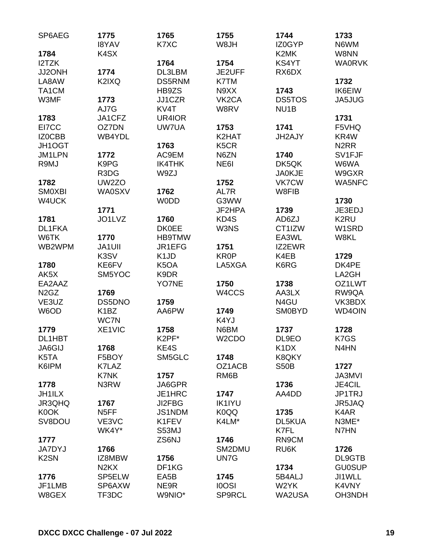| SP6AEG                        | 1775<br><b>I8YAV</b>          | 1765<br>K7XC                  | 1755<br>W8JH       | 1744<br>IZ0GYP                | 1733<br>N6WM      |
|-------------------------------|-------------------------------|-------------------------------|--------------------|-------------------------------|-------------------|
| 1784                          | K <sub>4</sub> SX             |                               |                    | K2MK                          | W8NN              |
| I2TZK                         |                               | 1764                          | 1754               | KS4YT                         | <b>WA0RVK</b>     |
| JJ2ONH                        | 1774                          | DL3LBM                        | JE2UFF             | RX6DX                         |                   |
| LA8AW                         | K2IXQ                         | <b>DS5RNM</b>                 | K7TM               |                               | 1732              |
| TA1CM                         |                               | HB9ZS                         | N9XX               | 1743                          | <b>IK6EIW</b>     |
| W3MF                          | 1773                          | JJ1CZR                        | VK <sub>2</sub> CA | <b>DS5TOS</b>                 | JA5JUG            |
|                               | AJ7G                          | KV4T                          | W8RV               | NU <sub>1</sub> B             |                   |
| 1783                          | JA1CFZ                        | UR4IOR                        |                    |                               | 1731              |
| EI7CC                         | OZ7DN                         | UW7UA                         | 1753               | 1741                          | F5VHQ             |
| IZ0CBB                        | WB4YDL                        |                               | K2HAT              | JH2AJY                        | KR4W              |
| JH1OGT                        |                               | 1763                          | K <sub>5</sub> CR  |                               | N <sub>2</sub> RR |
| JM1LPN                        | 1772                          | AC9EM                         | N6ZN               | 1740                          | SV1FJF            |
| R9MJ                          | K9PG                          | <b>IK4THK</b>                 | NE61               | DK5QK                         | W6WA              |
|                               | R3DG                          | W9ZJ                          |                    | <b>JA0KJE</b>                 | W9GXR             |
| 1782                          | UW2ZO                         |                               | 1752               | <b>VK7CW</b>                  | <b>WA5NFC</b>     |
| <b>SMOXBI</b>                 | <b>WA0SXV</b>                 | 1762                          | AL7R               | W8FIB                         |                   |
| W4UCK                         |                               | <b>WODD</b>                   | G3WW               |                               | 1730              |
|                               | 1771                          |                               | JF2HPA             |                               | JE3EDJ            |
|                               | JO1LVZ                        | 1760                          | KD4S               | 1739                          | K <sub>2</sub> RU |
| 1781                          |                               |                               |                    | AD6ZJ                         |                   |
| DL1FKA                        |                               | <b>DK0EE</b>                  | W3NS               | CT1IZW                        | W1SRD             |
| W6TK                          | 1770                          | <b>HB9TMW</b>                 |                    | EA3WL                         | W8KL              |
| WB2WPM                        | <b>JA1UII</b>                 | JR1EFG                        | 1751               | IZ2EWR                        |                   |
|                               | K3SV                          | K <sub>1</sub> J <sub>D</sub> | <b>KR0P</b>        | K4EB                          | 1729              |
| 1780                          | KE6FV                         | K <sub>5</sub> OA             | LA5XGA             | K6RG                          | DK4PE             |
| AK5X                          | SM5YOC                        | K9DR                          |                    |                               | LA2GH             |
| EA2AAZ                        |                               | YO7NE                         | 1750               | 1738                          | OZ1LWT            |
| N <sub>2</sub> G <sub>Z</sub> | 1769                          |                               | W4CCS              | AA3LX                         | RW9QA             |
| VE3UZ                         | DS5DNO                        | 1759                          |                    | N4GU                          | VK3BDX            |
| W6OD                          | K <sub>1</sub> BZ             | AA6PW                         | 1749               | <b>SM0BYD</b>                 | <b>WD4OIN</b>     |
|                               | WC7N                          |                               | K4YJ               |                               |                   |
| 1779                          | XE1VIC                        | 1758                          | N6BM               | 1737                          | 1728              |
| DL1HBT                        |                               | K <sub>2</sub> PF*            | W <sub>2</sub> CDO | DL9EO                         | K7GS              |
| JA6GIJ                        | 1768                          | KE4S                          |                    | K <sub>1</sub> D <sub>X</sub> | N <sub>4</sub> HN |
| K5TA                          | F5BOY                         | SM5GLC                        | 1748               | K8QKY                         |                   |
| K6IPM                         | K7LAZ                         |                               | OZ1ACB             | <b>S50B</b>                   | 1727              |
|                               | K7NK                          | 1757                          | RM <sub>6</sub> B  |                               | <b>JA3MVI</b>     |
| 1778                          | N3RW                          | JA6GPR                        |                    | 1736                          | JE4CIL            |
| <b>JH1ILX</b>                 |                               | JE1HRC                        | 1747               | AA4DD                         | JP1TRJ            |
| JR3QHQ                        | 1767                          | JI2FBG                        | <b>IK1IYU</b>      |                               | JR5JAQ            |
| K0OK                          | N <sub>5</sub> FF             | JS1NDM                        | K0QQ               | 1735                          | K4AR              |
| SV8DOU                        | VE3VC                         | K1FEV                         | K4LM*              | DL5KUA                        | N3ME*             |
|                               | WK4Y*                         | S53MJ                         |                    | K7FL                          | N7HN              |
| 1777                          |                               | ZS6NJ                         | 1746               | RN9CM                         |                   |
| <b>JA7DYJ</b>                 | 1766                          |                               | SM2DMU             | RU6K                          | 1726              |
| K <sub>2</sub> SN             | IZ8MBW                        | 1756                          | UN7G               |                               | DL9GTB            |
|                               | N <sub>2</sub> K <sub>X</sub> | DF1KG                         |                    | 1734                          | <b>GU0SUP</b>     |
| 1776                          | SP5ELW                        | EA <sub>5</sub> B             | 1745               | 5B4ALJ                        | JI1WLL            |
| JF1LMB                        | SP6AXW                        | NE9R                          | <b>IOOSI</b>       | W2YK                          | K4VNY             |
| W8GEX                         | TF3DC                         | W9NIO*                        | <b>SP9RCL</b>      | <b>WA2USA</b>                 | OH3NDH            |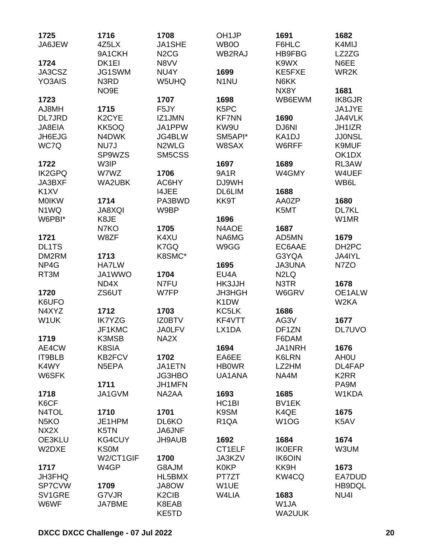| 1725              | 1716               | 1708                           | OH <sub>1</sub> JP | 1691                          | 1682                           |
|-------------------|--------------------|--------------------------------|--------------------|-------------------------------|--------------------------------|
| JA6JEW            | 4Z5LX              | JA1SHE                         | WB0O               | F6HLC                         | K4MIJ                          |
|                   | 9A1CKH             | N <sub>2</sub> C <sub>G</sub>  | WB2RAJ             | <b>HB9FBG</b>                 | LZ2ZG                          |
| 1724              | DK1EI              | N8VV                           |                    | K9WX                          | N6EE                           |
| JA3CSZ            | JG1SWM             | NU4Y                           | 1699               | KE5FXE                        | WR2K                           |
| YO3AIS            | N3RD               | W5UHQ                          | N <sub>1</sub> NU  | N6KK                          |                                |
|                   | NO <sub>9</sub> E  |                                |                    | NX8Y                          | 1681                           |
| 1723              |                    | 1707                           | 1698               | WB6EWM                        | <b>IK8GJR</b>                  |
| AJ8MH             | 1715               | F5JY                           | K5PC               |                               | JA1JYE                         |
| DL7JRD            | K <sub>2</sub> CYE | IZ1JMN                         | <b>KF7NN</b>       | 1690                          | JA4VLK                         |
| JA8EIA            | KK5OQ              | JA1PPW                         | KW9U               | DJ6NI                         | JH1IZR                         |
| JH6EJG            | N4DWK              | JG4BLW                         | SM5API*            | KA1DJ                         | <b>JJ0NSL</b>                  |
| WC7Q              | NU7J               | N <sub>2</sub> WLG             | W8SAX              | W6RFF                         | K9MUF                          |
|                   | SP9WZS             | SM5CSS                         |                    |                               | OK <sub>1</sub> D <sub>X</sub> |
| 1722              | W3IP               |                                | 1697               | 1689                          | RL3AW                          |
| <b>IK2GPQ</b>     | W7WZ               | 1706                           | <b>9A1R</b>        | W4GMY                         | W4UEF                          |
| JA3BXF            | <b>WA2UBK</b>      | AC6HY                          | DJ9WH              |                               | WB6L                           |
| K <sub>1</sub> XV |                    | <b>I4JEE</b>                   | <b>DL6LIM</b>      | 1688                          |                                |
| <b>MOIKW</b>      | 1714               | PA3BWD                         | KK9T               | AA0ZP                         | 1680                           |
| N <sub>1</sub> WQ | <b>JA8XQI</b>      | W9BP                           |                    | K5MT                          | DL7KL                          |
| W6PBI*            | K8JE               |                                | 1696               |                               | W1MR                           |
|                   | N7KO               | 1705                           | N4AOE              | 1687                          |                                |
| 1721              | W8ZF               | K4XU                           | NA6MG              | AD5MN                         | 1679                           |
| <b>DL1TS</b>      |                    | K7GQ                           | W9GG               | EC6AAE                        | DH <sub>2</sub> PC             |
| DM2RM             | 1713               | K8SMC*                         |                    | G3YQA                         | JA4IYL                         |
| NP4G              | <b>HA7LW</b>       |                                | 1695               | <b>JA3UNA</b>                 | N7ZO                           |
| RT3M              | JA1WWO             | 1704                           | EU4A               | N <sub>2</sub> L <sub>Q</sub> |                                |
|                   | ND4X               | N7FU                           | HK3JJH             | N3TR                          | 1678                           |
| 1720              | ZS6UT              | W7FP                           | JH3HGH             | W6GRV                         | OE1ALW                         |
| K6UFO             |                    |                                | K <sub>1</sub> DW  |                               | W <sub>2</sub> KA              |
| N4XYZ             | 1712               | 1703                           | KC5LK              | 1686                          |                                |
| W1UK              | <b>IK7YZG</b>      | <b>IZ0BTV</b>                  | KF4VTT             | AG3V                          | 1677                           |
|                   | JF1KMC             | <b>JA0LFV</b>                  | LX1DA              | DF1ZN                         | DL7UVO                         |
| 1719              | K3MSB              | NA2X                           |                    | F6DAM                         |                                |
| AE4CW             | K8SIA              |                                | 1694               | JA1NRH                        | 1676                           |
| IT9BLB            | KB2FCV             | 1702                           | EA6EE              | K6LRN                         | AH <sub>0</sub> U              |
| K4WY              | N5EPA              | JA1ETN                         | <b>HBOWR</b>       | LZ2HM                         | DL4FAP                         |
| W6SFK             |                    | JG3HBO                         | UA1ANA             | NA4M                          | K <sub>2</sub> RR              |
|                   | 1711               | JH1MFN                         |                    |                               | PA9M                           |
| 1718              | JA1GVM             | NA2AA                          | 1693               | 1685                          | W1KDA                          |
| K6CF              |                    |                                | HC <sub>1</sub> BI | BV1EK                         |                                |
| N4TOL             | 1710               | 1701                           | K9SM               | K4QE                          | 1675                           |
| N <sub>5</sub> KO | JE1HPM             | DL6KO                          | R <sub>1</sub> QA  | W <sub>1</sub> OG             | K5AV                           |
| NX <sub>2</sub> X | K5TN               | JA6JNF                         |                    |                               |                                |
| OE3KLU            | <b>KG4CUY</b>      | <b>JH9AUB</b>                  | 1692               | 1684                          | 1674                           |
| W2DXE             | <b>KS0M</b>        |                                | CT1ELF             | <b>IK0EFR</b>                 | W3UM                           |
|                   | W2/CT1GIF          | 1700                           | JA3KZV             | <b>IK6OIN</b>                 |                                |
| 1717              | W4GP               | G8AJM                          | <b>K0KP</b>        | KK9H                          | 1673                           |
| <b>JH3FHQ</b>     |                    | HL5BMX                         | PT7ZT              | KW4CQ                         | EA7DUD                         |
| <b>SP7CVW</b>     | 1709               | JA8OW                          | W1UE               |                               | HB9DQL                         |
| SV1GRE            | G7VJR              | K <sub>2</sub> C <sub>IB</sub> | W4LIA              | 1683                          | NU4I                           |
| W6WF              | JA7BME             | K8EAB                          |                    | W1JA                          |                                |
|                   |                    | KE5TD                          |                    | WA2UUK                        |                                |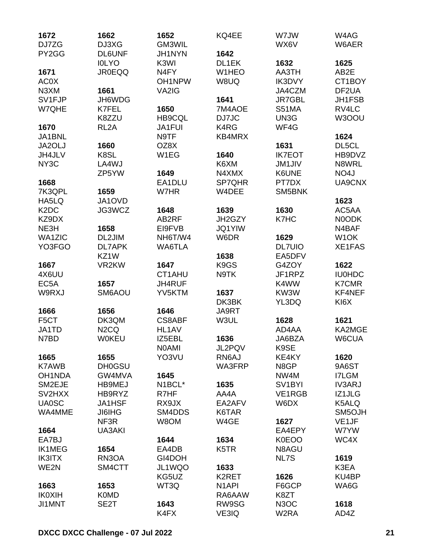| 1672                          | 1662              | 1652             | KQ4EE              | W7JW                | W4AG               |
|-------------------------------|-------------------|------------------|--------------------|---------------------|--------------------|
| DJ7ZG<br>PY2GG                | DJ3XG             | GM3WIL           |                    | WX6V                | W6AER              |
|                               | <b>DL6UNF</b>     | JH1NYN           | 1642               |                     |                    |
|                               | <b>IOLYO</b>      | K3WI             | DL1EK              | 1632                | 1625               |
| 1671                          | <b>JR0EQQ</b>     | N <sub>4FY</sub> | W1HEO              | AA3TH               | AB2E               |
| AC0X                          |                   | OH1NPW           | W8UQ               | IK3DVY              | CT1BOY             |
| N3XM                          | 1661              | VA2IG            |                    | JA4CZM              | DF <sub>2</sub> UA |
| SV1FJP                        | JH6WDG            |                  | 1641               | <b>JR7GBL</b>       | JH1FSB             |
| W7QHE                         | <b>K7FEL</b>      | 1650             | 7M4AOE             | <b>S51MA</b>        | RV4LC              |
|                               | K8ZZU             | HB9CQL           | DJ7JC              | UN3G                | W3OOU              |
| 1670                          | RL <sub>2</sub> A | <b>JA1FUI</b>    | K4RG               | WF4G                |                    |
| JA1BNL                        |                   | N9TF             | KB4MRX             |                     | 1624               |
| JA2OLJ                        | 1660              | OZ8X             |                    | 1631                | DL5CL              |
| JH4JLV                        | K8SL              | W1EG             | 1640               | <b>IK7EOT</b>       | HB9DVZ             |
| NY <sub>3</sub> C             | LA4WJ             |                  | K6XM               | <b>JM1JIV</b>       | N8WRL              |
|                               | ZP5YW             | 1649             | N4XMX              | K6UNE               | NO <sub>4</sub> J  |
| 1668                          |                   | EA1DLU           | <b>SP7QHR</b>      | PT7DX               | UA9CNX             |
| 7K3QPL                        | 1659              | W7HR             | W4DEE              | SM5BNK              |                    |
| HA5LQ                         | JA1OVD            |                  |                    |                     | 1623               |
| K <sub>2</sub> D <sub>C</sub> | JG3WCZ            | 1648             | 1639               | 1630                | AC5AA              |
| KZ9DX                         |                   | AB2RF            | JH2GZY             | K7HC                | N0ODK              |
| NE3H                          | 1658              | EI9FVB           | <b>JQ1YIW</b>      |                     | N4BAF              |
| <b>WA1ZIC</b>                 | DL2JIM            | NH6T/W4          | W6DR               | 1629                | W <sub>1</sub> OK  |
| YO3FGO                        | <b>DL7APK</b>     | WA6TLA           |                    | <b>DL7UIO</b>       | <b>XE1FAS</b>      |
|                               | KZ1W              |                  | 1638               | EA5DFV              |                    |
| 1667                          | VR2KW             | 1647             | K9GS               | G4ZOY               | 1622               |
| 4X6UU                         |                   | CT1AHU           | N9TK               | JF1RPZ              | <b>IU0HDC</b>      |
|                               | 1657              | JH4RUF           |                    | K4WW                | <b>K7CMR</b>       |
| EC <sub>5</sub> A             |                   |                  |                    |                     |                    |
| W9RXJ                         | SM6AOU            | YV5KTM           | 1637               | KW3W                | KF4NEF             |
|                               |                   |                  | DK3BK              | YL3DQ               | KI <sub>6</sub> X  |
| 1666                          | 1656              | 1646             | JA9RT              |                     |                    |
| F <sub>5</sub> CT             | DK3QM             | <b>CS8ABF</b>    | W3UL               | 1628                | 1621               |
| JA1TD                         | N <sub>2</sub> CQ | HL1AV            |                    | AD4AA               | KA2MGE             |
| N7BD                          | <b>W0KEU</b>      | IZ5EBL           | 1636               | JA6BZA              | W6CUA              |
|                               |                   | <b>NOAMI</b>     | JL2PQV             | K9SE                |                    |
| 1665                          | 1655              | YO3VU            | RN6AJ              | KE4KY               | 1620               |
| <b>K7AWB</b>                  | <b>DH0GSU</b>     |                  | WA3FRP             | N8GP                | 9A6ST              |
| OH1NDA                        | GW4MVA            | 1645             |                    | NW4M                | <b>I7LGM</b>       |
| SM2EJE                        | HB9MEJ            | N1BCL*           | 1635               | SV <sub>1</sub> BYI | <b>IV3ARJ</b>      |
| SV2HXX                        | HB9RYZ            | R7HF             | AA4A               | VE1RGB              | IZ1JLG             |
| <b>UA0SC</b>                  | JA1HSF            | RX9JX            | EA2AFV             | W6DX                | K5ALQ              |
| WA4MME                        | <b>JI6IHG</b>     | SM4DDS           | K6TAR              |                     | SM5OJH             |
|                               | NF3R              | W8OM             | W4GE               | 1627                | VE <sub>1</sub> JF |
| 1664                          | UA3AKI            |                  |                    | EA4EPY              | W7YW               |
| EA7BJ                         |                   | 1644             | 1634               | <b>K0EOO</b>        | WC4X               |
| <b>IK1MEG</b>                 | 1654              | EA4DB            | K <sub>5</sub> TR  | N8AGU               |                    |
| <b>IK3ITX</b>                 | RN3OA             | GI4DOH           |                    | NL7S                | 1619               |
| WE2N                          | SM4CTT            | JL1WQO           | 1633               |                     | K3EA               |
|                               |                   | KG5UZ            | K <sub>2</sub> RET | 1626                | KU4BP              |
| 1663                          | 1653              | WT3Q             | N <sub>1</sub> API | F6GCP               | WA6G               |
| <b>IK0XIH</b>                 | <b>K0MD</b>       |                  | RA6AAW             | K8ZT                |                    |
| <b>JI1MNT</b>                 | SE2T              | 1643             | RW9SG              | N <sub>3</sub> OC   | 1618               |
|                               |                   | K4FX             | VE3IQ              | W2RA                | AD4Z               |
|                               |                   |                  |                    |                     |                    |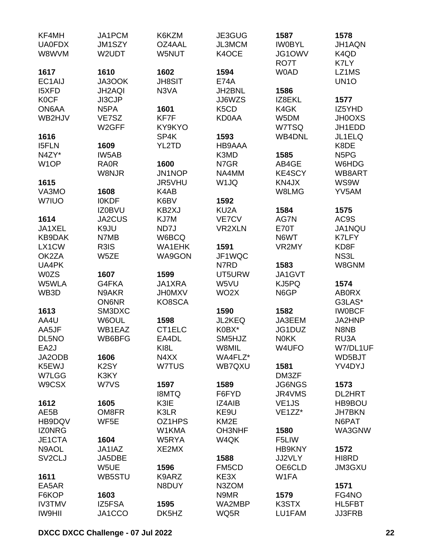| KF4MH               | JA1PCM             | K6KZM         | JE3GUG            | 1587                | 1578                          |
|---------------------|--------------------|---------------|-------------------|---------------------|-------------------------------|
| <b>UA0FDX</b>       | JM1SZY             | OZ4AAL        | <b>JL3MCM</b>     | <b>IWOBYL</b>       | JH1AQN                        |
| W8WVM               | W2UDT              | W5NUT         | K4OCE             | JG1OWV              | K4QD                          |
|                     |                    |               |                   | RO7T                | K7LY                          |
| 1617                | 1610               | 1602          | 1594              | <b>W0AD</b>         | LZ1MS                         |
| EC1AIJ              | JA3OOK             | <b>JH8SIT</b> | <b>E74A</b>       |                     | UN <sub>10</sub>              |
| <b>I5XFD</b>        | JH2AQI             | N3VA          | JH2BNL            | 1586                |                               |
| <b>KOCF</b>         | JI3CJP             |               | JJ6WZS            | IZ8EKL              | 1577                          |
| ON6AA               | N <sub>5</sub> PA  | 1601          | K5CD              | K4GK                | IZ5YHD                        |
| WB2HJV              | VE7SZ              | KF7F          | <b>KD0AA</b>      | W5DM                | <b>JH0OXS</b>                 |
|                     | W <sub>2</sub> GFF | KY9KYO        |                   | W7TSQ               | JH1EDD                        |
| 1616                |                    | SP4K          | 1593              | <b>WB4DNL</b>       | JL1ELQ                        |
| <b>I5FLN</b>        | 1609               | YL2TD         | HB9AAA            |                     | K8DE                          |
| N4ZY*               | IW5AB              |               | K3MD              | 1585                | N <sub>5</sub> P <sub>G</sub> |
| W <sub>1</sub> OP   | <b>RA0R</b>        | 1600          | N7GR              | AB4GE               | W6HDG                         |
|                     | W8NJR              | JN1NOP        | NA4MM             | KE4SCY              | WB8ART                        |
|                     |                    | JR5VHU        | W <sub>1JQ</sub>  | KN4JX               | WS9W                          |
| 1615                |                    |               |                   | W8LMG               | YV5AM                         |
| VA3MO               | 1608               | K4AB          |                   |                     |                               |
| W7IUO               | <b>IOKDF</b>       | K6BV          | 1592              |                     |                               |
|                     | <b>IZ0BVU</b>      | KB2XJ         | KU <sub>2</sub> A | 1584                | 1575                          |
| 1614                | JA2CUS             | KJ7M          | VE7CV             | AG7N                | AC9S                          |
| JA1XEL              | K9JU               | ND7J          | <b>VR2XLN</b>     | <b>E70T</b>         | JA1NQU                        |
| KB9DAK              | N7MB               | W6BCQ         |                   | N6WT                | K7LFY                         |
| LX1CW               | R3IS               | <b>WA1EHK</b> | 1591              | VR2MY               | KD8F                          |
| OK2ZA               | W5ZE               | <b>WA9GON</b> | JF1WQC            |                     | NS3L                          |
| UA4PK               |                    |               | N7RD              | 1583                | W8GNM                         |
| <b>W0ZS</b>         | 1607               | 1599          | UT5URW            | JA1GVT              |                               |
| W5WLA               | G4FKA              | JA1XRA        | W5VU              | KJ5PQ               | 1574                          |
| WB3D                | N9AKR              | <b>JHOMXV</b> | WO <sub>2</sub> X | N6GP                | <b>ABORX</b>                  |
|                     | <b>ON6NR</b>       | KO8SCA        |                   |                     | G3LAS*                        |
| 1613                | SM3DXC             |               | 1590              | 1582                | <b>IWOBCF</b>                 |
| AA4U                | W6OUL              | 1598          | JL2KEQ            | JA3EEM              | JA2HNP                        |
| AA5JF               | WB1EAZ             | CT1ELC        | K0BX*             | JG1DUZ              | N8NB                          |
| DL5NO               | WB6BFG             | EA4DL         | SM5HJZ            | <b>NOKK</b>         | RU3A                          |
| EA2J                |                    | KI8L          | W8MIL             | W4UFO               | W7/DL1UF                      |
| JA2ODB              | 1606               | N4XX          | WA4FLZ*           |                     | WD5BJT                        |
| K5EWJ               | K <sub>2</sub> SY  | W7TUS         | WB7QXU            | 1581                | YV4DYJ                        |
| W7LGG               | K3KY               |               |                   | DM3ZF               |                               |
| W9CSX               | W7VS               | 1597          | 1589              | <b>JG6NGS</b>       | 1573                          |
|                     |                    | <b>I8MTQ</b>  | F6FYD             | JR4VMS              | <b>DL2HRT</b>                 |
| 1612                | 1605               | K3IE          | IZ4AIB            | VE <sub>1</sub> JS  | HB9BOU                        |
| AE5B                | OM8FR              | K3LR          | KE9U              | VE <sub>1</sub> ZZ* | <b>JH7BKN</b>                 |
| HB9DQV              | WF5E               | OZ1HPS        | KM <sub>2</sub> E |                     | N6PAT                         |
| <b>IZONRG</b>       |                    | W1KMA         | <b>OH3NHF</b>     | 1580                | WA3GNW                        |
| JE1CTA              | 1604               | W5RYA         | W4QK              | F5LIW               |                               |
| N9AOL               | JA1IAZ             | XE2MX         |                   | <b>HB9KNY</b>       | 1572                          |
| SV <sub>2</sub> CLJ | JA5DBE             |               | 1588              | JJ2VLY              | HI8RD                         |
|                     | W5UE               | 1596          | FM5CD             | OE6CLD              | <b>JM3GXU</b>                 |
| 1611                | WB5STU             | K9ARZ         | KE3X              | W1FA                |                               |
| EA5AR               |                    | N8DUY         | N3ZOM             |                     | 1571                          |
| F6KOP               | 1603               |               | N9MR              | 1579                | FG4NO                         |
| <b>IV3TMV</b>       | IZ5FSA             | 1595          | WA2MBP            | K3STX               | HL5FBT                        |
| IW9HII              |                    | DK5HZ         | WQ5R              | LU1FAM              | <b>JJ3FRB</b>                 |
|                     | JA1CCO             |               |                   |                     |                               |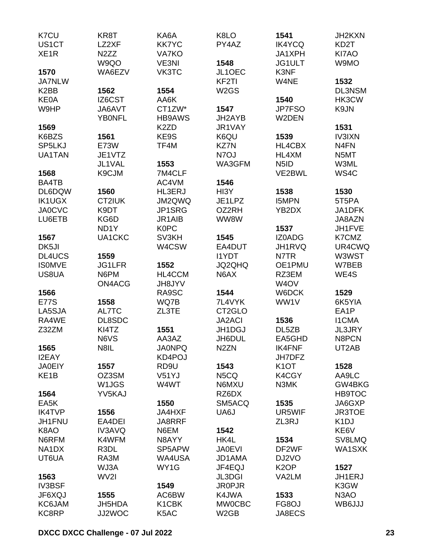| K7CU              | KR8T              | KA6A              | K8LO                | 1541                          | JH2KXN            |
|-------------------|-------------------|-------------------|---------------------|-------------------------------|-------------------|
| US1CT             | LZ2XF             | <b>KK7YC</b>      | PY4AZ               | <b>IK4YCQ</b>                 | KD <sub>2</sub> T |
| XE <sub>1</sub> R | N <sub>2</sub> ZZ | <b>VA7KO</b>      |                     | JA1XPH                        | KI7AO             |
|                   | W9QO              | VE3NI             | 1548                | JG1ULT                        | W9MO              |
| 1570              | WA6EZV            | VK3TC             | JL1OEC              | K3NF                          |                   |
| <b>JA7NLW</b>     |                   |                   | KF <sub>2</sub> TI  | W4NE                          | 1532              |
| K <sub>2</sub> BB | 1562              | 1554              | W <sub>2</sub> GS   |                               | <b>DL3NSM</b>     |
| <b>KE0A</b>       | IZ6CST            | AA6K              |                     | 1540                          | HK3CW             |
| W9HP              | JA6AVT            | CT1ZW*            | 1547                | JP7FSO                        | K9JN              |
|                   | <b>YBONFL</b>     | <b>HB9AWS</b>     | JH2AYB              | W2DEN                         |                   |
| 1569              |                   | K <sub>2</sub> ZD | JR1VAY              |                               | 1531              |
| K6BZS             | 1561              | KE9S              | K6QU                | 1539                          | <b>IV3IXN</b>     |
| SP5LKJ            | <b>E73W</b>       | TF4M              | <b>KZ7N</b>         | HL4CBX                        | N <sub>4</sub> FN |
| UA1TAN            | JE1VTZ            |                   | N7OJ                | HL4XM                         | N5MT              |
|                   | JL1VAL            | 1553              | WA3GFM              | N <sub>5</sub> I <sub>D</sub> | W3ML              |
| 1568              | K9CJM             | 7M4CLF            |                     | VE2BWL                        | WS4C              |
| BA4TB             |                   | AC4VM             | 1546                |                               |                   |
| DL6DQW            | 1560              | <b>HL3ERJ</b>     | HI3Y                | 1538                          | 1530              |
| <b>IK1UGX</b>     | CT2IUK            | JM2QWQ            | JE1LPZ              | <b>I5MPN</b>                  | 5T5PA             |
| <b>JA0CVC</b>     | K9DT              | JP1SRG            | OZ2RH               | YB2DX                         | JA1DFK            |
| LU6ETB            | KG6D              | JR1AIB            | WW8W                |                               | JA8AZN            |
|                   | ND <sub>1</sub> Y | <b>K0PC</b>       |                     | 1537                          | JH1FVE            |
| 1567              | UA1CKC            | SV3KH             | 1545                | <b>IZ0ADG</b>                 | K7CMZ             |
| DK5JI             |                   | W4CSW             | EA4DUT              | JH1RVQ                        | UR4CWQ            |
| DL4UCS            | 1559              |                   | <b>I1YDT</b>        | N7TR                          | W3WST             |
| <b>ISOMVE</b>     | <b>JG1LFR</b>     | 1552              | JQ2QHQ              | OE1PMU                        | W7BEB             |
| US8UA             | N6PM              | HL4CCM            | N6AX                | RZ3EM                         | WE4S              |
|                   | ON4ACG            | <b>JH8JYV</b>     |                     | W <sub>4</sub> OV             |                   |
| 1566              |                   | RA9SC             | 1544                | W6DCK                         | 1529              |
| <b>E77S</b>       | 1558              | WQ7B              | 7L4VYK              | WW1V                          | 6K5YIA            |
| LA5SJA            | AL7TC             | ZL3TE             | CT <sub>2</sub> GLO |                               | EA <sub>1</sub> P |
| RA4WE             | DL8SDC            |                   | <b>JA2ACI</b>       | 1536                          | <b>I1CMA</b>      |
| Z32ZM             | KI4TZ             | 1551              | JH1DGJ              | DL5ZB                         | <b>JL3JRY</b>     |
|                   | N6VS              | AA3AZ             | JH6DUL              | EA5GHD                        | N8PCN             |
| 1565              | N8IL              | <b>JA0NPQ</b>     | N <sub>2</sub> ZN   | <b>IK4FNF</b>                 | UT2AB             |
| <b>I2EAY</b>      |                   | KD4POJ            |                     | <b>JH7DFZ</b>                 |                   |
| <b>JA0EIY</b>     | 1557              | RD <sub>9U</sub>  | 1543                | K <sub>1</sub> OT             | 1528              |
| KE <sub>1</sub> B | OZ3SM             | V51YJ             | N5CQ                | K4CGY                         | AA9LC             |
|                   | W1JGS             | W4WT              | N6MXU               | N3MK                          | GW4BKG            |
| 1564              | YV5KAJ            |                   | RZ6DX               |                               | <b>HB9TOC</b>     |
| EA5K              |                   | 1550              | SM5ACQ              | 1535                          | JA6GXP            |
| <b>IK4TVP</b>     | 1556              | JA4HXF            | UA6J                | UR5WIF                        | <b>JR3TOE</b>     |
| JH1FNU            | EA4DEI            | JA8RRF            |                     | ZL3RJ                         | K <sub>1</sub> DJ |
| K8AO              | IV3AVQ            | N6EM              | 1542                |                               | KE6V              |
| N6RFM             | K4WFM             | N8AYY             | HK4L                | 1534                          | SV8LMQ            |
| NA1DX             | R3DL              | SP5APW            | <b>JA0EVI</b>       | DF2WF                         | WA1SXK            |
| UT6UA             | RA3M              | WA4USA            | JD1AMA              | DJ2VO                         |                   |
|                   | WJ3A              | WY1G              | JF4EQJ              | K <sub>2</sub> OP             | 1527              |
| 1563              | WV2I              |                   | <b>JL3DGI</b>       | VA2LM                         | JH1ERJ            |
| <b>IV3BSF</b>     |                   | 1549              | <b>JR0PJR</b>       |                               | K3GW              |
| JF6XQJ            | 1555              | AC6BW             | K4JWA               | 1533                          | N <sub>3</sub> AO |
| KC6JAM            | <b>JH5HDA</b>     | K1CBK             | <b>MW0CBC</b>       | FG8OJ                         | WB6JJJ            |
| KC8RP             | JJ2WOC            | K5AC              | W <sub>2</sub> GB   | JA8ECS                        |                   |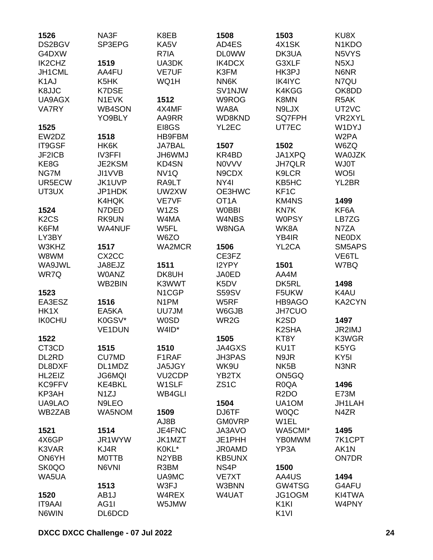| 1526                          | NA3F               | K8EB                | 1508              | 1503               | KU8X                            |
|-------------------------------|--------------------|---------------------|-------------------|--------------------|---------------------------------|
| DS2BGV                        | SP3EPG             | KA5V                | AD4ES             | 4X1SK              | N <sub>1</sub> K <sub>D</sub> O |
| G4DXW                         |                    | R7IA                | <b>DLOWW</b>      | DK3UA              | N5VYS                           |
| IK2CHZ                        | 1519               | UA3DK               | IK4DCX            | G3XLF              | N <sub>5</sub> XJ               |
| JH1CML                        | AA4FU              | <b>VE7UF</b>        | K3FM              | HK3PJ              | N6NR                            |
| K <sub>1</sub> AJ             | K <sub>5</sub> HK  | WQ1H                | NN6K              | <b>IK4IYC</b>      | N7QU                            |
| K8JJC                         | <b>K7DSE</b>       |                     | SV1NJW            | K4KGG              | OK8DD                           |
| UA9AGX                        | N1EVK              | 1512                | W9ROG             | K8MN               | R5AK                            |
| <b>VA7RY</b>                  | <b>WB4SON</b>      | 4X4MF               | WA8A              | N9LJX              | UT2VC                           |
|                               | YO9BLY             | AA9RR               | WD8KND            | SQ7FPH             | VR2XYL                          |
| 1525                          |                    | EI8GS               | YL2EC             | UT7EC              | W1DYJ                           |
| EW2DZ                         | 1518               | <b>HB9FBM</b>       |                   |                    | W <sub>2</sub> PA               |
| IT9GSF                        | HK6K               | <b>JA7BAL</b>       | 1507              | 1502               | W6ZQ                            |
| JF2ICB                        | <b>IV3FFI</b>      | <b>JH6WMJ</b>       | KR4BD             | JA1XPQ             | <b>WA0JZK</b>                   |
| KE8G                          | <b>JE2KSM</b>      | KD4SN               | <b>NOVVV</b>      | <b>JH7QLR</b>      | <b>WJ0T</b>                     |
| NG7M                          | JI1VVB             | NV <sub>1Q</sub>    | N9CDX             | K9LCR              | WO <sub>5</sub> I               |
| UR5ECW                        | JK1UVP             | RA9LT               | NY4I              | KB5HC              | YL2BR                           |
| UT3UX                         | JP1HDK             | UW2XW               | OE3HWC            | KF <sub>1</sub> C  |                                 |
|                               | K4HQK              | VE7VF               | OT <sub>1</sub> A | <b>KM4NS</b>       | 1499                            |
| 1524                          | N7DED              | W1ZS                | <b>WOBBI</b>      | <b>KN7K</b>        | KF6A                            |
| K <sub>2</sub> C <sub>S</sub> | RK9UN              | W4MA                | W4NBS             | <b>W0PSY</b>       | LB7ZG                           |
| K6FM                          | <b>WA4NUF</b>      | W5FL                | W8NGA             | WK8A               | N7ZA                            |
| LY3BY                         |                    | W6ZO                |                   | YB4IR              | <b>NEODX</b>                    |
| W3KHZ                         | 1517               | <b>WA2MCR</b>       | 1506              | YL2CA              | SM5APS                          |
| W8WM                          | CX <sub>2</sub> CC |                     | CE3FZ             |                    | VE6TL                           |
| WA9JWL                        | JA8EJZ             | 1511                | I2YPY             | 1501               | W7BQ                            |
| WR7Q                          | <b>WOANZ</b>       | DK8UH               | <b>JA0ED</b>      | AA4M               |                                 |
|                               | WB2BIN             | K3WWT               | K <sub>5</sub> DV | DK5RL              | 1498                            |
| 1523                          |                    | N1CGP               | <b>S59SV</b>      | F5UKW              | K4AU                            |
| EA3ESZ                        | 1516               | N <sub>1</sub> PM   | W5RF              | HB9AGO             | <b>KA2CYN</b>                   |
| HK1X                          | EA5KA              | UU7JM               | W6GJB             | <b>JH7CUO</b>      |                                 |
| <b>IK0CHU</b>                 | K0GSV*             | <b>W0SD</b>         | WR <sub>2</sub> G | K <sub>2</sub> SD  | 1497                            |
|                               | <b>VE1DUN</b>      | W4ID*               |                   | K <sub>2</sub> SHA | JR2IMJ                          |
| 1522                          |                    |                     | 1505              | KT8Y               | K3WGR                           |
| CT3CD                         | 1515               | 1510                | JA4GXS            | KU1T               | K5YG                            |
| DL2RD                         | <b>CU7MD</b>       | F1RAF               | <b>JH3PAS</b>     | N9JR               | KY <sub>5</sub> I               |
| DL8DXF                        | DL1MDZ             | JA5JGY              | WK9U              | NK <sub>5</sub> B  | N3NR                            |
| HL2EIZ                        | <b>JG6MQI</b>      | VU <sub>2</sub> CDP | YB2TX             | ON5GQ              |                                 |
| <b>KC9FFV</b>                 | <b>KE4BKL</b>      | W1SLF               | ZS <sub>1</sub> C | R <sub>0</sub> QA  | 1496                            |
| KP3AH                         | N <sub>1</sub> ZJ  | WB4GLI              |                   | R <sub>2</sub> DO  | <b>E73M</b>                     |
| UA9LAO                        | N9LEO              |                     | 1504              | UA1OM              | JH1LAH                          |
| WB2ZAB                        | WA5NOM             | 1509                | DJ6TF             | <b>WOQC</b>        | N4ZR                            |
|                               |                    | AJ8B                | <b>GM0VRP</b>     | W1EL               |                                 |
| 1521                          | 1514               | JE4FNC              | JA3AVO            | WA5CMI*            | 1495                            |
| 4X6GP                         | JR1WYW             | JK1MZT              | JE1PHH            | <b>YB0MWM</b>      | 7K1CPT                          |
| K3VAR                         | KJ4R               | K0KL*               | <b>JR0AMD</b>     | YP3A               | AK1N                            |
| ON6YH                         | <b>MOTTB</b>       | N <sub>2</sub> YBB  | <b>KB5UNX</b>     |                    | <b>ON7DR</b>                    |
| SK0QO                         | N6VNI              | R3BM                | NS4P              | 1500               |                                 |
| WA5UA                         |                    | UA9MC               | VE7XT             | AA4US              | 1494                            |
|                               | 1513               | W3FJ                | W3BNN             | GW4TSG             | G4AFU                           |
| 1520                          | AB1J               | W4REX               | W4UAT             | JG1OGM             | KI4TWA                          |
| <b>IT9AAI</b>                 | AG1I               | W5JMW               |                   | K <sub>1KI</sub>   | W4PNY                           |
| N6WIN                         | DL6DCD             |                     |                   | K <sub>1VI</sub>   |                                 |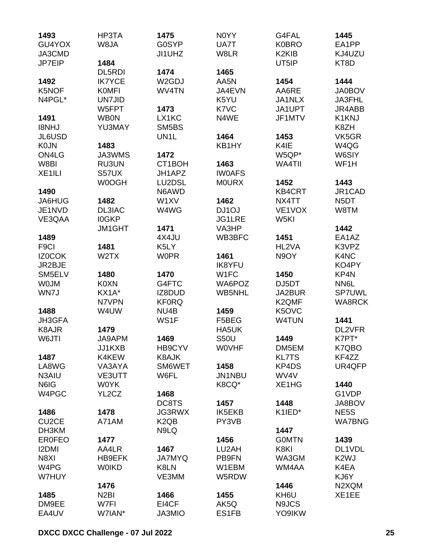| 1493               | HP3TA             | 1475                          | N0YY          | G4FAL            | 1445              |
|--------------------|-------------------|-------------------------------|---------------|------------------|-------------------|
| GU4YOX             | W8JA              | G0SYP                         | UA7T          | <b>K0BRO</b>     | EA1PP             |
| JA3CMD             |                   | JI1UHZ                        | W8LR          | K2KIB            | KJ4UZU            |
| JP7EIP             | 1484              |                               |               | UT5IP            | KT8D              |
|                    | DL5RDI            | 1474                          | 1465          |                  |                   |
| 1492               | <b>IK7YCE</b>     | W <sub>2</sub> GDJ            | AA5N          | 1454             | 1444              |
| K5NOF              | <b>KOMFI</b>      | WV4TN                         | JA4EVN        | AA6RE            | <b>JA0BOV</b>     |
| N4PGL*             | <b>UN7JID</b>     |                               | K5YU          | JA1NLX           | JA3FHL            |
|                    | W5FPT             | 1473                          | K7VC          | JA1UPT           | JR4ABB            |
| 1491               | <b>WB0N</b>       | LX1KC                         | N4WE          | JF1MTV           | K1KNJ             |
| <b>I8NHJ</b>       | YU3MAY            | SM5BS                         |               |                  | K8ZH              |
| JL6USD             |                   | UN1L                          | 1464          | 1453             | VK5GR             |
| <b>K0JN</b>        | 1483              |                               | KB1HY         | K4IE             | W4QG              |
| ON4LG              | JA3WMS            | 1472                          |               | W5QP*            | W6SIY             |
| W8BI               | RU3UN             | CT1BOH                        | 1463          | WA4TII           | WF1H              |
| XE <sub>1ILI</sub> | S57UX             | JH1APZ                        | <b>IWOAFS</b> |                  |                   |
|                    | W0OGH             | LU2DSL                        | <b>MOURX</b>  | 1452             | 1443              |
| 1490               |                   | N6AWD                         |               | <b>KB4CRT</b>    | JR1CAD            |
| JA6HUG             | 1482              | W1XV                          | 1462          | NX4TT            | N <sub>5</sub> DT |
| JE1NVD             | <b>DL3IAC</b>     | W4WG                          | DJ1OJ         | VE1VOX           | W8TM              |
| VE3QAA             | <b>IOGKP</b>      |                               | <b>JG1LRE</b> | W <sub>5KI</sub> |                   |
|                    | JM1GHT            | 1471                          | VA3HP         |                  | 1442              |
| 1489               |                   | 4X4JU                         | WB3BFC        | 1451             | EA1AZ             |
| F <sub>9</sub> Cl  | 1481              | K5LY                          |               | HL2VA            | K3VPZ             |
| IZ0COK             | W <sub>2</sub> TX | <b>WOPR</b>                   | 1461          | N9OY             | K4NC              |
| JR2BJE             |                   |                               | <b>IK8YFU</b> |                  | KO4PY             |
| SM5ELV             | 1480              | 1470                          | W1FC          | 1450             | KP4N              |
| <b>WOJM</b>        | K0XN              | G4FTC                         | WA6POZ        | DJ5DT            | NN6L              |
| WN7J               | KX1A*             | IZ8DUD                        | WB5NHL        | JA2BUR           | <b>SP7UWL</b>     |
|                    | N7VPN             | <b>KF0RQ</b>                  |               | K2QMF            | <b>WA8RCK</b>     |
|                    |                   | NU <sub>4</sub> B             |               |                  |                   |
| 1488               | W4UW              |                               | 1459          | K5OVC            | 1441              |
| JH3GFA             |                   | WS1F                          | F5BEG         | W4TUN            | DL2VFR            |
| K8AJR              | 1479              |                               | HA5UK         |                  |                   |
| W6JTI              | JA9APM            | 1469                          | <b>S50U</b>   | 1449             | K7PT*             |
|                    | JJ1KXB            | HB9CYV                        | <b>WOVHF</b>  | DM5EM            | K7QBO             |
| 1487               | K4KEW             | <b>K8AJK</b>                  |               | <b>KL7TS</b>     | KF4ZZ             |
| LA8WG              | VA3AYA            | SM6WET                        | 1458          | KP4DS            | UR4QFP            |
| N3AIU              | VE3UTT            | W6FL                          | JN1NBU        | WV4V             |                   |
| N6IG               | <b>WOYK</b>       |                               | K8CQ*         | XE1HG            | 1440              |
| W4PGC              | YL2CZ             | 1468                          |               |                  | G1VDP             |
|                    |                   | DC8TS                         | 1457          | 1448             | JA8BOV            |
| 1486               | 1478              | JG3RWX                        | <b>IK5EKB</b> | K1IED*           | NE <sub>5</sub> S |
| CU <sub>2</sub> CE | A71AM             | K <sub>2</sub> Q <sub>B</sub> | PY3VB         |                  | <b>WA7BNG</b>     |
| DH3KM              |                   | N9LQ                          |               | 1447             |                   |
| <b>ER0FEO</b>      | 1477              |                               | 1456          | <b>GOMTN</b>     | 1439              |
| <b>I2DMI</b>       | AA4LR             | 1467                          | LU2AH         | K8KI             | DL1VDL            |
| N8XI               | <b>HB9EFK</b>     | <b>JA7MYQ</b>                 | PB9FN         | WA3GM            | K <sub>2</sub> WJ |
| W4PG               | <b>WOIKD</b>      | K8LN                          | W1EBM         | WM4AA            | K4EA              |
| W7HUY              |                   | VE3MM                         | W5RDW         |                  | KJ6Y              |
|                    | 1476              |                               |               | 1446             | N2XQM             |
| 1485               | N <sub>2</sub> BI | 1466                          | 1455          | KH6U             | XE1EE             |
| DM9EE              | W7FI              | EI4CF                         | AK5Q          | N9JCS            |                   |
| EA4UV              | W7IAN*            | JA3MIO                        | ES1FB         | YO9IKW           |                   |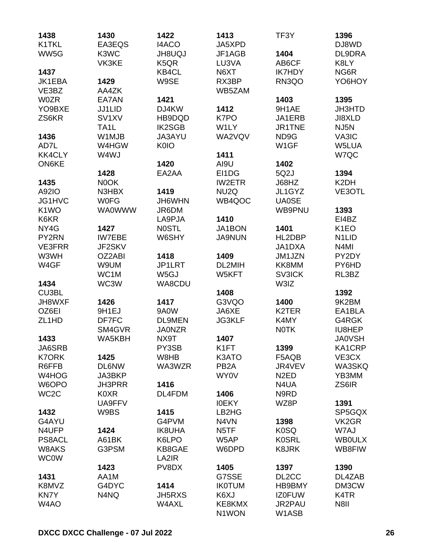| 1438               | 1430               | 1422              | 1413                           | TF <sub>3</sub> Y  | 1396                           |
|--------------------|--------------------|-------------------|--------------------------------|--------------------|--------------------------------|
| K1TKL              | EA3EQS             | <b>I4ACO</b>      | JA5XPD                         |                    | DJ8WD                          |
| WW5G               | K3WC               | <b>UQUBHL</b>     | JF1AGB                         | 1404               | DL9DRA                         |
|                    | VK3KE              | K <sub>5</sub> QR | LU3VA                          | AB6CF              | K8LY                           |
| 1437               |                    | KB4CL             | N6XT                           | <b>IK7HDY</b>      | NG6R                           |
| JK1EBA             | 1429               | W9SE              | RX3BP                          | RN3QO              | YO6HOY                         |
| VE3BZ              | AA4ZK              |                   | WB5ZAM                         |                    |                                |
| <b>W0ZR</b>        | EA7AN              | 1421              |                                | 1403               | 1395                           |
| YO9BXE             | <b>JJ1LID</b>      | DJ4KW             | 1412                           | 9H1AE              | <b>JH3HTD</b>                  |
| ZS6KR              | SV <sub>1</sub> XV | HB9DQD            | K7PO                           | JA1ERB             | JI8XLD                         |
|                    | TA1L               | <b>IK2SGB</b>     | W1LY                           | JR1TNE             | NJ5N                           |
| 1436               | W1MJB              | JA3AYU            | WA2VQV                         | ND <sub>9</sub> G  | VA3IC                          |
| AD7L               | W4HGW              | <b>K0IO</b>       |                                | W <sub>1</sub> GF  | W5LUA                          |
| <b>KK4CLY</b>      | W4WJ               |                   | 1411                           |                    | W7QC                           |
| <b>ON6KE</b>       |                    | 1420              | AI9U                           | 1402               |                                |
|                    | 1428               | EA2AA             | EI1DG                          | 5Q2J               | 1394                           |
| 1435               | N0OK               |                   | <b>IW2ETR</b>                  | J68HZ              | K2DH                           |
| A92IO              | N3HBX              | 1419              | NU <sub>2</sub> Q              | JL1GYZ             | VE3OTL                         |
| JG1HVC             | <b>WOFG</b>        | JH6WHN            | WB4QOC                         | <b>UA0SE</b>       |                                |
| K <sub>1</sub> WO  | <b>WA0WWW</b>      | JR6DM             |                                | WB9PNU             | 1393                           |
| K6KR               |                    | LA9PJA            | 1410                           |                    | EI4BZ                          |
| NY4G               | 1427               | <b>NOSTL</b>      | JA1BON                         | 1401               | K <sub>1</sub> EO              |
| PY2RN              | <b>IW7EBE</b>      | W6SHY             | <b>JA9NUN</b>                  | HL2DBP             | N <sub>1</sub> LI <sub>D</sub> |
| <b>VE3FRR</b>      | JF2SKV             |                   |                                | JA1DXA             | N <sub>4</sub> MI              |
| W3WH               | OZ2ABI             | 1418              | 1409                           | JM1JZN             | PY2DY                          |
| W4GF               | W9UM               | JP1LRT            | DL2MIH                         | KK8MM              | PY6HD                          |
|                    | WC1M               | W <sub>5</sub> GJ | W5KFT                          | <b>SV3ICK</b>      | RL3BZ                          |
| 1434               | WC3W               | WA8CDU            |                                | W3IZ               |                                |
| CU3BL              |                    |                   | 1408                           |                    | 1392                           |
| JH8WXF             | 1426               | 1417              | G3VQO                          | 1400               | 9K2BM                          |
| OZ6EI              | 9H1EJ              | 9A0W              | JA6XE                          | K <sub>2</sub> TER | EA1BLA                         |
| ZL <sub>1</sub> HD | DF7FC              | <b>DL9MEN</b>     | <b>JG3KLF</b>                  | K4MY               | G4RGK                          |
|                    | SM4GVR             | <b>JA0NZR</b>     |                                | <b>NOTK</b>        | IU8HEP                         |
| 1433               | WA5KBH             | NX9T              | 1407                           |                    | <b>JA0VSH</b>                  |
| JA6SRB             |                    | PY3SB             | K <sub>1FT</sub>               | 1399               | KA1CRP                         |
| <b>K7ORK</b>       | 1425               | W8HB              | K3ATO                          | F5AQB              | VE3CX                          |
| R6FFB              | <b>DL6NW</b>       | WA3WZR            | PB <sub>2</sub> A              | JR4VEV             | WA3SKQ                         |
| W4HOG              | JA3BKP             |                   | WY0V                           | N <sub>2</sub> ED  | YB3MM                          |
| W6OPO              | <b>JH3PRR</b>      | 1416              |                                | N4UA               | ZS6IR                          |
| WC <sub>2</sub> C  | K0XR               | DL4FDM            | 1406                           | N9RD               |                                |
|                    | UA9FFV             |                   | <b>IOEKY</b>                   | WZ8P               | 1391                           |
| 1432               | W9BS               | 1415              | LB <sub>2</sub> H <sub>G</sub> |                    | SP5GQX                         |
| G4AYU              |                    | G4PVM             | N4VN                           | 1398               | VK <sub>2</sub> GR             |
| N4UFP              | 1424               | <b>IK8UHA</b>     | N <sub>5</sub> TF              | <b>K0SQ</b>        | W7AJ                           |
| PS8ACL             | A61BK              | K6LPO             | W5AP                           | <b>K0SRL</b>       | <b>WBOULX</b>                  |
| W8AKS              | G3PSM              | KB8GAE            | W6DPD                          | <b>K8JRK</b>       | WB8FIW                         |
| <b>WC0W</b>        |                    | LA2IR             |                                |                    |                                |
|                    | 1423               | PV8DX             | 1405                           | 1397               | 1390                           |
| 1431               | AA1M               |                   | G7SSE                          | DL <sub>2</sub> CC | DL4ZAB                         |
| K8MVZ              | G4DYC              | 1414              | <b>IK0TUM</b>                  | HB9BMY             | DM3CW                          |
| <b>KN7Y</b>        | N4NQ               | JH5RXS            | K6XJ                           | <b>IZ0FUW</b>      | K4TR                           |
| W4AO               |                    | W4AXL             | KE8KMX                         | JR2PAU             | N8II                           |
|                    |                    |                   | N1WON                          | W1ASB              |                                |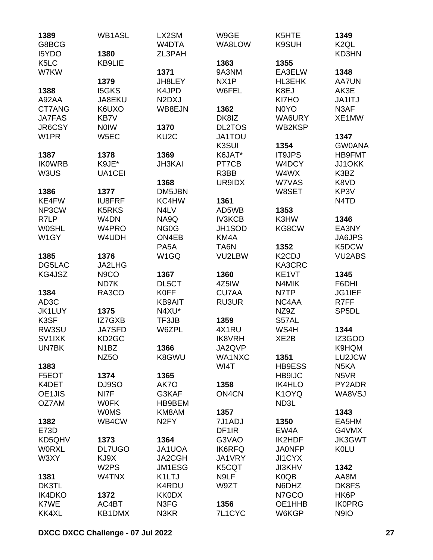| 1389              | <b>WB1ASL</b>      | LX2SM                           | W9GE               | K5HTE                           | 1349                          |
|-------------------|--------------------|---------------------------------|--------------------|---------------------------------|-------------------------------|
| G8BCG             |                    | W4DTA                           | WA8LOW             | K9SUH                           | K <sub>2</sub> QL             |
| I5YDO             | 1380               | ZL3PAH                          |                    |                                 | KD3HN                         |
| K <sub>5</sub> LC | <b>KB9LIE</b>      |                                 | 1363               | 1355                            |                               |
| W7KW              |                    | 1371                            | 9A3NM              | EA3ELW                          | 1348                          |
|                   | 1379               | JH8LEY                          | NX <sub>1</sub> P  | HL3EHK                          | <b>AA7UN</b>                  |
| 1388              | <b>I5GKS</b>       | K4JPD                           | W6FEL              | K8EJ                            | AK3E                          |
| A92AA             | JA8EKU             | N <sub>2</sub> D <sub>X</sub> J |                    | KI7HO                           | JA1ITJ                        |
| CT7ANG            | K6UXO              | WB8EJN                          | 1362               | N0YO                            | N3AF                          |
| <b>JA7FAS</b>     | KB7V               |                                 | DK8IZ              | WA6URY                          | XE1MW                         |
| JR6CSY            | <b>NOIW</b>        | 1370                            | <b>DL2TOS</b>      | WB2KSP                          |                               |
| W <sub>1</sub> PR | W5EC               | KU <sub>2</sub> C               | <b>JA1TOU</b>      |                                 | 1347                          |
|                   |                    |                                 | K3SUI              | 1354                            | <b>GW0ANA</b>                 |
| 1387              | 1378               | 1369                            | K6JAT*             | <b>IT9JPS</b>                   | <b>HB9FMT</b>                 |
| <b>IKOWRB</b>     | K9JE*              | <b>JH3KAI</b>                   | PT7CB              | W4DCY                           | JJ10KK                        |
| W3US              | UA1CEI             |                                 | R3BB               | W4WX                            | K3BZ                          |
|                   |                    | 1368                            | UR9IDX             | W7VAS                           | K8VD                          |
| 1386              | 1377               | DM5JBN                          |                    | W8SET                           | KP3V                          |
| KE4FW             | <b>IU8FRF</b>      | KC4HW                           | 1361               |                                 | N <sub>4</sub> T <sub>D</sub> |
|                   |                    | N4LV                            | AD5WB              |                                 |                               |
| NP3CW             | K5RKS              |                                 |                    | 1353                            |                               |
| R7LP              | W4DN               | NA9Q                            | <b>IV3KCB</b>      | K3HW                            | 1346                          |
| <b>WOSHL</b>      | W4PRO              | NG <sub>0</sub> G               | JH1SOD             | KG8CW                           | EA3NY                         |
| W1GY              | W4UDH              | ON4EB                           | KM4A               |                                 | JA6JPS                        |
|                   |                    | PA <sub>5</sub> A               | TA6N               | 1352                            | K5DCW                         |
| 1385              | 1376               | W <sub>1</sub> GQ               | VU2LBW             | K <sub>2</sub> C <sub>D</sub> J | <b>VU2ABS</b>                 |
| DG5LAC            | JA2LHG             |                                 |                    | KA3CRC                          |                               |
| KG4JSZ            | N <sub>9</sub> CO  | 1367                            | 1360               | KE <sub>1</sub> VT              | 1345                          |
|                   | ND7K               | DL5CT                           | 4Z5IW              | N4MIK                           | F6DHI                         |
| 1384              | RA3CO              | <b>K0FF</b>                     | <b>CU7AA</b>       | N7TP                            | JG1IEF                        |
| AD <sub>3</sub> C |                    | <b>KB9AIT</b>                   | RU3UR              | NC4AA                           | R7FF                          |
| <b>JK1LUY</b>     | 1375               | N4XU*                           |                    | NZ9Z                            | SP <sub>5</sub> DL            |
| K3SF              | IZ7GXB             | TF3JB                           | 1359               | S57AL                           |                               |
| RW3SU             | <b>JA7SFD</b>      | W6ZPL                           | 4X1RU              | WS4H                            | 1344                          |
| SV1IXK            | KD <sub>2</sub> GC |                                 | <b>IK8VRH</b>      | XE <sub>2</sub> B               | IZ3GOO                        |
| UN7BK             | N <sub>1</sub> BZ  | 1366                            | JA2QVP             |                                 | K9HQM                         |
|                   | NZ <sub>50</sub>   | K8GWU                           | WA1NXC             | 1351                            | LU2JCW                        |
| 1383              |                    |                                 | WI4T               | HB9ESS                          | N <sub>5</sub> KA             |
| F5EOT             | 1374               | 1365                            |                    | <b>HB9IJC</b>                   | N <sub>5</sub> VR             |
| K4DET             | DJ9SO              | AK7O                            | 1358               | <b>IK4HLO</b>                   | PY2ADR                        |
| OE1JIS            | NI7F               | G3KAF                           | ON <sub>4</sub> CN | K <sub>1</sub> OYQ              | WA8VSJ                        |
| OZ7AM             | <b>WOFK</b>        | HB9BEM                          |                    | ND3L                            |                               |
|                   | <b>WOMS</b>        | KM8AM                           | 1357               |                                 | 1343                          |
| 1382              | WB4CW              | N <sub>2</sub> FY               | 7J1ADJ             | 1350                            | EA5HM                         |
| E73D              |                    |                                 | DF <sub>1</sub> IR | EW4A                            | G4VMX                         |
| KD5QHV            | 1373               | 1364                            | G3VAO              | IK2HDF                          | <b>JK3GWT</b>                 |
| <b>WORXL</b>      | <b>DL7UGO</b>      | JA1UOA                          | <b>IK6RFQ</b>      | <b>JA0NFP</b>                   | <b>KOLU</b>                   |
| W3XY              | KJ9X               | JA2CGH                          | JA1VRY             | JI1CYX                          |                               |
|                   | W <sub>2</sub> PS  | JM1ESG                          | K5CQT              | <b>JI3KHV</b>                   | 1342                          |
| 1381              | W4TNX              | K1LTJ                           | N9LF               | K <sub>0</sub> Q <sub>B</sub>   | AA8M                          |
| DK3TL             |                    | K4RDU                           | W9ZT               | N6DHZ                           | DK8FS                         |
| <b>IK4DKO</b>     | 1372               | <b>KK0DX</b>                    |                    | N7GCO                           | HK6P                          |
| K7WE              | AC4BT              | N3FG                            | 1356               | OE1HHB                          | <b>IK0PRG</b>                 |
| KK4XL             | KB1DMX             | N3KR                            | 7L1CYC             | W6KGP                           | N9IO                          |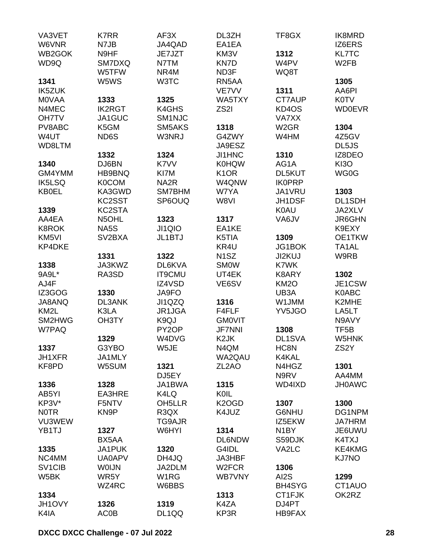| VA3VET                          | K7RR            | AF3X                          | DL3ZH              | TF8GX             | IK8MRD                     |
|---------------------------------|-----------------|-------------------------------|--------------------|-------------------|----------------------------|
| W6VNR                           | N7JB            | JA4QAD                        | EA1EA              |                   | IZ6ERS                     |
| WB2GOK                          | N9HF            | JE7JZT                        | KM3V               | 1312              | <b>KL7TC</b>               |
| WD9Q                            | SM7DXQ          | N7TM                          | KN7D               | W4PV              | W <sub>2</sub> FB          |
|                                 | W5TFW           | NR4M                          | ND3F               | WQ8T              |                            |
| 1341                            | W5WS            | W3TC                          | RN5AA              |                   | 1305                       |
| <b>IK5ZUK</b>                   |                 |                               | VE7VV              | 1311              | AA6PI                      |
| <b>MOVAA</b>                    | 1333            | 1325                          | WA5TXY             | CT7AUP            | <b>K0TV</b>                |
| N4MEC                           | <b>IK2RGT</b>   | K4GHS                         | ZS <sub>2</sub> I  | KD4OS             | <b>WD0EVR</b>              |
| <b>OH7TV</b>                    | JA1GUC          | SM <sub>1NJC</sub>            |                    | VA7XX             |                            |
| PV8ABC                          | K5GM            | SM5AKS                        | 1318               | W <sub>2</sub> GR | 1304                       |
| W4UT                            | ND6S            | W3NRJ                         | G4ZWY              | W4HM              | 4Z5GV                      |
| WD8LTM                          |                 |                               | JA9ESZ             |                   | DL5JS                      |
|                                 | 1332            | 1324                          | <b>JI1HNC</b>      | 1310              | IZ8DEO                     |
| 1340                            | DJ6BN           | K7VV                          | <b>K0HQW</b>       | AG1A              | <b>KI3O</b>                |
| GM4YMM                          | HB9BNQ          | KI7M                          | K <sub>1</sub> OR  | <b>DL5KUT</b>     | WG0G                       |
| IK5LSQ                          | <b>K0COM</b>    | NA <sub>2</sub> R             | W4QNW              | <b>IK0PRP</b>     |                            |
| <b>KB0EL</b>                    | KA3GWD          | SM7BHM                        | W7YA               | JA1VRU            | 1303                       |
|                                 | KC2SST          | SP6OUQ                        | W8VI               | JH1DSF            | DL1SDH                     |
| 1339                            | KC2STA          |                               |                    | <b>K0AU</b>       | JA2XLV                     |
| AA4EA                           | N5OHL           | 1323                          | 1317               | VA6JV             | <b>JR6GHN</b>              |
| <b>K8ROK</b>                    | NA5S            | JI1QIO                        | EA1KE              |                   | K9EXY                      |
| KM <sub>5VI</sub>               | SV2BXA          | JL1BTJ                        | K5TIA              | 1309              | OE1TKW                     |
| KP4DKE                          |                 |                               | KR4U               | JG1BOK            | TA1AL                      |
|                                 | 1331            | 1322                          | N <sub>1</sub> SZ  | JI2KUJ            | W9RB                       |
| 1338                            | JA3KWZ          | DL6KVA                        | <b>SMOW</b>        | K7WK              |                            |
| 9A9L*                           | RA3SD           | <b>IT9CMU</b>                 | UT4EK              | K8ARY             | 1302                       |
| AJ4F                            |                 | IZ4VSD                        | VE6SV              | <b>KM2O</b>       | JE1CSW                     |
| IZ3GOG                          | 1330            | JA9FO                         |                    | UB3A              | K0ABC                      |
| JA8ANQ                          | DL3ANK          | JI1QZQ                        | 1316               | W1JMM             | K2MHE                      |
| KM <sub>2</sub> L               | K3LA            | JR1JGA                        | F4FLF              | YV5JGO            | LA5LT                      |
| SM2HWG                          | <b>OH3TY</b>    | K9QJ                          | <b>GMOVIT</b>      |                   | N9AVY                      |
| W7PAQ                           | 1329            | PY <sub>2</sub> OP            | <b>JF7NNI</b>      | 1308<br>DL1SVA    | TF <sub>5</sub> B<br>W5HNK |
|                                 |                 | W4DVG                         | K <sub>2</sub> JK  |                   |                            |
| 1337                            | G3YBO<br>JA1MLY | W5JE                          | N4QM<br>WA2QAU     | HC8N<br>K4KAL     | ZS2Y                       |
| <b>JH1XFR</b><br>KF8PD          | W5SUM           | 1321                          | ZL <sub>2</sub> AO | N4HGZ             | 1301                       |
|                                 |                 | DJ5EY                         |                    | N9RV              | AA4MM                      |
| 1336                            | 1328            | JA1BWA                        | 1315               | WD4IXD            | <b>JH0AWC</b>              |
| AB5YI                           | EA3HRE          | K4LQ                          | KOIL               |                   |                            |
| KP3V*                           | F5NTV           | OH <sub>5</sub> LLR           | K <sub>2</sub> OGD | 1307              | 1300                       |
| <b>NOTR</b>                     | KN9P            | R <sub>3</sub> Q <sub>X</sub> | K4JUZ              | G6NHU             | DG1NPM                     |
| VU3WEW                          |                 | TG9AJR                        |                    | IZ5EKW            | <b>JA7HRM</b>              |
| YB1TJ                           | 1327            | W6HYI                         | 1314               | N <sub>1</sub> BY | JE6UWU                     |
|                                 | BX5AA           |                               | <b>DL6NDW</b>      | S59DJK            | K4TXJ                      |
| 1335                            | JA1PUK          | 1320                          | G4IDL              | VA2LC             | KE4KMG                     |
| NC4MM                           | <b>UA0APV</b>   | DH4JQ                         | JA3HBF             |                   | <b>KJ7NO</b>               |
| SV <sub>1</sub> C <sub>IB</sub> | <b>WOIJN</b>    | JA2DLM                        | W <sub>2</sub> FCR | 1306              |                            |
| W5BK                            | WR5Y            | W <sub>1</sub> RG             | <b>WB7VNY</b>      | AI2S              | 1299                       |
|                                 | WZ4RC           | W6BBS                         |                    | <b>BH4SYG</b>     | CT1AUO                     |
| 1334                            |                 |                               | 1313               | CT1FJK            | OK2RZ                      |
| JH1OVY                          | 1326            | 1319                          | K4ZA               | DJ4PT             |                            |
| K4IA                            | AC0B            | DL1QQ                         | KP3R               | <b>HB9FAX</b>     |                            |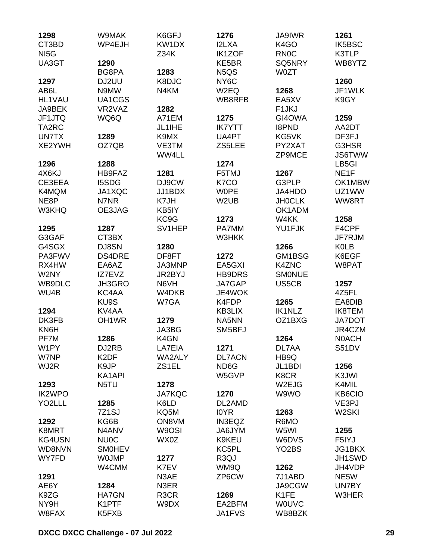| 1298              | W9MAK                          | K6GFJ             | 1276              | <b>JA9IWR</b>      | 1261               |
|-------------------|--------------------------------|-------------------|-------------------|--------------------|--------------------|
| CT3BD             | WP4EJH                         | KW1DX             | I2LXA             | K <sub>4</sub> GO  | IK5BSC             |
| NI <sub>5</sub> G |                                | Z34K              | <b>IK1ZOF</b>     | <b>RN0C</b>        | K3TLP              |
| UA3GT             | 1290                           |                   | KE5BR             | SQ5NRY             | WB8YTZ             |
|                   | BG8PA                          | 1283              | N5QS              | <b>W0ZT</b>        |                    |
| 1297              | DJ2UU                          | K8DJC             | NY <sub>6</sub> C |                    | 1260               |
| AB6L              | N9MW                           |                   |                   |                    | JF1WLK             |
|                   |                                | N4KM              | W2EQ              | 1268               |                    |
| HL1VAU            | UA1CGS                         |                   | WB8RFB            | EA5XV              | K9GY               |
| JA9BEK            | VR2VAZ                         | 1282              |                   | F <sub>1</sub> JKJ |                    |
| JF1JTQ            | WQ6Q                           | A71EM             | 1275              | GI4OWA             | 1259               |
| TA2RC             |                                | JL1IHE            | <b>IK7YTT</b>     | <b>I8PND</b>       | AA2DT              |
| UN7TX             | 1289                           | K9MX              | UA4PT             | KG5VK              | DF3FJ              |
| XE2YWH            | OZ7QB                          | VE3TM             | ZS5LEE            | PY2XAT             | G3HSR              |
|                   |                                | WW4LL             |                   | ZP9MCE             | <b>JS6TWW</b>      |
| 1296              | 1288                           |                   | 1274              |                    | LB5GI              |
| 4X6KJ             | HB9FAZ                         | 1281              | F5TMJ             | 1267               | NE <sub>1</sub> F  |
| CE3EEA            | I5SDG                          | DJ9CW             | K7CO              | G3PLP              | OK1MBW             |
| K4MQM             | JA1XQC                         | JJ1BDX            | <b>WOPE</b>       | JA4HDO             | UZ1WW              |
| NE8P              | N7NR                           | K7JH              | W <sub>2</sub> UB | <b>JHOCLK</b>      | WW8RT              |
| W3KHQ             | OE3JAG                         | KB5IY             |                   | OK1ADM             |                    |
|                   |                                | KC9G              | 1273              | W4KK               | 1258               |
| 1295              | 1287                           | SV1HEP            | PA7MM             | YU1FJK             | F4CPF              |
| G3GAF             | CT3BX                          |                   | W3HKK             |                    | JF7RJM             |
| G4SGX             | DJ8SN                          | 1280              |                   | 1266               | <b>K0LB</b>        |
|                   | <b>DS4DRE</b>                  |                   |                   | GM1BSG             | K6EGF              |
| PA3FWV            |                                | DF8FT             | 1272              |                    |                    |
| RX4HW             | EA6AZ                          | JA3MNP            | EA5GXI            | K4ZNC              | W8PAT              |
| W2NY              | IZ7EVZ                         | JR2BYJ            | <b>HB9DRS</b>     | <b>SMONUE</b>      |                    |
| WB9DLC            | JH3GRO                         | N6VH              | JA7GAP            | US5CB              | 1257               |
| WU4B              | KC4AA                          | W4DKB             | JE4WOK            |                    | 4Z5FL              |
|                   | KU9S                           | W7GA              | K4FDP             | 1265               | EA8DIB             |
| 1294              | KV4AA                          |                   | KB3LIX            | <b>IK1NLZ</b>      | <b>IK8TEM</b>      |
| DK3FB             | OH <sub>1</sub> WR             | 1279              | NA5NN             | OZ1BXG             | <b>JA7DOT</b>      |
| KN6H              |                                | JA3BG             | SM5BFJ            |                    | JR4CZM             |
| PF7M              | 1286                           | K4GN              |                   | 1264               | <b>NOACH</b>       |
| W1PY              | DJ2RB                          | LA7EIA            | 1271              | DL7AA              | <b>S51DV</b>       |
| W7NP              | K <sub>2</sub> DF              | WA2ALY            | <b>DL7ACN</b>     | HB9Q               |                    |
| WJ2R              | K9JP                           | ZS1EL             | ND <sub>6</sub> G | JL1BDI             | 1256               |
|                   | KA1API                         |                   | W5GVP             | K8CR               | K3JWI              |
| 1293              | N5TU                           | 1278              |                   | W2EJG              | K4MIL              |
| <b>IK2WPO</b>     |                                | <b>JA7KQC</b>     | 1270              | W9WO               | <b>KB6CIO</b>      |
| YO2LLL            | 1285                           | K6LD              | DL2AMD            |                    | VE3PJ              |
|                   | 7Z <sub>1</sub> SJ             | KQ5M              | <b>IOYR</b>       | 1263               | W <sub>2</sub> SKI |
| 1292              | KG6B                           | ON8VM             | <b>IN3EQZ</b>     | R6MO               |                    |
| K8MRT             | N <sub>4</sub> AN <sub>V</sub> | W9OSI             | JA6JYM            | W5WI               |                    |
|                   |                                |                   |                   |                    | 1255               |
| KG4USN            | <b>NU0C</b>                    | WX0Z              | K9KEU             | W6DVS              | F5IYJ              |
| WD8NVN            | <b>SMOHEV</b>                  |                   | KC5PL             | YO <sub>2</sub> BS | JG1BKX             |
| WY7FD             | <b>WOJMP</b>                   | 1277              | R <sub>3</sub> QJ |                    | JH1SWD             |
|                   | W4CMM                          | K7EV              | WM9Q              | 1262               | JH4VDP             |
| 1291              |                                | N3AE              | ZP6CW             | 7J1ABD             | NE5W               |
| AE6Y              | 1284                           | N3ER              |                   | JA9CGW             | UN7BY              |
| K9ZG              | <b>HA7GN</b>                   | R <sub>3</sub> CR | 1269              | K <sub>1</sub> FE  | W3HER              |
| NY9H              | K1PTF                          | W9DX              | EA2BFM            | <b>WOUVC</b>       |                    |
| W8FAX             | K5FXB                          |                   | JA1FVS            | WB8BZK             |                    |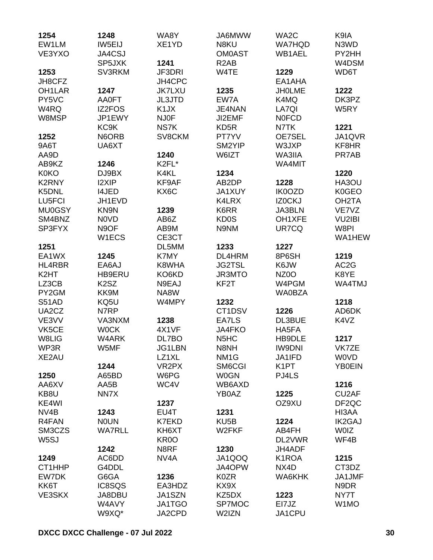| 1254                | 1248                          | WA8Y              | JA6MWW                        | WA2C                | K9IA               |
|---------------------|-------------------------------|-------------------|-------------------------------|---------------------|--------------------|
| EW1LM               | IW5EIJ                        | XE1YD             | N8KU                          | <b>WA7HQD</b>       | N3WD               |
| VE3YXO              | JA4CSJ                        |                   | <b>OM0AST</b>                 | WB1AEL              | PY2HH              |
|                     | SP5JXK                        | 1241              | R <sub>2</sub> AB             |                     | W4DSM              |
| 1253                | SV3RKM                        | JF3DRI            | W4TE                          | 1229                | WD6T               |
| JH8CFZ              |                               | JH4CPC            |                               | EA1AHA              |                    |
| OH <sub>1</sub> LAR | 1247                          | <b>JK7LXU</b>     | 1235                          | <b>JHOLME</b>       | 1222               |
| PY5VC               | <b>AA0FT</b>                  | <b>JL3JTD</b>     | EW7A                          | K4MQ                | DK3PZ              |
| W4RQ                | <b>IZ2FOS</b>                 | K <sub>1</sub> JX | JE4NAN                        | LA7QI               | W5RY               |
| W8MSP               | JP1EWY                        | <b>NJ0F</b>       | JI2EMF                        | <b>NOFCD</b>        |                    |
|                     | KC <sub>9</sub> K             | NS7K              | KD <sub>5</sub> R             | N7TK                | 1221               |
| 1252                | N6ORB                         | SV8CKM            | PT7YV                         | OE7SEL              | JA1QVR             |
| 9A6T                | UA6XT                         |                   | SM2YIP                        | W3JXP               | KF8HR              |
| AA9D                |                               | 1240              | W6IZT                         | WA3IIA              | PR7AB              |
| AB9KZ               | 1246                          | K2FL*             |                               | WA4MIT              |                    |
| <b>K0KO</b>         | DJ9BX                         | K4KL              | 1234                          |                     | 1220               |
| K2RNY               | <b>I2XIP</b>                  | KF9AF             | AB <sub>2</sub> DP            | 1228                | HA3OU              |
| K5DNL               | <b>I4JED</b>                  | KX <sub>6</sub> C | <b>JA1XUY</b>                 | IK0OZD              | K0GEO              |
| LU5FCI              | JH1EVD                        |                   | K4LRX                         | <b>IZ0CKJ</b>       | OH <sub>2</sub> TA |
| <b>MU0GSY</b>       | KN9N                          | 1239              | K6RR                          | JA3BLN              | VE7VZ              |
| SM4BNZ              | <b>NOVD</b>                   | AB6Z              | <b>KD0S</b>                   | OH <sub>1</sub> XFE | <b>VU2IBI</b>      |
| SP3FYX              | N9OF                          | AB9M              | N9NM                          | UR7CQ               | W8PI               |
|                     | W1ECS                         | CE3CT             |                               |                     | WA1HEW             |
| 1251                |                               | DL5MM             | 1233                          | 1227                |                    |
| EA1WX               | 1245                          | K7MY              | DL4HRM                        | 8P6SH               | 1219               |
| HL4RBR              | EA6AJ                         | K8WHA             | <b>JG2TSL</b>                 | K6JW                | AC <sub>2</sub> G  |
| K <sub>2</sub> HT   | HB9ERU                        | KO6KD             | JR3MTO                        | NZ <sub>0</sub> O   | K8YE               |
| LZ3CB               | K <sub>2</sub> S <sub>Z</sub> | N9EAJ             | KF <sub>2</sub> T             | W4PGM               | WA4TMJ             |
| PY2GM               | KK9M                          | NA8W              |                               | <b>WA0BZA</b>       |                    |
| S51AD               | KQ5U                          | W4MPY             | 1232                          |                     | 1218               |
| UA2CZ               | N7RP                          |                   | CT1DSV                        | 1226                | AD6DK              |
| VE3VV               | VA3NXM                        | 1238              | EA7LS                         | DL3BUE              | K4VZ               |
| VK5CE               | <b>WOCK</b>                   | 4X1VF             | JA4FKO                        | HA5FA               |                    |
| W8LIG               | W4ARK                         | DL7BO             | N <sub>5</sub> H <sub>C</sub> | HB9DLE              | 1217               |
| WP3R                | W5MF                          | JG1LBN            | N8NH                          | <b>IW9DNI</b>       | VK7ZE              |
| XE2AU               |                               | LZ1XL             | NM <sub>1</sub> G             | JA1IFD              | <b>WOVD</b>        |
|                     | 1244                          | VR2PX             | SM6CGI                        | K <sub>1</sub> PT   | <b>YB0EIN</b>      |
| 1250                | A65BD                         | W6PG              | <b>W0GN</b>                   | PJ4LS               |                    |
| AA6XV               | AA5B                          | WC4V              | WB6AXD                        |                     | 1216               |
| KB8U                | NN7X                          |                   | YB0AZ                         | 1225                | CU <sub>2</sub> AF |
| KE4WI               |                               | 1237              |                               | OZ9XU               | DF <sub>2QC</sub>  |
| NV <sub>4</sub> B   | 1243                          | EU4T              | 1231                          |                     | HI3AA              |
| R4FAN               | <b>NOUN</b>                   | K7EKD             | KU <sub>5</sub> B             | 1224                | <b>IK2GAJ</b>      |
| SM3CZS              | <b>WA7RLL</b>                 | KH6XT             | W2FKF                         | AB4FH               | <b>WOIZ</b>        |
| W5SJ                |                               | KR <sub>0</sub> O |                               | DL2VWR              | WF4B               |
|                     | 1242                          | N8RF              | 1230                          | JH4ADF              |                    |
| 1249                | AC6DD                         | NV <sub>4</sub> A | JA1QOQ                        | K <sub>1</sub> ROA  | 1215               |
| CT1HHP              | G4DDL                         |                   | JA4OPW                        | NX4D                | CT3DZ              |
| EW7DK               | G6GA                          | 1236              | <b>K0ZR</b>                   | WA6KHK              | JA1JMF             |
| KK6T                | IC8SQS                        | EA3HDZ            | KX9X                          |                     | N9DR               |
| VE3SKX              | JA8DBU                        | JA1SZN            | KZ5DX                         | 1223                | NY7T               |
|                     | W4AVY                         | JA1TGO            | SP7MOC                        | EI7JZ               | W1MO               |
|                     | W9XQ*                         | JA2CPD            | W2IZN                         | JA1CPU              |                    |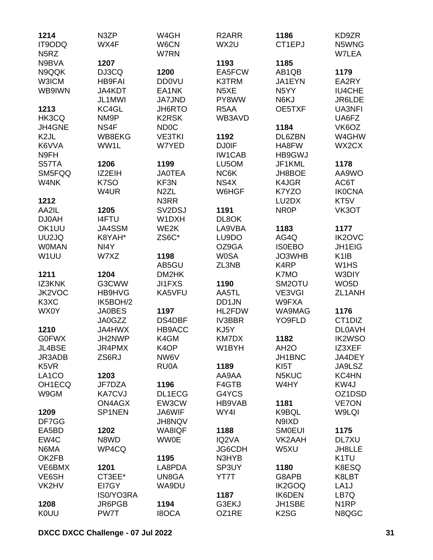| 1214<br>IT9ODQ                | N3ZP<br>WX4F      | W4GH<br>W6CN                    | R <sub>2</sub> ARR<br>WX2U | 1186<br>CT1EPJ      | KD9ZR<br>N5WNG                |
|-------------------------------|-------------------|---------------------------------|----------------------------|---------------------|-------------------------------|
| N <sub>5</sub> RZ             |                   | W7RN                            |                            |                     | W7LEA                         |
| N9BVA                         | 1207              |                                 | 1193                       | 1185                |                               |
|                               |                   |                                 |                            |                     |                               |
| N9QQK                         | DJ3CQ             | 1200                            | EA5FCW                     | AB1QB               | 1179                          |
| <b>W3ICM</b>                  | <b>HB9FAI</b>     | <b>DD0VU</b>                    | K3TRM                      | JA1EYN              | EA2RY                         |
| WB9IWN                        | JA4KDT            | EA1NK                           | N <sub>5</sub> XE          | N <sub>5</sub> YY   | <b>IU4CHE</b>                 |
|                               | JL1MWI            | <b>JA7JND</b>                   | PY8WW                      | N6KJ                | JR6LDE                        |
| 1213                          | KC4GL             | JH6RTO                          | R <sub>5</sub> AA          | OE5TXF              | <b>UA3NFI</b>                 |
| HK3CQ                         | NM <sub>9</sub> P | <b>K2RSK</b>                    | WB3AVD                     |                     | UA6FZ                         |
| JH4GNE                        | NS4F              | <b>ND0C</b>                     |                            | 1184                | VK6OZ                         |
| K <sub>2</sub> JL             | WB8EKG            | <b>VE3TKI</b>                   | 1192                       | DL6ZBN              | W4GHW                         |
| K6VVA                         | WW1L              | W7YED                           | <b>DJ0IF</b>               | HA8FW               | WX2CX                         |
| N9FH                          |                   |                                 | <b>IW1CAB</b>              | HB9GWJ              |                               |
| S57TA                         | 1206              | 1199                            | LU5OM                      | JF1KML              | 1178                          |
| SM5FQQ                        | IZ2EIH            | <b>JA0TEA</b>                   | NC6K                       | JH8BOE              | AA9WO                         |
| W4NK                          | K7SO              | KF3N                            | NS4X                       | K4JGR               | AC6T                          |
|                               | W4UR              | N <sub>2</sub> ZL               | W6HGF                      | K7YZO               | <b>IK0CNA</b>                 |
| 1212                          |                   | N3RR                            |                            | LU2DX               | KT5V                          |
| AA2IL                         | 1205              | SV <sub>2</sub> D <sub>SJ</sub> | 1191                       | NR <sub>0</sub> P   | VK3OT                         |
| <b>DJ0AH</b>                  | <b>I4FTU</b>      | W1DXH                           | DL8OK                      |                     |                               |
| OK1UU                         | JA4SSM            | WE2K                            | LA9VBA                     | 1183                | 1177                          |
| UU2JQ                         | K8YAH*            | ZS6C*                           | LU9DO                      | AG4Q                | <b>IK2OVC</b>                 |
| <b>WOMAN</b>                  | NI4Y              |                                 | OZ9GA                      | <b>ISOEBO</b>       | JH1EIG                        |
| W1UU                          | W7XZ              | 1198                            | <b>W0SA</b>                | JO3WHB              | K <sub>1</sub> IB             |
|                               |                   | AB5GU                           | ZL3NB                      | K <sub>4</sub> RP   | W <sub>1</sub> H <sub>S</sub> |
| 1211                          | 1204              | DM2HK                           |                            | K7MO                | W3DIY                         |
| <b>IZ3KNK</b>                 | G3CWW             | <b>JI1FXS</b>                   | 1190                       | SM <sub>2</sub> OTU | WO <sub>5</sub> D             |
| JK2VOC                        | HB9HVG            | KA5VFU                          | AA5TL                      | VE3VGI              | ZL1ANH                        |
| K <sub>3</sub> X <sub>C</sub> | IK5BOH/2          |                                 | DD1JN                      | W9FXA               |                               |
| <b>WX0Y</b>                   | <b>JA0BES</b>     | 1197                            | HL2FDW                     | WA9MAG              | 1176                          |
|                               | JA0GZZ            | DS4DBF                          | <b>IV3BBR</b>              | YO9FLD              | CT1DIZ                        |
| 1210                          | <b>JA4HWX</b>     | HB9ACC                          | KJ5Y                       |                     | <b>DL0AVH</b>                 |
| <b>G0FWX</b>                  |                   | K4GM                            |                            | 1182                | <b>IK2WSO</b>                 |
|                               | JH2NWP            |                                 | KM7DX                      |                     |                               |
| JL4BSE                        | JR4PMX            | K <sub>4</sub> OP               | W1BYH                      | AH <sub>2</sub> O   | IZ3XEF                        |
| JR3ADB                        | ZS6RJ             | NW6V                            |                            | JH1BNC              | JA4DEY                        |
| K5VR                          |                   | <b>RU0A</b>                     | 1189                       | KI <sub>5</sub> T   | JA9LSZ                        |
| LA1CO                         | 1203              |                                 | AA9AA                      | N5KUC               | KC4HN                         |
| OH1ECQ                        | JF7DZA            | 1196                            | F4GTB                      | W4HY                | KW4J                          |
| W9GM                          | <b>KA7CVJ</b>     | DL1ECG                          | G4YCS                      |                     | OZ1DSD                        |
|                               | ON4AGX            | EW3CW                           | HB9VAB                     | 1181                | <b>VE7ON</b>                  |
| 1209                          | SP1NEN            | JA6WIF                          | WY4I                       | K9BQL               | W9LQI                         |
| DF7GG                         |                   | <b>JH8NQV</b>                   |                            | N9IXD               |                               |
| EA5BD                         | 1202              | WA8IQF                          | 1188                       | <b>SMOEUI</b>       | 1175                          |
| EW4C                          | N8WD              | <b>WW0E</b>                     | IQ2VA                      | VK2AAH              | DL7XU                         |
| N6MA                          | WP4CQ             |                                 | JG6CDH                     | W5XU                | JH8LLE                        |
| OK2FB                         |                   | 1195                            | N3HYB                      |                     | K <sub>1</sub> TU             |
| VE6BMX                        | 1201              | LA8PDA                          | SP3UY                      | 1180                | K8ESQ                         |
| VE6SH                         | CT3EE*            | UN8GA                           | YT7T                       | G8APB               | K8LBT                         |
| VK2HV                         | EI7GY             | WA9DU                           |                            | <b>IK2GOQ</b>       | LA <sub>1</sub> J             |
|                               | IS0/YO3RA         |                                 | 1187                       | <b>IK6DEN</b>       | LB7Q                          |
| 1208                          | JR6PGB            | 1194                            | G3EKJ                      | JH1SBE              | N <sub>1</sub> RP             |
| <b>KOUU</b>                   | PW7T              | <b>I8OCA</b>                    | OZ1RE                      | K <sub>2</sub> SG   | N8QGC                         |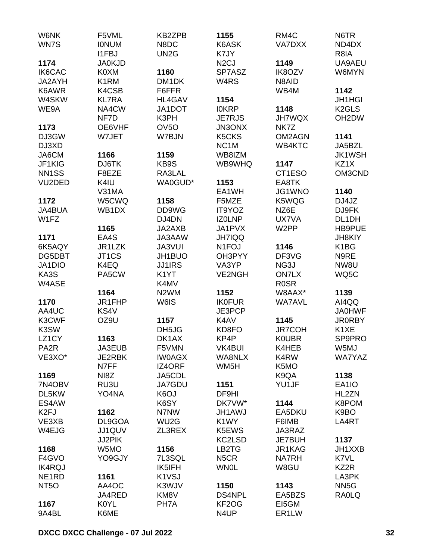| W6NK<br>WN7S        | F5VML<br><b>IONUM</b><br>I1FBJ | KB2ZPB<br>N8DC<br>UN <sub>2</sub> G | 1155<br>K6ASK<br>K7JY | RM4C<br>VA7DXX    | N6TR<br>ND4DX<br>R8IA |
|---------------------|--------------------------------|-------------------------------------|-----------------------|-------------------|-----------------------|
| 1174                | <b>JA0KJD</b>                  |                                     | N <sub>2</sub> CJ     | 1149              | UA9AEU                |
| <b>IK6CAC</b>       | K0XM                           |                                     | SP7ASZ                | <b>IK8OZV</b>     |                       |
|                     |                                | 1160                                | W <sub>4</sub> RS     |                   | W6MYN                 |
| JA2AYH              | K <sub>1</sub> RM              | DM <sub>1</sub> DK                  |                       | N8AID             |                       |
| K6AWR               | K4CSB                          | F6FFR                               |                       | WB4M              | 1142                  |
| W4SKW               | <b>KL7RA</b>                   | HL4GAV                              | 1154                  |                   | <b>JH1HGI</b>         |
| WE9A                | NA4CW                          | JA1DOT                              | <b>IOKRP</b>          | 1148              | K <sub>2</sub> GLS    |
|                     | NF7D                           | K3PH                                | <b>JE7RJS</b>         | <b>JH7WQX</b>     | OH <sub>2</sub> DW    |
| 1173                | OE6VHF                         | OV <sub>5</sub> O                   | <b>JN3ONX</b>         | NK7Z              |                       |
| DJ3GW               | W7JET                          | W7BJN                               | K5CKS                 | OM2AGN            | 1141                  |
| DJ3XD               |                                |                                     | NC <sub>1</sub> M     | WB4KTC            | JA5BZL                |
| JA6CM               | 1166                           | 1159                                | WB8IZM                |                   | <b>JK1WSH</b>         |
| JF1KIG              | DJ6TK                          | KB9S                                | WB9WHQ                | 1147              | KZ1X                  |
| NN <sub>1</sub> SS  | F8EZE                          | RA3LAL                              |                       | CT1ESO            | OM3CND                |
| VU <sub>2</sub> DED | K4IU                           | WA0GUD*                             | 1153                  | EA8TK             |                       |
|                     | V31MA                          |                                     | EA1WH                 | JG1WNO            | 1140                  |
| 1172                | W5CWQ                          | 1158                                | F5MZE                 | K5WQG             | DJ4JZ                 |
| JA4BUA              | WB1DX                          | DD9WG                               | IT9YOZ                | NZ6E              | DJ9FK                 |
| W1FZ                |                                | DJ4DN                               | <b>IZOLNP</b>         | UX7VA             | DL1DH                 |
|                     | 1165                           | JA2AXB                              | JA1PVX                | W <sub>2</sub> PP | <b>HB9PUE</b>         |
| 1171                | EA4S                           | JA3AAW                              | <b>JH7IQQ</b>         |                   | <b>JH8KIY</b>         |
| 6K5AQY              | JR1LZK                         | JA3VUI                              | N <sub>1</sub> FOJ    | 1146              | K1BG                  |
| DG5DBT              | JT1CS                          | JH1BUO                              | OH3PYY                | DF3VG             | N9RE                  |
| JA1DIO              | K4EQ                           | <b>JJ1IRS</b>                       | VA3YP                 | NG3J              | NW8U                  |
| KA3S                | PA5CW                          | K <sub>1</sub> YT                   | <b>VE2NGH</b>         | <b>ON7LX</b>      | WQ5C                  |
| W4ASE               |                                | K4MV                                |                       | <b>ROSR</b>       |                       |
|                     | 1164                           | N <sub>2</sub> WM                   | 1152                  | W8AAX*            | 1139                  |
| 1170                | JR1FHP                         | W6IS                                | <b>IK0FUR</b>         | <b>WA7AVL</b>     | AI4QQ                 |
| AA4UC               | KS4V                           |                                     | JE3PCP                |                   | <b>JA0HWF</b>         |
| K3CWF               | OZ9U                           | 1157                                | K4AV                  | 1145              | <b>JR0RBY</b>         |
| K3SW                |                                | DH5JG                               | KD8FO                 | <b>JR7COH</b>     | K1XE                  |
| LZ1CY               | 1163                           | DK1AX                               | KP4P                  | <b>KOUBR</b>      | SP9PRO                |
|                     |                                |                                     |                       |                   |                       |
| PA <sub>2</sub> R   | JA3EUB                         | F5VMN                               | VK4BUI                | K4HEB             | W5MJ                  |
| VE3XO*              | JE2RBK                         | <b>IW0AGX</b>                       | <b>WA8NLX</b>         | K4RW              | <b>WA7YAZ</b>         |
|                     | N7FF                           | IZ4ORF                              | WM <sub>5</sub> H     | K5MO              |                       |
| 1169                | NI8Z                           | JA5CDL                              |                       | K9QA              | 1138                  |
| 7N4OBV              | RU3U                           | JA7GDU                              | 1151                  | YU1JF             | EA1IO                 |
| DL5KW               | YO4NA                          | K <sub>6</sub> OJ                   | DF9HI                 |                   | HL2ZN                 |
| ES4AW               |                                | K6SY                                | DK7VW*                | 1144              | K8POM                 |
| K <sub>2FJ</sub>    | 1162                           | N7NW                                | <b>JH1AWJ</b>         | EA5DKU            | K9BO                  |
| VE3XB               | DL9GOA                         | WU <sub>2</sub> G                   | K1WY                  | F6IMB             | LA4RT                 |
| W4EJG               | JJ1QUV                         | ZL3REX                              | K5EWS                 | JA3RAZ            |                       |
|                     | JJ2PIK                         |                                     | KC2LSD                | JE7BUH            | 1137                  |
| 1168                | W5MO                           | 1156                                | LB2TG                 | JR1KAG            | JH1XXB                |
| F4GVO               | YO9GJY                         | 7L3SQL                              | N <sub>5</sub> CR     | <b>NA7RH</b>      | K7VL                  |
| <b>IK4RQJ</b>       |                                | IK5IFH                              | <b>WN0L</b>           | W8GU              | KZ2R                  |
| NE <sub>1</sub> RD  | 1161                           | K1VSJ                               |                       |                   | LA3PK                 |
| NT <sub>50</sub>    | AA4OC                          | K3WJV                               | 1150                  | 1143              | NN <sub>5</sub> G     |
|                     | JA4RED                         | KM8V                                | <b>DS4NPL</b>         | EA5BZS            | <b>RAOLQ</b>          |
| 1167                | <b>K0YL</b>                    | PH7A                                | KF <sub>2</sub> OG    | EI5GM             |                       |
| 9A4BL               | K6ME                           |                                     | N4UP                  | ER1LW             |                       |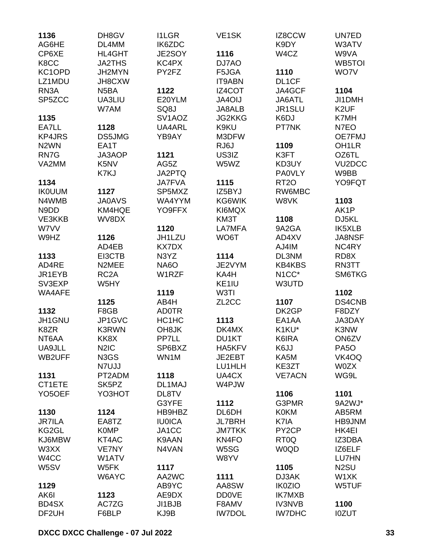| 1136                | DH8GV             | <b>I1LGR</b>        | VE <sub>1</sub> SK | IZ8CCW             | UN7ED               |
|---------------------|-------------------|---------------------|--------------------|--------------------|---------------------|
| AG6HE               | DL4MM             | IK6ZDC              |                    | K9DY               | W3ATV               |
| CP6XE               | <b>HL4GHT</b>     | JE2SOY              | 1116               | W4CZ               | W9VA                |
| K8CC                | <b>JA2THS</b>     | KC4PX               | DJ7AO              |                    | WB5TOI              |
| KC1OPD              | JH2MYN            | PY2FZ               | F5JGA              | 1110               | WO7V                |
| LZ1MDU              | JH8CXW            |                     | <b>IT9ABN</b>      | DL1CF              |                     |
| RN <sub>3</sub> A   | N <sub>5</sub> BA | 1122                | IZ4COT             | JA4GCF             | 1104                |
| SP5ZCC              | UA3LIU            | E20YLM              | <b>JA4OIJ</b>      | JA6ATL             | JI1DMH              |
|                     | W7AM              | SQ8J                | JA8ALB             | JR1SLU             | K <sub>2</sub> UF   |
| 1135                |                   | SV <sub>1</sub> AOZ | <b>JG2KKG</b>      | K6DJ               | K7MH                |
| EA7LL               | 1128              | UA4ARL              | K9KU               | PT7NK              | N7EO                |
| <b>KP4JRS</b>       | DS5JMG            | YB9AY               | M3DFW              |                    | OE7FMJ              |
| N <sub>2</sub> WN   | EA1T              |                     | RJ6J               | 1109               | OH <sub>1</sub> LR  |
| RN7G                | JA3AOP            | 1121                | US3IZ              | K3FT               | OZ6TL               |
| VA2MM               | K <sub>5</sub> NV | AG5Z                | W5WZ               | KD3UY              | VU <sub>2</sub> DCC |
|                     | K7KJ              | JA2PTQ              |                    | <b>PA0VLY</b>      | W9BB                |
| 1134                |                   | <b>JA7FVA</b>       | 1115               | RT <sub>20</sub>   | YO9FQT              |
| <b>IK0UUM</b>       | 1127              | SP5MXZ              | IZ5BYJ             | RW6MBC             |                     |
| N4WMB               | <b>JA0AVS</b>     | WA4YYM              | KG6WIK             | W8VK               | 1103                |
| N9DD                | KM4HQE            | YO9FFX              | KI6MQX             |                    | AK1P                |
| VE3KKB              | WV8DX             |                     | KM3T               | 1108               | DJ5KL               |
| W7VV                |                   | 1120                | LA7MFA             | 9A2GA              | IK5XLB              |
|                     |                   | JH1LZU              | WO6T               | AD4XV              | <b>JA8NSF</b>       |
| W9HZ                | 1126              | <b>KX7DX</b>        |                    |                    |                     |
|                     | AD4EB             |                     |                    | AJ4IM              | NC4RY               |
| 1133                | EI3CTB            | N3YZ                | 1114               | DL3NM              | RD8X                |
| AD4RE               | N2MEE             | <b>NA6O</b>         | JE2VYM             | <b>KB4KBS</b>      | RN3TT               |
| JR1EYB              | RC <sub>2</sub> A | W1RZF               | KA4H               | N <sub>1</sub> CC* | SM6TKG              |
| SV3EXP              | W5HY              |                     | KE1IU              | W3UTD              |                     |
| WA4AFE              |                   | 1119                | W3TI               |                    | 1102                |
|                     | 1125              | AB4H                | ZL <sub>2</sub> CC | 1107               | DS4CNB              |
| 1132                | F8GB              | <b>AD0TR</b>        |                    | DK2GP              | F8DZY               |
| JH1GNU              | JP1GVC            | HC1HC               | 1113               | EA1AA              | JA3DAY              |
| K8ZR                | <b>K3RWN</b>      | OH <sub>8</sub> JK  | DK4MX              | K1KU*              | K3NW                |
| NT6AA               | KK8X              | PP7LL               | DU1KT              | K6IRA              | ON6ZV               |
| UA9JLL              | N <sub>2</sub> IC | SP6BXZ              | HA5KFV             | K6JJ               | PA <sub>5</sub> O   |
| WB2UFF              | N3GS              | WN1M                | JE2EBT             | KA5M               | VK4OQ               |
|                     | N7UJJ             |                     | LU1HLH             | KE3ZT              | <b>W0ZX</b>         |
| 1131                | PT2ADM            | 1118                | UA4CX              | <b>VE7ACN</b>      | WG9L                |
| CT1ETE              | SK5PZ             | DL1MAJ              | W4PJW              |                    |                     |
| YO <sub>5</sub> OEF | YO3HOT            | DL8TV               |                    | 1106               | 1101                |
|                     |                   | G3YFE               | 1112               | G3PMR              | 9A2WJ*              |
| 1130                | 1124              | HB9HBZ              | DL6DH              | <b>K0KM</b>        | AB5RM               |
| <b>JR7ILA</b>       | EA8TZ             | <b>IU0ICA</b>       | <b>JL7BRH</b>      | K7IA               | HB9JNM              |
| KG2GL               | <b>K0MP</b>       | JA1CC               | <b>JM7TKK</b>      | PY <sub>2</sub> CP | HK4EI               |
| KJ6MBW              | KT4AC             | K9AAN               | KN4FO              | RT <sub>0</sub> Q  | IZ3DBA              |
| W3XX                | VE7NY             | N4VAN               | W5SG               | <b>W0QD</b>        | IZ6ELF              |
| W <sub>4</sub> CC   | W1ATV             |                     | W8YV               |                    | <b>LU7HN</b>        |
| W5SV                | W5FK              | 1117                |                    | 1105               | N <sub>2</sub> SU   |
|                     | W6AYC             | AA2WC               | 1111               | DJ3AK              | W1XK                |
| 1129                |                   | AB9YC               | AA8SW              | <b>IK0ZIO</b>      | W5TUF               |
| AK6I                | 1123              | AE9DX               | <b>DD0VE</b>       | <b>IK7MXB</b>      |                     |
| BD4SX               | AC7ZG             | JI1BJB              | F8AMV              | <b>IV3NVB</b>      | 1100                |
| DF2UH               | F6BLP             | KJ9B                | <b>IW7DOL</b>      | <b>IW7DHC</b>      | <b>I0ZUT</b>        |
|                     |                   |                     |                    |                    |                     |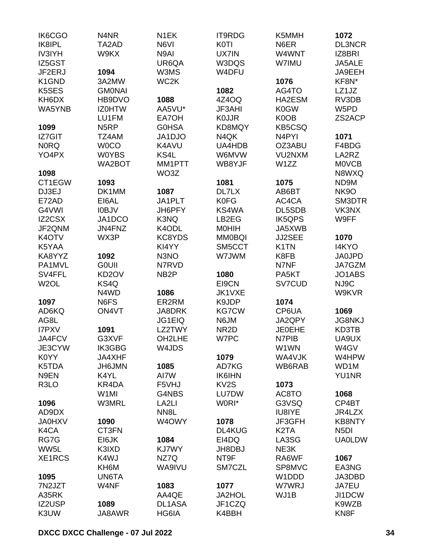| IK6CGO             | N4NR               | N <sub>1</sub> EK   | <b>IT9RDG</b>         | K5MMH                         | 1072              |
|--------------------|--------------------|---------------------|-----------------------|-------------------------------|-------------------|
| IK8IPL             | TA2AD              | N6VI                | <b>K0TI</b>           | N6ER                          | <b>DL3NCR</b>     |
| <b>IV3IYH</b>      | W9KX               | N9AI                | UX7IN                 | W4WNT                         | IZ8BRI            |
| IZ5GST             |                    | UR6QA               | W3DQS                 | W7IMU                         | JA5ALE            |
| JF2ERJ             | 1094               | W3MS                | W4DFU                 |                               | JA9EEH            |
| K <sub>1</sub> GND | 3A2MW              | WC <sub>2</sub> K   |                       | 1076                          | KF8N*             |
| K5SES              | <b>GMONAI</b>      |                     | 1082                  | AG4TO                         | LZ1JZ             |
| KH6DX              | HB9DVO             | 1088                | 4Z4OQ                 | HA2ESM                        | RV3DB             |
| WA5YNB             | <b>IZOHTW</b>      | AA5VU*              | <b>JF3AHI</b>         | K0GW                          | W5PD              |
|                    | LU1FM              | EA7OH               | <b>KOJJR</b>          | K0OB                          | ZS2ACP            |
| 1099               | N <sub>5</sub> RP  | <b>G0HSA</b>        | KD8MQY                | <b>KB5CSQ</b>                 |                   |
| IZ7GIT             | TZ4AM              | JA1DJO              | N4QK                  | N <sub>4</sub> PYI            | 1071              |
| <b>NORQ</b>        | <b>WOCO</b>        | K4AVU               | UA4HDB                | OZ3ABU                        | F4BDG             |
| YO4PX              | <b>W0YBS</b>       | KS4L                | W6MVW                 | VU2NXM                        | LA2RZ             |
|                    | WA2BOT             | MM1PTT              | WB8YJF                | W1ZZ                          | <b>MOVCB</b>      |
| 1098               |                    | WO <sub>3</sub> Z   |                       |                               | N8WXQ             |
| CT1EGW             | 1093               |                     | 1081                  | 1075                          | ND9M              |
| DJ3EJ              | DK1MM              | 1087                | DL7LX                 | AB6BT                         | NK9O              |
| E72AD              | EI6AL              | JA1PLT              | <b>K0FG</b>           | AC4CA                         | SM3DTR            |
| G4VWI              | <b>IOBJV</b>       | JH6PFY              | KS4WA                 | DL5SDB                        | VK3NX             |
| IZ2CSX             | JA1DCO             | K3NQ                | LB2EG                 | <b>IK5QPS</b>                 | W9FF              |
| JF2QNM             | JN4FNZ             | K4ODL               | <b>MOHIH</b>          | JA5XWB                        |                   |
| K4OTV              | WX3P               | KC8YDS              | <b>MM0BQI</b>         | JJ2SEE                        | 1070              |
| K5YAA              |                    | KI4YY               | SM5CCT                | K <sub>1</sub> TN             | I4KYO             |
| KA8YYZ             | 1092               | N3NO                | W7JWM                 | K8FB                          | <b>JA0JPD</b>     |
| PA1MVL             | <b>GOUII</b>       | N7RVD               |                       | N7NF                          | JA7GZM            |
| SV4FFL             | KD <sub>2</sub> OV | NB <sub>2</sub> P   | 1080                  | PA5KT                         | JO1ABS            |
|                    | KS4Q               |                     | EI9CN                 |                               | NJ9C              |
| W <sub>2</sub> OL  |                    |                     | JK1VXE                | SV7CUD                        |                   |
|                    | N4WD<br>N6FS       | 1086                |                       |                               | W9KVR             |
| 1097               |                    | ER2RM               | K9JDP<br><b>KG7CW</b> | 1074                          |                   |
| AD6KQ              | ON4VT              | <b>JA8DRK</b>       |                       | CP6UA                         | 1069              |
| AG8L               |                    | <b>JG1EIQ</b>       | N6JM                  | JA2QPY                        | <b>JG8NKJ</b>     |
| <b>I7PXV</b>       | 1091               | LZ2TWY              | NR <sub>2</sub> D     | <b>JE0EHE</b>                 | KD3TB             |
| JA4FCV             | G3XVF              | OH <sub>2</sub> LHE | W7PC                  | N7PIB                         | UA9UX             |
| JE3CYW             | IK3GBG             | W4JDS               |                       | W1WN                          | W4GV              |
| K0YY               | JA4XHF             |                     | 1079                  | WA4VJK                        | W4HPW             |
| K5TDA              | JH6JMN             | 1085                | AD7KG                 | WB6RAB                        | WD1M              |
| N9EN               | K4YL               | AI7W                | <b>IK6IHN</b>         |                               | <b>YU1NR</b>      |
| R <sub>3</sub> LO  | KR4DA              | F5VHJ               | KV <sub>2</sub> S     | 1073                          |                   |
|                    | W <sub>1</sub> MI  | G4NBS               | LU7DW                 | AC8TO                         | 1068              |
| 1096               | <b>W3MRL</b>       | LA <sub>2LI</sub>   | W0RI*                 | G3VSQ                         | CP4BT             |
| AD9DX              |                    | NN <sub>8</sub> L   |                       | IU8IYE                        | JR4LZX            |
| <b>JA0HXV</b>      | 1090               | W4OWY               | 1078                  | JF3GFH                        | <b>KB8NTY</b>     |
| K4CA               | CT3FN              |                     | <b>DL4KUG</b>         | K <sub>2</sub> T <sub>A</sub> | N <sub>5</sub> DI |
| RG7G               | EI6JK              | 1084                | EI4DQ                 | LA3SG                         | <b>UA0LDW</b>     |
| WW5L               | K3IXD              | KJ7WY               | JH8DBJ                | NE3K                          |                   |
| XE1RCS             | K4WJ               | NZ7Q                | NT9F                  | RA6WF                         | 1067              |
|                    | KH6M               | WA9IVU              | SM7CZL                | SP8MVC                        | EA3NG             |
| 1095               | UN6TA              |                     |                       | W1DDD                         | JA3DBD            |
| 7N2JZT             | W4NF               | 1083                | 1077                  | W7WRJ                         | JA7EU             |
| A35RK              |                    | AA4QE               | <b>JA2HOL</b>         | WJ1B                          | JI1DCW            |
| IZ2USP             | 1089               | DL1ASA              | JF1CZQ                |                               | K9WZB             |
| K3UW               | JA8AWR             | HG6IA               | K4BBH                 |                               | KN <sub>8</sub> F |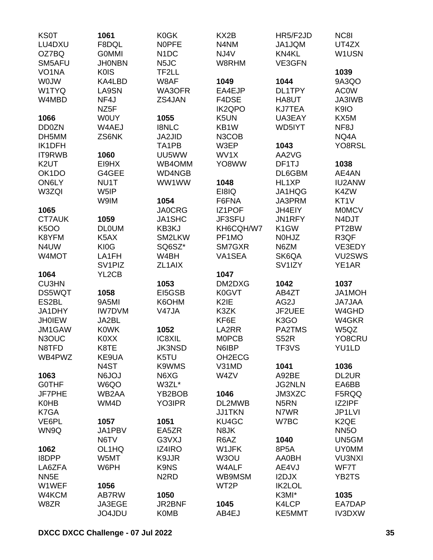| <b>KS0T</b>        | 1061               | <b>K0GK</b>                   | KX2B              | HR5/F2JD            | NC8I              |
|--------------------|--------------------|-------------------------------|-------------------|---------------------|-------------------|
| LU4DXU             | F8DQL              | <b>NOPFE</b>                  | N4NM              | JA1JQM              | UT4ZX             |
| OZ7BQ              | <b>GOMMI</b>       | N <sub>1</sub> DC             | NJ4V              | KN4KL               | W1USN             |
| SM5AFU             | <b>JHONBN</b>      | N <sub>5</sub> JC             | W8RHM             | VE3GFN              |                   |
| VO <sub>1</sub> NA | <b>K0IS</b>        | TF2LL                         |                   |                     | 1039              |
| <b>WOJW</b>        | KA4LBD             | W8AF                          | 1049              | 1044                | 9A3QO             |
| W1TYQ              | LA9SN              | WA3OFR                        | EA4EJP            | DL1TPY              | <b>AC0W</b>       |
| W4MBD              | NF4J               | ZS4JAN                        | F4DSE             | HA8UT               | JA3IWB            |
|                    | NZ5F               |                               | <b>IK2QPO</b>     | <b>KJ7TEA</b>       | K9IO              |
| 1066               | <b>WOUY</b>        | 1055                          | K <sub>5</sub> UN | UA3EAY              | KX5M              |
| <b>DD0ZN</b>       | W4AEJ              | <b>I8NLC</b>                  | KB1W              | WD5IYT              | NF8J              |
| DH5MM              | ZS6NK              | <b>JA2JID</b>                 | N3COB             |                     | NQ4A              |
| IK1DFH             |                    | TA <sub>1</sub> PB            | W3EP              | 1043                | YO8RSL            |
| IT9RWB             | 1060               | UU5WW                         | WV1X              | AA2VG               |                   |
| K <sub>2</sub> UT  | EI9HX              | WB4OMM                        | YO8WW             | DF1TJ               | 1038              |
| OK <sub>1</sub> DO | G4GEE              | WD4NGB                        |                   | DL6GBM              | AE4AN             |
| ON6LY              | NU1T               | WW1WW                         | 1048              | HL1XP               | <b>IU2ANW</b>     |
|                    |                    |                               |                   |                     | K4ZW              |
| W3ZQI              | W5IP               |                               | EI8IQ             | JA1HQG              |                   |
|                    | W9IM               | 1054                          | F6FNA             | JA3PRM              | KT <sub>1</sub> V |
| 1065               |                    | <b>JA0CRG</b>                 | IZ1POF            | JH4EIY              | <b>MOMCV</b>      |
| <b>CT7AUK</b>      | 1059               | JA1SHC                        | JF3SFU            | JN1RFY              | N4DJT             |
| <b>K5OO</b>        | <b>DLOUM</b>       | KB3KJ                         | KH6CQH/W7         | K <sub>1</sub> GW   | PT2BW             |
| K8YFM              | K5AX               | SM2LKW                        | PF1MO             | N0HJZ               | R3QF              |
| N4UW               | KI0G               | SQ6SZ*                        | SM7GXR            | N6ZM                | VE3EDY            |
| W4MOT              | LA1FH              | W4BH                          | VA1SEA            | SK6QA               | VU2SWS            |
|                    | SV <sub>1PIZ</sub> | ZL <sub>1</sub> AIX           |                   | SV <sub>1</sub> IZY | YE1AR             |
| 1064               | YL2CB              |                               | 1047              |                     |                   |
| <b>CU3HN</b>       |                    | 1053                          | DM2DXG            | 1042                | 1037              |
| <b>DS5WQT</b>      | 1058               | EI5GSB                        | K0GVT             | AB4ZT               | JA1MOH            |
| ES2BL              | 9A5MI              | K6OHM                         | K2IE              | AG2J                | <b>JA7JAA</b>     |
| JA1DHY             | <b>IW7DVM</b>      | V47JA                         | K3ZK              | JF2UEE              | W4GHD             |
| <b>JH0IEW</b>      | JA2BL              |                               | KF6E              | K <sub>3</sub> GO   | W4GKR             |
| JM1GAW             | <b>KOWK</b>        | 1052                          | LA2RR             | PA2TMS              | W5QZ              |
| N3OUC              | <b>KOXX</b>        | IC8XIL                        | <b>MOPCB</b>      | <b>S52R</b>         | YO8CRU            |
| N8TFD              | K8TE               | <b>JK3NSD</b>                 | N6IBP             | TF3VS               | YU1LD             |
| WB4PWZ             | KE9UA              | K5TU                          | OH2ECG            |                     |                   |
|                    | N <sub>4</sub> ST  | K9WMS                         | V31MD             | 1041                | 1036              |
| 1063               | LOL <sub>6</sub> N | N6XG                          | W4ZV              | A92BE               | DL2UR             |
| <b>GOTHF</b>       | W6QO               | W3ZL*                         |                   | <b>JG2NLN</b>       | EA6BB             |
| JF7PHE             | WB2AA              | YB2BOB                        | 1046              | JM3XZC              | F5RQQ             |
| <b>K0HB</b>        | WM4D               | YO3IPR                        | DL2MWB            | N <sub>5</sub> RN   | IZ2IPF            |
| K7GA               |                    |                               | <b>JJ1TKN</b>     | N7WR                | JP1LVI            |
| VE6PL              | 1057               | 1051                          | KU4GC             | W7BC                | K <sub>2</sub> QE |
| WN9Q               | JA1PBV             | EA5ZR                         | N8JK              |                     | <b>NN5O</b>       |
|                    | N6TV               | G3VXJ                         | R6AZ              | 1040                | UN5GM             |
| 1062               | OL1HQ              | IZ4IRO                        | W1JFK             | 8P5A                | <b>UY0MM</b>      |
| <b>I8DPP</b>       | W5MT               | K9JJR                         | W3OU              | <b>AA0BH</b>        | <b>VU3NXI</b>     |
| LA6ZFA             | W6PH               | K9NS                          | W4ALF             | AE4VJ               | WF7T              |
| NN <sub>5E</sub>   |                    | N <sub>2</sub> R <sub>D</sub> | WB9MSM            | I2DJX               | YB2TS             |
| W1WEF              | 1056               |                               | WT <sub>2</sub> P | <b>IK2LOL</b>       |                   |
| W4KCM              | AB7RW              | 1050                          |                   | K3MI*               | 1035              |
| W8ZR               | JA3EGE             | JR2BNF                        | 1045              | K4LCP               | EA7DAP            |
|                    | JO4JDU             | <b>K0MB</b>                   | AB4EJ             | KE5MMT              | IV3DXW            |
|                    |                    |                               |                   |                     |                   |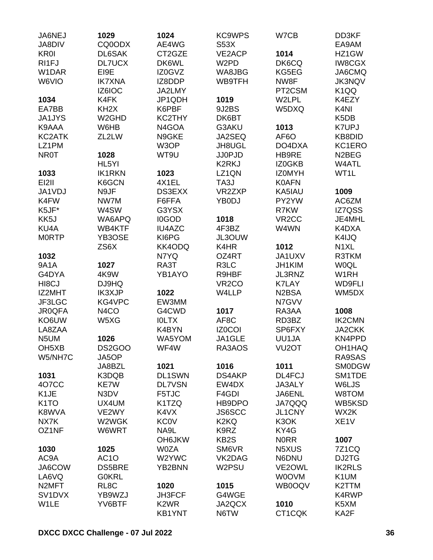| JA6NEJ                        | 1029               | 1024                          | <b>KC9WPS</b>          | W7CB                           | DD3KF              |
|-------------------------------|--------------------|-------------------------------|------------------------|--------------------------------|--------------------|
| JA8DIV                        | CQ0ODX             | AE4WG                         | S53X                   |                                | EA9AM              |
| <b>KR0I</b>                   | DL6SAK             | CT2GZE                        | VE2ACP                 | 1014                           | HZ1GW              |
| RI1FJ                         | <b>DL7UCX</b>      | DK6WL                         | W <sub>2</sub> PD      | DK6CQ                          | <b>IW8CGX</b>      |
| W1DAR                         | EI9E               | IZ0GVZ                        | WA8JBG                 | KG5EG                          | JA6CMQ             |
| W6VIO                         | <b>IK7XNA</b>      | IZ8DDP                        | WB9TFH                 | NW8F                           | <b>JK3NQV</b>      |
|                               | IZ6IOC             | JA2LMY                        |                        | PT2CSM                         | K <sub>1</sub> QQ  |
| 1034                          | K4FK               | JP1QDH                        | 1019                   | W2LPL                          | K4EZY              |
| EA7BB                         | KH <sub>2</sub> X  | K6PBF                         | 9J2BS                  | W5DXQ                          | K <sub>4NI</sub>   |
| <b>JA1JYS</b>                 | W <sub>2</sub> GHD | KC2THY                        | DK6BT                  |                                | K <sub>5</sub> DB  |
| K9AAA                         | W6HB               | N4GOA                         | G3AKU                  | 1013                           | <b>K7UPJ</b>       |
| KC2ATK                        | ZL2LW              | N9GKE                         | JA2SEQ                 | AF <sub>6</sub> O              | KB8DID             |
| LZ1PM                         |                    | W3OP                          | JH8UGL                 | DO4DXA                         | KC1ERO             |
| <b>NR0T</b>                   | 1028               | WT9U                          | <b>JJ0PJD</b>          | HB9RE                          | N <sub>2</sub> BEG |
|                               | HL5YI              |                               | K2RKJ                  | IZ0GKB                         | W4ATL              |
| 1033                          | <b>IK1RKN</b>      | 1023                          | LZ1QN                  | <b>IZOMYH</b>                  | WT1L               |
| EI2II                         | K6GCN              | 4X1EL                         | TA3J                   | <b>K0AFN</b>                   |                    |
| JA1VDJ                        | N9JF               | <b>DS3EXX</b>                 | VR2ZXP                 | KA5IAU                         | 1009               |
| K4FW                          | NW7M               | F6FFA                         | YB0DJ                  | PY2YW                          | AC6ZM              |
| K5JF*                         | W4SW               | G3YSX                         |                        | R7KW                           | IZ7QSS             |
| KK5J                          | WA6APQ             | I0GOD                         | 1018                   | VR <sub>2</sub> CC             | JE4MHL             |
| KU4A                          | WB4KTF             | <b>IU4AZC</b>                 | 4F3BZ                  | W4WN                           | K4DXA              |
| <b>MORTP</b>                  | YB3OSE             | KI6PG                         | JL3OUW                 |                                | K4IJQ              |
|                               | ZS6X               | KK4ODQ                        | K4HR                   | 1012                           | N <sub>1</sub> XL  |
| 1032                          |                    | N7YQ                          | OZ4RT                  | JA1UXV                         | R3TKM              |
| <b>9A1A</b>                   | 1027               | RA3T                          | R3LC                   | JH1KIM                         | <b>WOQL</b>        |
| G4DYA                         | 4K9W               | YB1AYO                        | R9HBF                  | JL3RNZ                         | W1RH               |
| HI <sub>8</sub> CJ            | DJ9HQ              |                               | VR <sub>2</sub> CO     | <b>K7LAY</b>                   | <b>WD9FLI</b>      |
| IZ2MHT                        | <b>IK3XJP</b>      | 1022                          | W4LLP                  | N <sub>2</sub> B <sub>SA</sub> | WM5DX              |
| JF3LGC                        | KG4VPC             | EW3MM                         |                        | N7GVV                          |                    |
| <b>JR0QFA</b>                 | N <sub>4</sub> CO  | G4CWD                         | 1017                   | RA3AA                          | 1008               |
| KO6UW                         | W5XG               | <b>IOLTX</b>                  | AF8C                   | RD3BZ                          | <b>IK2CMN</b>      |
| LA8ZAA                        |                    | K4BYN                         | <b>IZ0COI</b>          | SP6FXY                         | JA2CKK             |
| N5UM                          | 1026               | WA5YOM                        | JA1GLE                 | UU1JA                          | KN4PPD             |
|                               |                    | WF4W                          | RA3AOS                 | VU <sub>2</sub> OT             | OH1HAQ             |
| OH <sub>5</sub> XB<br>W5/NH7C | DS2GOO<br>JA5OP    |                               |                        |                                | RA9SAS             |
|                               |                    | 1021                          | 1016                   | 1011                           | <b>SM0DGW</b>      |
|                               | JA8BZL             |                               |                        | DL4FCJ                         |                    |
| 1031                          | K3DQB              | <b>DL1SWN</b>                 | <b>DS4AKP</b><br>EW4DX |                                | SM1TDE             |
| 407CC                         | KE7W               | <b>DL7VSN</b>                 |                        | JA3ALY                         | W6LJS              |
| K <sub>1</sub> JE             | N3DV               | F5TJC                         | F4GDI                  | JA6ENL                         | W8TOM              |
| K <sub>1</sub> TO             | UX4UM              | K1TZQ                         | HB9DPO                 | <b>JA7QQQ</b>                  | WB5KSD             |
| K8WVA                         | VE2WY              | K4VX                          | <b>JS6SCC</b>          | JL1CNY                         | WX2K               |
| NX7K                          | W2WGK              | <b>KC0V</b>                   | K <sub>2</sub> KQ      | K3OK                           | XE <sub>1</sub> V  |
| OZ1NF                         | W6WRT              | NA9L                          | K9RZ                   | KY4G                           |                    |
|                               |                    | <b>OH6JKW</b>                 | KB <sub>2</sub> S      | <b>NORR</b>                    | 1007               |
| 1030                          | 1025               | <b>W0ZA</b>                   | SM6VR                  | N5XUS                          | <b>7Z1CQ</b>       |
| AC9A                          | AC <sub>1</sub> O  | W2YWC                         | VK2DAG                 | N6DNU                          | DJ2TG              |
| JA6COW                        | <b>DS5BRE</b>      | YB2BNN                        | W2PSU                  | VE2OWL                         | <b>IK2RLS</b>      |
| LA6VQ                         | <b>G0KRL</b>       |                               |                        | W0OVM                          | K1UM               |
| N <sub>2</sub> MFT            | RL <sub>8</sub> C  | 1020                          | 1015                   | WB0OQV                         | K2TTM              |
| SV <sub>1</sub> DVX           | YB9WZJ             | <b>JH3FCF</b>                 | G4WGE                  |                                | K4RWP              |
| W1LE                          | YV6BTF             | K <sub>2</sub> W <sub>R</sub> | JA2QCX                 | 1010                           | K5XM               |
|                               |                    | <b>KB1YNT</b>                 | N6TW                   | CT1CQK                         | KA2F               |